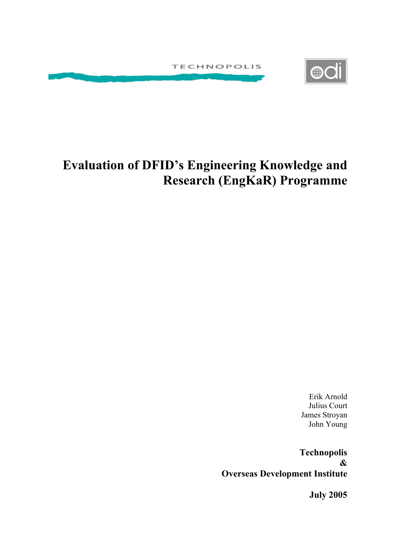



# **Evaluation of DFID's Engineering Knowledge and Research (EngKaR) Programme**

Erik Arnold Julius Court James Stroyan John Young

**Technopolis & Overseas Development Institute**

**July 2005**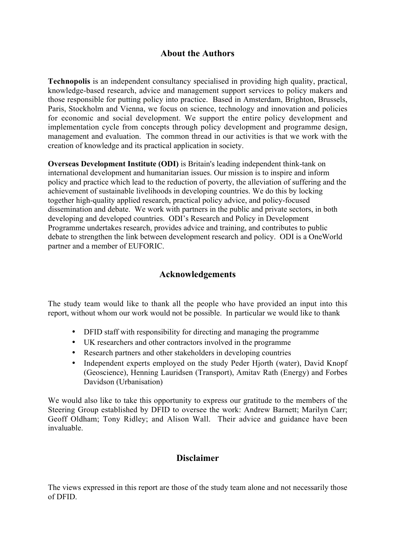## **About the Authors**

**Technopolis** is an independent consultancy specialised in providing high quality, practical, knowledge-based research, advice and management support services to policy makers and those responsible for putting policy into practice. Based in Amsterdam, Brighton, Brussels, Paris, Stockholm and Vienna, we focus on science, technology and innovation and policies for economic and social development. We support the entire policy development and implementation cycle from concepts through policy development and programme design, management and evaluation. The common thread in our activities is that we work with the creation of knowledge and its practical application in society.

**Overseas Development Institute (ODI)** is Britain's leading independent think-tank on international development and humanitarian issues. Our mission is to inspire and inform policy and practice which lead to the reduction of poverty, the alleviation of suffering and the achievement of sustainable livelihoods in developing countries. We do this by locking together high-quality applied research, practical policy advice, and policy-focused dissemination and debate. We work with partners in the public and private sectors, in both developing and developed countries. ODI's Research and Policy in Development Programme undertakes research, provides advice and training, and contributes to public debate to strengthen the link between development research and policy. ODI is a OneWorld partner and a member of EUFORIC.

## **Acknowledgements**

The study team would like to thank all the people who have provided an input into this report, without whom our work would not be possible. In particular we would like to thank

- DFID staff with responsibility for directing and managing the programme
- UK researchers and other contractors involved in the programme
- Research partners and other stakeholders in developing countries
- Independent experts employed on the study Peder Hjorth (water), David Knopf (Geoscience), Henning Lauridsen (Transport), Amitav Rath (Energy) and Forbes Davidson (Urbanisation)

We would also like to take this opportunity to express our gratitude to the members of the Steering Group established by DFID to oversee the work: Andrew Barnett; Marilyn Carr; Geoff Oldham; Tony Ridley; and Alison Wall. Their advice and guidance have been invaluable.

## **Disclaimer**

The views expressed in this report are those of the study team alone and not necessarily those of DFID.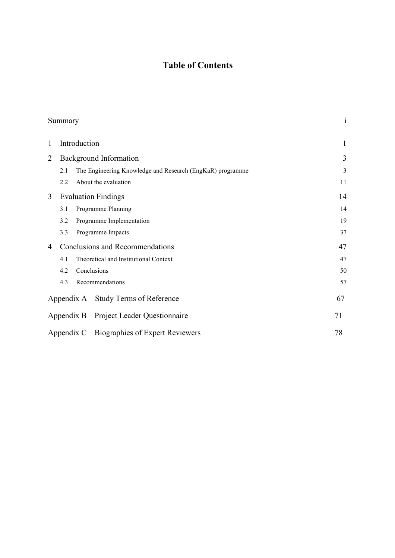## **Table of Contents**

|                | Summary                                                          | $\mathbf{1}$ |
|----------------|------------------------------------------------------------------|--------------|
| $\mathbf{1}$   | Introduction                                                     | 1            |
| $\overline{2}$ | <b>Background Information</b>                                    | 3            |
|                | The Engineering Knowledge and Research (EngKaR) programme<br>2.1 | 3            |
|                | About the evaluation<br>2.2                                      | 11           |
| 3              | <b>Evaluation Findings</b>                                       | 14           |
|                | Programme Planning<br>3.1                                        | 14           |
|                | Programme Implementation<br>3.2                                  | 19           |
|                | Programme Impacts<br>3.3                                         | 37           |
| 4              | <b>Conclusions and Recommendations</b>                           | 47           |
|                | Theoretical and Institutional Context<br>4.1                     | 47           |
|                | Conclusions<br>4.2                                               | 50           |
|                | 4.3<br>Recommendations                                           | 57           |
|                | <b>Study Terms of Reference</b><br>Appendix A                    | 67           |
|                | <b>Project Leader Questionnaire</b><br>Appendix B                | 71           |
|                | Appendix C Biographies of Expert Reviewers                       | 78           |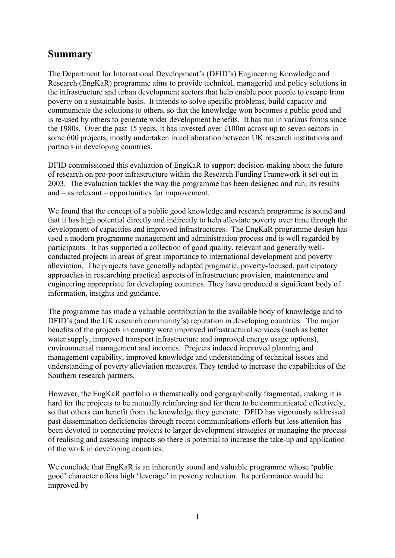## **Summary**

The Department for International Development's (DFID's) Engineering Knowledge and Research (EngKaR) programme aims to provide technical, managerial and policy solutions in the infrastructure and urban development sectors that help enable poor people to escape from poverty on a sustainable basis. It intends to solve specific problems, build capacity and communicate the solutions to others, so that the knowledge won becomes a public good and is re-used by others to generate wider development benefits. It has run in various forms since the 1980s. Over the past 15 years, it has invested over £100m across up to seven sectors in some 600 projects, mostly undertaken in collaboration between UK research institutions and partners in developing countries.

DFID commissioned this evaluation of EngKaR to support decision-making about the future of research on pro-poor infrastructure within the Research Funding Framework it set out in 2003. The evaluation tackles the way the programme has been designed and run, its results and – as relevant – opportunities for improvement.

We found that the concept of a public good knowledge and research programme is sound and that it has high potential directly and indirectly to help alleviate poverty over time through the development of capacities and improved infrastructures. The EngKaR programme design has used a modern programme management and administration process and is well regarded by participants. It has supported a collection of good quality, relevant and generally wellconducted projects in areas of great importance to international development and poverty alleviation. The projects have generally adopted pragmatic, poverty-focused, participatory approaches in researching practical aspects of infrastructure provision, maintenance and engineering appropriate for developing countries. They have produced a significant body of information, insights and guidance.

The programme has made a valuable contribution to the available body of knowledge and to DFID's (and the UK research community's) reputation in developing countries. The major benefits of the projects in country were improved infrastructural services (such as better water supply, improved transport infrastructure and improved energy usage options), environmental management and incomes. Projects induced improved planning and management capability, improved knowledge and understanding of technical issues and understanding of poverty alleviation measures. They tended to increase the capabilities of the Southern research partners.

However, the EngKaR portfolio is thematically and geographically fragmented, making it is hard for the projects to be mutually reinforcing and for them to be communicated effectively, so that others can benefit from the knowledge they generate. DFID has vigorously addressed past dissemination deficiencies through recent communications efforts but less attention has been devoted to connecting projects to larger development strategies or managing the process of realising and assessing impacts so there is potential to increase the take-up and application of the work in developing countries.

We conclude that EngKaR is an inherently sound and valuable programme whose 'public good' character offers high 'leverage' in poverty reduction. Its performance would be improved by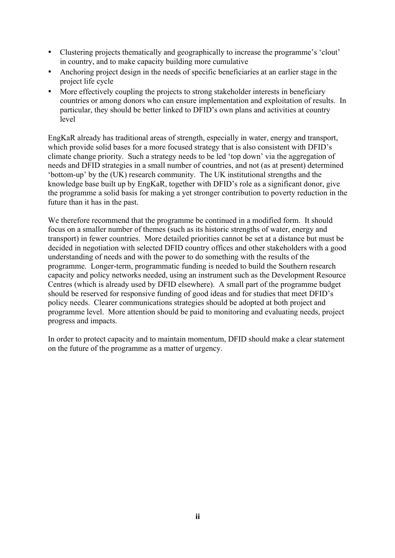- Clustering projects thematically and geographically to increase the programme's 'clout' in country, and to make capacity building more cumulative
- Anchoring project design in the needs of specific beneficiaries at an earlier stage in the project life cycle
- More effectively coupling the projects to strong stakeholder interests in beneficiary countries or among donors who can ensure implementation and exploitation of results. In particular, they should be better linked to DFID's own plans and activities at country level

EngKaR already has traditional areas of strength, especially in water, energy and transport, which provide solid bases for a more focused strategy that is also consistent with DFID's climate change priority. Such a strategy needs to be led 'top down' via the aggregation of needs and DFID strategies in a small number of countries, and not (as at present) determined 'bottom-up' by the (UK) research community. The UK institutional strengths and the knowledge base built up by EngKaR, together with DFID's role as a significant donor, give the programme a solid basis for making a yet stronger contribution to poverty reduction in the future than it has in the past.

We therefore recommend that the programme be continued in a modified form. It should focus on a smaller number of themes (such as its historic strengths of water, energy and transport) in fewer countries. More detailed priorities cannot be set at a distance but must be decided in negotiation with selected DFID country offices and other stakeholders with a good understanding of needs and with the power to do something with the results of the programme. Longer-term, programmatic funding is needed to build the Southern research capacity and policy networks needed, using an instrument such as the Development Resource Centres (which is already used by DFID elsewhere). A small part of the programme budget should be reserved for responsive funding of good ideas and for studies that meet DFID's policy needs. Clearer communications strategies should be adopted at both project and programme level. More attention should be paid to monitoring and evaluating needs, project progress and impacts.

In order to protect capacity and to maintain momentum, DFID should make a clear statement on the future of the programme as a matter of urgency.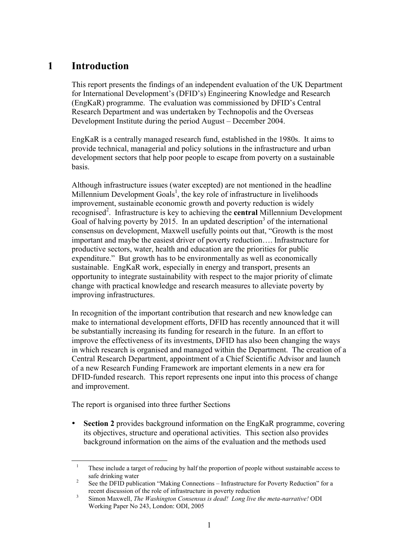## **1 Introduction**

This report presents the findings of an independent evaluation of the UK Department for International Development's (DFID's) Engineering Knowledge and Research (EngKaR) programme. The evaluation was commissioned by DFID's Central Research Department and was undertaken by Technopolis and the Overseas Development Institute during the period August – December 2004.

EngKaR is a centrally managed research fund, established in the 1980s. It aims to provide technical, managerial and policy solutions in the infrastructure and urban development sectors that help poor people to escape from poverty on a sustainable basis.

Although infrastructure issues (water excepted) are not mentioned in the headline Millennium Development Goals<sup>1</sup>, the key role of infrastructure in livelihoods improvement, sustainable economic growth and poverty reduction is widely recognised<sup>2</sup>. Infrastructure is key to achieving the **central** Millennium Development Goal of halving poverty by 2015. In an updated description<sup>3</sup> of the international consensus on development, Maxwell usefully points out that, "Growth is the most important and maybe the easiest driver of poverty reduction…. Infrastructure for productive sectors, water, health and education are the priorities for public expenditure." But growth has to be environmentally as well as economically sustainable. EngKaR work, especially in energy and transport, presents an opportunity to integrate sustainability with respect to the major priority of climate change with practical knowledge and research measures to alleviate poverty by improving infrastructures.

In recognition of the important contribution that research and new knowledge can make to international development efforts, DFID has recently announced that it will be substantially increasing its funding for research in the future. In an effort to improve the effectiveness of its investments, DFID has also been changing the ways in which research is organised and managed within the Department. The creation of a Central Research Department, appointment of a Chief Scientific Advisor and launch of a new Research Funding Framework are important elements in a new era for DFID-funded research. This report represents one input into this process of change and improvement.

The report is organised into three further Sections

**Section 2** provides background information on the EngKaR programme, covering its objectives, structure and operational activities. This section also provides background information on the aims of the evaluation and the methods used

<sup>&</sup>lt;sup>1</sup> These include a target of reducing by half the proportion of people without sustainable access to safe drinking water<br><sup>2</sup> See the DFID publication "Making Connections – Infrastructure for Poverty Reduction" for a

recent discussion of the role of infrastructure in poverty reduction <sup>3</sup> Simon Maxwell, *The Washington Consensus is dead! Long live the meta-narrative!* ODI

Working Paper No 243, London: ODI, 2005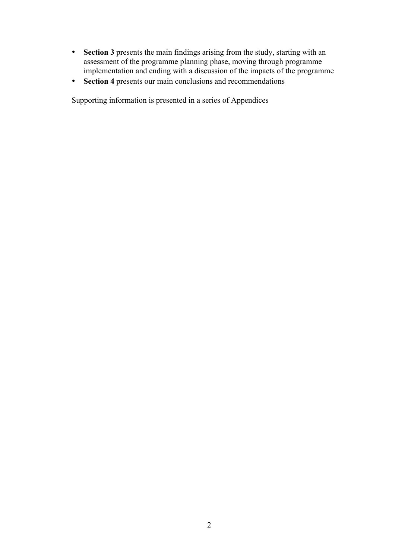- **Section 3** presents the main findings arising from the study, starting with an assessment of the programme planning phase, moving through programme implementation and ending with a discussion of the impacts of the programme
- **Section 4** presents our main conclusions and recommendations

Supporting information is presented in a series of Appendices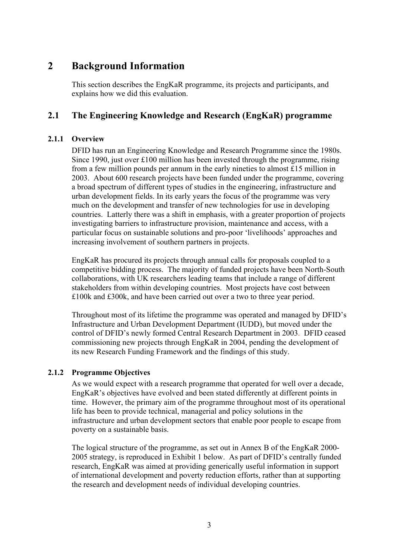## **2 Background Information**

This section describes the EngKaR programme, its projects and participants, and explains how we did this evaluation.

## **2.1 The Engineering Knowledge and Research (EngKaR) programme**

## **2.1.1 Overview**

DFID has run an Engineering Knowledge and Research Programme since the 1980s. Since 1990, just over  $£100$  million has been invested through the programme, rising from a few million pounds per annum in the early nineties to almost £15 million in 2003. About 600 research projects have been funded under the programme, covering a broad spectrum of different types of studies in the engineering, infrastructure and urban development fields. In its early years the focus of the programme was very much on the development and transfer of new technologies for use in developing countries. Latterly there was a shift in emphasis, with a greater proportion of projects investigating barriers to infrastructure provision, maintenance and access, with a particular focus on sustainable solutions and pro-poor 'livelihoods' approaches and increasing involvement of southern partners in projects.

EngKaR has procured its projects through annual calls for proposals coupled to a competitive bidding process. The majority of funded projects have been North-South collaborations, with UK researchers leading teams that include a range of different stakeholders from within developing countries. Most projects have cost between £100k and £300k, and have been carried out over a two to three year period.

Throughout most of its lifetime the programme was operated and managed by DFID's Infrastructure and Urban Development Department (IUDD), but moved under the control of DFID's newly formed Central Research Department in 2003. DFID ceased commissioning new projects through EngKaR in 2004, pending the development of its new Research Funding Framework and the findings of this study.

## **2.1.2 Programme Objectives**

As we would expect with a research programme that operated for well over a decade, EngKaR's objectives have evolved and been stated differently at different points in time. However, the primary aim of the programme throughout most of its operational life has been to provide technical, managerial and policy solutions in the infrastructure and urban development sectors that enable poor people to escape from poverty on a sustainable basis.

The logical structure of the programme, as set out in Annex B of the EngKaR 2000- 2005 strategy, is reproduced in Exhibit 1 below. As part of DFID's centrally funded research, EngKaR was aimed at providing generically useful information in support of international development and poverty reduction efforts, rather than at supporting the research and development needs of individual developing countries.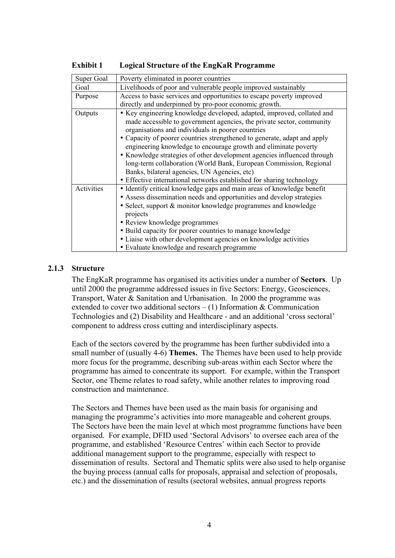| Super Goal | Poverty eliminated in poorer countries                                                                                                                                                                                                                                                                                                                                                                                                                                                                                                                                                                                        |
|------------|-------------------------------------------------------------------------------------------------------------------------------------------------------------------------------------------------------------------------------------------------------------------------------------------------------------------------------------------------------------------------------------------------------------------------------------------------------------------------------------------------------------------------------------------------------------------------------------------------------------------------------|
| Goal       | Livelihoods of poor and vulnerable people improved sustainably                                                                                                                                                                                                                                                                                                                                                                                                                                                                                                                                                                |
| Purpose    | Access to basic services and opportunities to escape poverty improved                                                                                                                                                                                                                                                                                                                                                                                                                                                                                                                                                         |
|            | directly and underpinned by pro-poor economic growth.                                                                                                                                                                                                                                                                                                                                                                                                                                                                                                                                                                         |
| Outputs    | • Key engineering knowledge developed, adapted, improved, collated and<br>made accessible to government agencies, the private sector, community<br>organisations and individuals in poorer countries<br>• Capacity of poorer countries strengthened to generate, adapt and apply<br>engineering knowledge to encourage growth and eliminate poverty<br>• Knowledge strategies of other development agencies influenced through<br>long-term collaboration (World Bank, European Commission, Regional<br>Banks, bilateral agencies, UN Agencies, etc)<br>• Effective international networks established for sharing technology |
| Activities | • Identify critical knowledge gaps and main areas of knowledge benefit<br>• Assess dissemination needs and opportunities and develop strategies<br>• Select, support & monitor knowledge programmes and knowledge<br>projects<br>• Review knowledge programmes<br>• Build capacity for poorer countries to manage knowledge<br>• Liaise with other development agencies on knowledge activities<br>• Evaluate knowledge and research programme                                                                                                                                                                                |

**Exhibit 1 Logical Structure of the EngKaR Programme**

## **2.1.3 Structure**

The EngKaR programme has organised its activities under a number of **Sectors**. Up until 2000 the programme addressed issues in five Sectors: Energy, Geosciences, Transport, Water & Sanitation and Urbanisation. In 2000 the programme was extended to cover two additional sectors  $- (1)$  Information & Communication Technologies and (2) Disability and Healthcare - and an additional 'cross sectoral' component to address cross cutting and interdisciplinary aspects.

Each of the sectors covered by the programme has been further subdivided into a small number of (usually 4-6) **Themes.** The Themes have been used to help provide more focus for the programme, describing sub-areas within each Sector where the programme has aimed to concentrate its support. For example, within the Transport Sector, one Theme relates to road safety, while another relates to improving road construction and maintenance.

The Sectors and Themes have been used as the main basis for organising and managing the programme's activities into more manageable and coherent groups. The Sectors have been the main level at which most programme functions have been organised. For example, DFID used 'Sectoral Advisors' to oversee each area of the programme, and established 'Resource Centres' within each Sector to provide additional management support to the programme, especially with respect to dissemination of results. Sectoral and Thematic splits were also used to help organise the buying process (annual calls for proposals, appraisal and selection of proposals, etc.) and the dissemination of results (sectoral websites, annual progress reports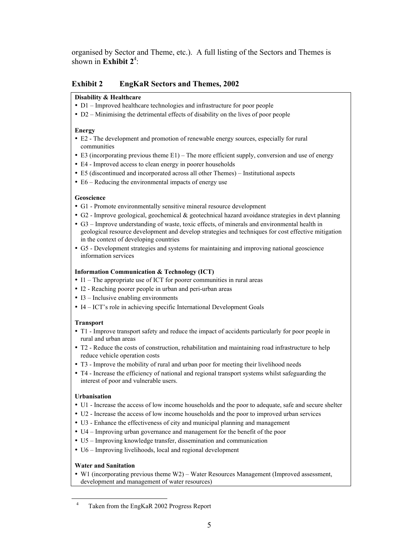organised by Sector and Theme, etc.). A full listing of the Sectors and Themes is shown in **Exhibit 2<sup>4</sup>**:

#### **Exhibit 2 EngKaR Sectors and Themes, 2002**

#### **Disability & Healthcare**

- D1 Improved healthcare technologies and infrastructure for poor people
- D2 Minimising the detrimental effects of disability on the lives of poor people

#### **Energy**

- E2 The development and promotion of renewable energy sources, especially for rural communities
- E3 (incorporating previous theme E1) The more efficient supply, conversion and use of energy
- E4 Improved access to clean energy in poorer households
- E5 (discontinued and incorporated across all other Themes) Institutional aspects
- E6 Reducing the environmental impacts of energy use

#### **Geoscience**

- G1 Promote environmentally sensitive mineral resource development
- G2 Improve geological, geochemical & geotechnical hazard avoidance strategies in devt planning
- G3 Improve understanding of waste, toxic effects, of minerals and environmental health in geological resource development and develop strategies and techniques for cost effective mitigation in the context of developing countries
- G5 Development strategies and systems for maintaining and improving national geoscience information services

#### **Information Communication & Technology (ICT)**

- I1 The appropriate use of ICT for poorer communities in rural areas
- I2 Reaching poorer people in urban and peri-urban areas
- I3 Inclusive enabling environments
- I4 ICT's role in achieving specific International Development Goals

#### **Transport**

- T1 Improve transport safety and reduce the impact of accidents particularly for poor people in rural and urban areas
- T2 Reduce the costs of construction, rehabilitation and maintaining road infrastructure to help reduce vehicle operation costs
- T3 Improve the mobility of rural and urban poor for meeting their livelihood needs
- T4 Increase the efficiency of national and regional transport systems whilst safeguarding the interest of poor and vulnerable users.

#### **Urbanisation**

- U1 Increase the access of low income households and the poor to adequate, safe and secure shelter
- U2 Increase the access of low income households and the poor to improved urban services
- U3 Enhance the effectiveness of city and municipal planning and management
- U4 Improving urban governance and management for the benefit of the poor
- U5 Improving knowledge transfer, dissemination and communication
- U6 Improving livelihoods, local and regional development

#### **Water and Sanitation**

• W1 (incorporating previous theme W2) – Water Resources Management (Improved assessment, development and management of water resources)

 <sup>4</sup> Taken from the EngKaR 2002 Progress Report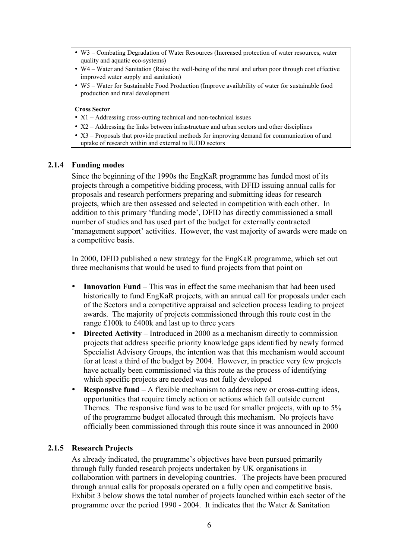- W3 Combating Degradation of Water Resources (Increased protection of water resources, water quality and aquatic eco-systems)
- W4 Water and Sanitation (Raise the well-being of the rural and urban poor through cost effective improved water supply and sanitation)
- W5 Water for Sustainable Food Production (Improve availability of water for sustainable food production and rural development

#### **Cross Sector**

- X1 Addressing cross-cutting technical and non-technical issues
- X2 Addressing the links between infrastructure and urban sectors and other disciplines
- X3 Proposals that provide practical methods for improving demand for communication of and
- uptake of research within and external to IUDD sectors

#### **2.1.4 Funding modes**

Since the beginning of the 1990s the EngKaR programme has funded most of its projects through a competitive bidding process, with DFID issuing annual calls for proposals and research performers preparing and submitting ideas for research projects, which are then assessed and selected in competition with each other. In addition to this primary 'funding mode', DFID has directly commissioned a small number of studies and has used part of the budget for externally contracted 'management support' activities. However, the vast majority of awards were made on a competitive basis.

In 2000, DFID published a new strategy for the EngKaR programme, which set out three mechanisms that would be used to fund projects from that point on

- **Innovation Fund** This was in effect the same mechanism that had been used historically to fund EngKaR projects, with an annual call for proposals under each of the Sectors and a competitive appraisal and selection process leading to project awards. The majority of projects commissioned through this route cost in the range £100k to £400k and last up to three years
- **Directed Activity** Introduced in 2000 as a mechanism directly to commission projects that address specific priority knowledge gaps identified by newly formed Specialist Advisory Groups, the intention was that this mechanism would account for at least a third of the budget by 2004. However, in practice very few projects have actually been commissioned via this route as the process of identifying which specific projects are needed was not fully developed
- **Responsive fund** A flexible mechanism to address new or cross-cutting ideas, opportunities that require timely action or actions which fall outside current Themes. The responsive fund was to be used for smaller projects, with up to 5% of the programme budget allocated through this mechanism. No projects have officially been commissioned through this route since it was announced in 2000

#### **2.1.5 Research Projects**

As already indicated, the programme's objectives have been pursued primarily through fully funded research projects undertaken by UK organisations in collaboration with partners in developing countries. The projects have been procured through annual calls for proposals operated on a fully open and competitive basis. Exhibit 3 below shows the total number of projects launched within each sector of the programme over the period 1990 - 2004. It indicates that the Water & Sanitation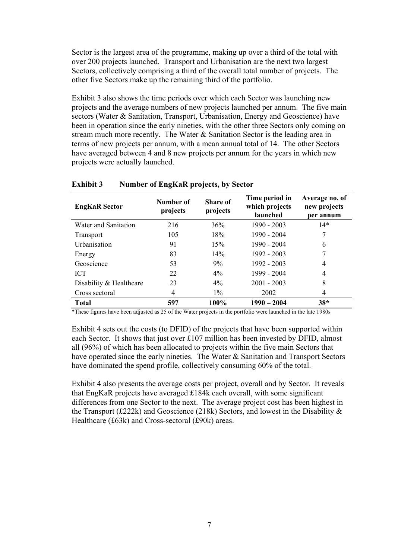Sector is the largest area of the programme, making up over a third of the total with over 200 projects launched. Transport and Urbanisation are the next two largest Sectors, collectively comprising a third of the overall total number of projects. The other five Sectors make up the remaining third of the portfolio.

Exhibit 3 also shows the time periods over which each Sector was launching new projects and the average numbers of new projects launched per annum. The five main sectors (Water & Sanitation, Transport, Urbanisation, Energy and Geoscience) have been in operation since the early nineties, with the other three Sectors only coming on stream much more recently. The Water & Sanitation Sector is the leading area in terms of new projects per annum, with a mean annual total of 14. The other Sectors have averaged between 4 and 8 new projects per annum for the years in which new projects were actually launched.

| <b>EngKaR</b> Sector    | Number of<br>projects | <b>Share of</b><br>projects | Time period in<br>which projects<br>launched | Average no. of<br>new projects<br>per annum |
|-------------------------|-----------------------|-----------------------------|----------------------------------------------|---------------------------------------------|
| Water and Sanitation    | 216                   | 36%                         | $1990 - 2003$                                | $14*$                                       |
| Transport               | 105                   | 18%                         | 1990 - 2004                                  |                                             |
| <b>Urbanisation</b>     | 91                    | 15%                         | 1990 - 2004                                  | 6                                           |
| Energy                  | 83                    | 14%                         | $1992 - 2003$                                |                                             |
| Geoscience              | 53                    | 9%                          | $1992 - 2003$                                | 4                                           |
| <b>ICT</b>              | 22                    | $4\%$                       | 1999 - 2004                                  | 4                                           |
| Disability & Healthcare | 23                    | $4\%$                       | $2001 - 2003$                                | 8                                           |
| Cross sectoral          | 4                     | $1\%$                       | 2002                                         | 4                                           |
| <b>Total</b>            | 597                   | 100%                        | $1990 - 2004$                                | $38*$                                       |

#### **Exhibit 3 Number of EngKaR projects, by Sector**

\*These figures have been adjusted as 25 of the Water projects in the portfolio were launched in the late 1980s

Exhibit 4 sets out the costs (to DFID) of the projects that have been supported within each Sector. It shows that just over £107 million has been invested by DFID, almost all (96%) of which has been allocated to projects within the five main Sectors that have operated since the early nineties. The Water & Sanitation and Transport Sectors have dominated the spend profile, collectively consuming 60% of the total.

Exhibit 4 also presents the average costs per project, overall and by Sector. It reveals that EngKaR projects have averaged £184k each overall, with some significant differences from one Sector to the next. The average project cost has been highest in the Transport (£222k) and Geoscience (218k) Sectors, and lowest in the Disability  $\&$ Healthcare (£63k) and Cross-sectoral (£90k) areas.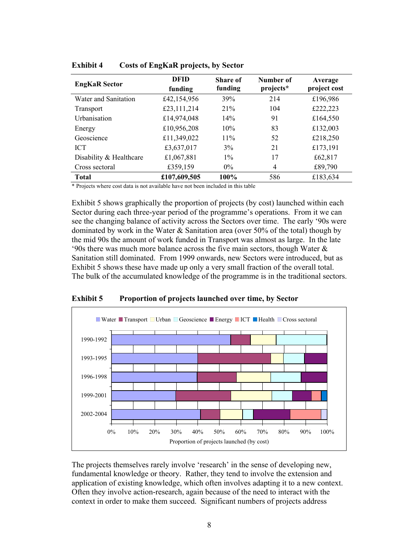| <b>EngKaR</b> Sector    | <b>DFID</b><br>funding | Share of<br>funding | Number of<br>projects* | Average<br>project cost |
|-------------------------|------------------------|---------------------|------------------------|-------------------------|
| Water and Sanitation    | £42,154,956            | 39%                 | 214                    | £196,986                |
| Transport               | £23,111,214            | 21%                 | 104                    | £222,223                |
| Urbanisation            | £14,974,048            | 14%                 | 91                     | £164,550                |
| Energy                  | £10,956,208            | 10%                 | 83                     | £132,003                |
| Geoscience              | £11,349,022            | 11%                 | 52                     | £218,250                |
| <b>ICT</b>              | £3,637,017             | 3%                  | 21                     | £173,191                |
| Disability & Healthcare | £1,067,881             | $1\%$               | 17                     | £62,817                 |
| Cross sectoral          | £359,159               | $0\%$               | 4                      | £89,790                 |
| <b>Total</b>            | £107,609,505           | 100%                | 586                    | £183,634                |

**Exhibit 4 Costs of EngKaR projects, by Sector**

\* Projects where cost data is not available have not been included in this table

Exhibit 5 shows graphically the proportion of projects (by cost) launched within each Sector during each three-year period of the programme's operations. From it we can see the changing balance of activity across the Sectors over time. The early '90s were dominated by work in the Water  $\&$  Sanitation area (over 50% of the total) though by the mid 90s the amount of work funded in Transport was almost as large. In the late '90s there was much more balance across the five main sectors, though Water & Sanitation still dominated. From 1999 onwards, new Sectors were introduced, but as Exhibit 5 shows these have made up only a very small fraction of the overall total. The bulk of the accumulated knowledge of the programme is in the traditional sectors.





The projects themselves rarely involve 'research' in the sense of developing new, fundamental knowledge or theory. Rather, they tend to involve the extension and application of existing knowledge, which often involves adapting it to a new context. Often they involve action-research, again because of the need to interact with the context in order to make them succeed. Significant numbers of projects address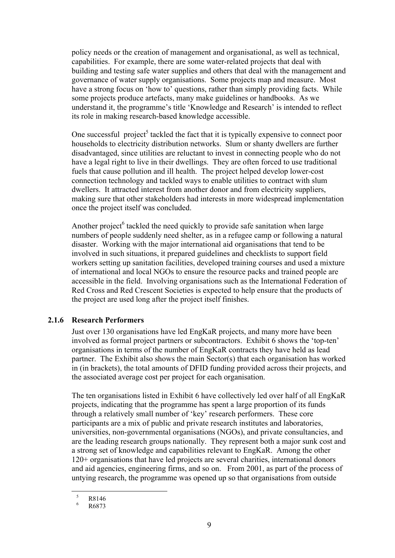policy needs or the creation of management and organisational, as well as technical, capabilities. For example, there are some water-related projects that deal with building and testing safe water supplies and others that deal with the management and governance of water supply organisations. Some projects map and measure. Most have a strong focus on 'how to' questions, rather than simply providing facts. While some projects produce artefacts, many make guidelines or handbooks. As we understand it, the programme's title 'Knowledge and Research' is intended to reflect its role in making research-based knowledge accessible.

One successful project<sup>5</sup> tackled the fact that it is typically expensive to connect poor households to electricity distribution networks. Slum or shanty dwellers are further disadvantaged, since utilities are reluctant to invest in connecting people who do not have a legal right to live in their dwellings. They are often forced to use traditional fuels that cause pollution and ill health. The project helped develop lower-cost connection technology and tackled ways to enable utilities to contract with slum dwellers. It attracted interest from another donor and from electricity suppliers, making sure that other stakeholders had interests in more widespread implementation once the project itself was concluded.

Another project<sup>6</sup> tackled the need quickly to provide safe sanitation when large numbers of people suddenly need shelter, as in a refugee camp or following a natural disaster. Working with the major international aid organisations that tend to be involved in such situations, it prepared guidelines and checklists to support field workers setting up sanitation facilities, developed training courses and used a mixture of international and local NGOs to ensure the resource packs and trained people are accessible in the field. Involving organisations such as the International Federation of Red Cross and Red Crescent Societies is expected to help ensure that the products of the project are used long after the project itself finishes.

#### **2.1.6 Research Performers**

Just over 130 organisations have led EngKaR projects, and many more have been involved as formal project partners or subcontractors. Exhibit 6 shows the 'top-ten' organisations in terms of the number of EngKaR contracts they have held as lead partner. The Exhibit also shows the main Sector(s) that each organisation has worked in (in brackets), the total amounts of DFID funding provided across their projects, and the associated average cost per project for each organisation.

The ten organisations listed in Exhibit 6 have collectively led over half of all EngKaR projects, indicating that the programme has spent a large proportion of its funds through a relatively small number of 'key' research performers. These core participants are a mix of public and private research institutes and laboratories, universities, non-governmental organisations (NGOs), and private consultancies, and are the leading research groups nationally. They represent both a major sunk cost and a strong set of knowledge and capabilities relevant to EngKaR. Among the other 120+ organisations that have led projects are several charities, international donors and aid agencies, engineering firms, and so on. From 2001, as part of the process of untying research, the programme was opened up so that organisations from outside

 $\frac{5}{6}$  R8146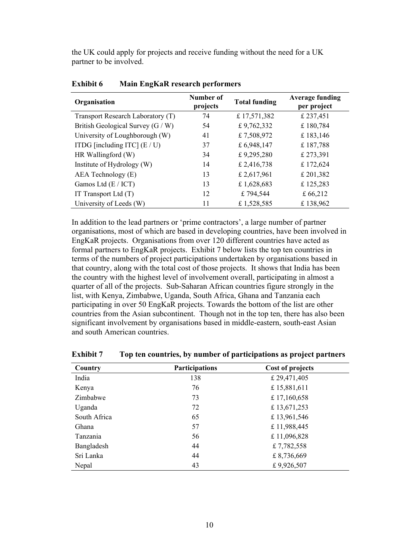the UK could apply for projects and receive funding without the need for a UK partner to be involved.

| Organisation                      | Number of<br>projects | <b>Total funding</b> | <b>Average funding</b><br>per project |
|-----------------------------------|-----------------------|----------------------|---------------------------------------|
| Transport Research Laboratory (T) | 74                    | £ 17,571,382         | £ 237,451                             |
| British Geological Survey (G / W) | 54                    | £9,762,332           | £180,784                              |
| University of Loughborough (W)    | 41                    | £7,508,972           | £ 183,146                             |
| ITDG [including ITC] $(E/U)$      | 37                    | £6,948,147           | £187,788                              |
| HR Wallingford (W)                | 34                    | £9,295,280           | £ 273,391                             |
| Institute of Hydrology (W)        | 14                    | £ 2,416,738          | £172,624                              |
| AEA Technology (E)                | 13                    | £ 2,617,961          | £ 201,382                             |
| Gamos Ltd (E / ICT)               | 13                    | £1,628,683           | £125,283                              |
| IT Transport Ltd $(T)$            | 12                    | £794,544             | £66,212                               |
| University of Leeds (W)           | 11                    | £1,528,585           | £138,962                              |

**Exhibit 6 Main EngKaR research performers**

In addition to the lead partners or 'prime contractors', a large number of partner organisations, most of which are based in developing countries, have been involved in EngKaR projects. Organisations from over 120 different countries have acted as formal partners to EngKaR projects. Exhibit 7 below lists the top ten countries in terms of the numbers of project participations undertaken by organisations based in that country, along with the total cost of those projects. It shows that India has been the country with the highest level of involvement overall, participating in almost a quarter of all of the projects. Sub-Saharan African countries figure strongly in the list, with Kenya, Zimbabwe, Uganda, South Africa, Ghana and Tanzania each participating in over 50 EngKaR projects. Towards the bottom of the list are other countries from the Asian subcontinent. Though not in the top ten, there has also been significant involvement by organisations based in middle-eastern, south-east Asian and south American countries.

| Country      | <b>Participations</b> | Cost of projects |
|--------------|-----------------------|------------------|
| India        | 138                   | £29,471,405      |
| Kenya        | 76                    | £15,881,611      |
| Zimbabwe     | 73                    | £17,160,658      |
| Uganda       | 72                    | £13,671,253      |
| South Africa | 65                    | £13,961,546      |
| Ghana        | 57                    | £11,988,445      |
| Tanzania     | 56                    | £11,096,828      |
| Bangladesh   | 44                    | £7,782,558       |
| Sri Lanka    | 44                    | £8,736,669       |
| Nepal        | 43                    | £9,926,507       |

**Exhibit 7 Top ten countries, by number of participations as project partners**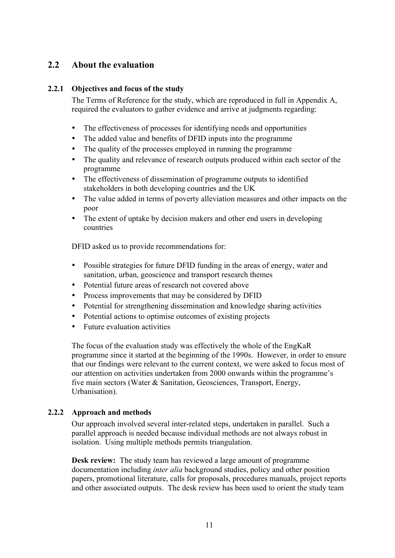## **2.2 About the evaluation**

## **2.2.1 Objectives and focus of the study**

The Terms of Reference for the study, which are reproduced in full in Appendix A, required the evaluators to gather evidence and arrive at judgments regarding:

- The effectiveness of processes for identifying needs and opportunities
- The added value and benefits of DFID inputs into the programme
- The quality of the processes employed in running the programme
- The quality and relevance of research outputs produced within each sector of the programme
- The effectiveness of dissemination of programme outputs to identified stakeholders in both developing countries and the UK
- The value added in terms of poverty alleviation measures and other impacts on the poor
- The extent of uptake by decision makers and other end users in developing countries

DFID asked us to provide recommendations for:

- Possible strategies for future DFID funding in the areas of energy, water and sanitation, urban, geoscience and transport research themes
- Potential future areas of research not covered above
- Process improvements that may be considered by DFID
- Potential for strengthening dissemination and knowledge sharing activities
- Potential actions to optimise outcomes of existing projects
- Future evaluation activities

The focus of the evaluation study was effectively the whole of the EngKaR programme since it started at the beginning of the 1990s. However, in order to ensure that our findings were relevant to the current context, we were asked to focus most of our attention on activities undertaken from 2000 onwards within the programme's five main sectors (Water & Sanitation, Geosciences, Transport, Energy, Urbanisation).

## **2.2.2 Approach and methods**

Our approach involved several inter-related steps, undertaken in parallel. Such a parallel approach is needed because individual methods are not always robust in isolation. Using multiple methods permits triangulation.

**Desk review:** The study team has reviewed a large amount of programme documentation including *inter alia* background studies, policy and other position papers, promotional literature, calls for proposals, procedures manuals, project reports and other associated outputs. The desk review has been used to orient the study team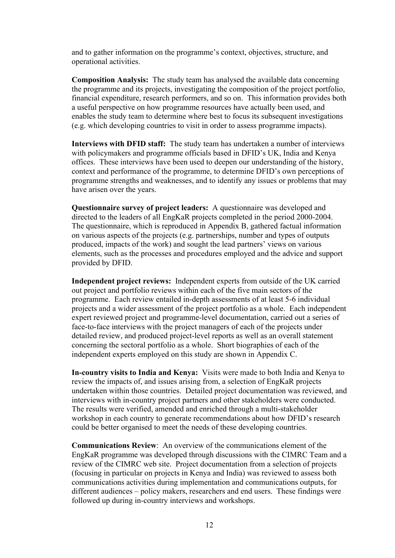and to gather information on the programme's context, objectives, structure, and operational activities.

**Composition Analysis:** The study team has analysed the available data concerning the programme and its projects, investigating the composition of the project portfolio, financial expenditure, research performers, and so on. This information provides both a useful perspective on how programme resources have actually been used, and enables the study team to determine where best to focus its subsequent investigations (e.g. which developing countries to visit in order to assess programme impacts).

**Interviews with DFID staff:** The study team has undertaken a number of interviews with policymakers and programme officials based in DFID's UK, India and Kenya offices. These interviews have been used to deepen our understanding of the history, context and performance of the programme, to determine DFID's own perceptions of programme strengths and weaknesses, and to identify any issues or problems that may have arisen over the years.

**Questionnaire survey of project leaders:** A questionnaire was developed and directed to the leaders of all EngKaR projects completed in the period 2000-2004. The questionnaire, which is reproduced in Appendix B, gathered factual information on various aspects of the projects (e.g. partnerships, number and types of outputs produced, impacts of the work) and sought the lead partners' views on various elements, such as the processes and procedures employed and the advice and support provided by DFID.

**Independent project reviews:** Independent experts from outside of the UK carried out project and portfolio reviews within each of the five main sectors of the programme. Each review entailed in-depth assessments of at least 5-6 individual projects and a wider assessment of the project portfolio as a whole. Each independent expert reviewed project and programme-level documentation, carried out a series of face-to-face interviews with the project managers of each of the projects under detailed review, and produced project-level reports as well as an overall statement concerning the sectoral portfolio as a whole. Short biographies of each of the independent experts employed on this study are shown in Appendix C.

**In-country visits to India and Kenya:** Visits were made to both India and Kenya to review the impacts of, and issues arising from, a selection of EngKaR projects undertaken within those countries. Detailed project documentation was reviewed, and interviews with in-country project partners and other stakeholders were conducted. The results were verified, amended and enriched through a multi-stakeholder workshop in each country to generate recommendations about how DFID's research could be better organised to meet the needs of these developing countries.

**Communications Review**: An overview of the communications element of the EngKaR programme was developed through discussions with the CIMRC Team and a review of the CIMRC web site. Project documentation from a selection of projects (focusing in particular on projects in Kenya and India) was reviewed to assess both communications activities during implementation and communications outputs, for different audiences – policy makers, researchers and end users. These findings were followed up during in-country interviews and workshops.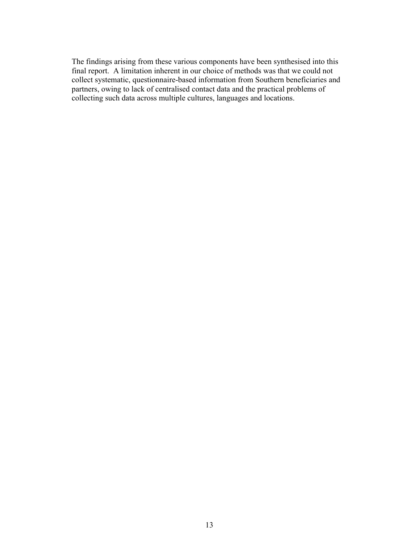The findings arising from these various components have been synthesised into this final report. A limitation inherent in our choice of methods was that we could not collect systematic, questionnaire-based information from Southern beneficiaries and partners, owing to lack of centralised contact data and the practical problems of collecting such data across multiple cultures, languages and locations.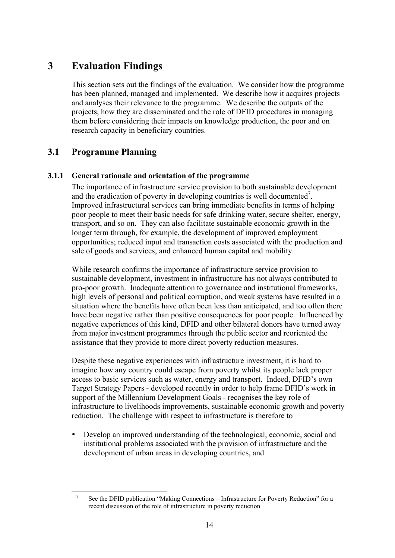## **3 Evaluation Findings**

This section sets out the findings of the evaluation. We consider how the programme has been planned, managed and implemented. We describe how it acquires projects and analyses their relevance to the programme. We describe the outputs of the projects, how they are disseminated and the role of DFID procedures in managing them before considering their impacts on knowledge production, the poor and on research capacity in beneficiary countries.

## **3.1 Programme Planning**

## **3.1.1 General rationale and orientation of the programme**

The importance of infrastructure service provision to both sustainable development and the eradication of poverty in developing countries is well documented<sup>7</sup>. Improved infrastructural services can bring immediate benefits in terms of helping poor people to meet their basic needs for safe drinking water, secure shelter, energy, transport, and so on. They can also facilitate sustainable economic growth in the longer term through, for example, the development of improved employment opportunities; reduced input and transaction costs associated with the production and sale of goods and services; and enhanced human capital and mobility.

While research confirms the importance of infrastructure service provision to sustainable development, investment in infrastructure has not always contributed to pro-poor growth. Inadequate attention to governance and institutional frameworks, high levels of personal and political corruption, and weak systems have resulted in a situation where the benefits have often been less than anticipated, and too often there have been negative rather than positive consequences for poor people. Influenced by negative experiences of this kind, DFID and other bilateral donors have turned away from major investment programmes through the public sector and reoriented the assistance that they provide to more direct poverty reduction measures.

Despite these negative experiences with infrastructure investment, it is hard to imagine how any country could escape from poverty whilst its people lack proper access to basic services such as water, energy and transport. Indeed, DFID's own Target Strategy Papers - developed recently in order to help frame DFID's work in support of the Millennium Development Goals - recognises the key role of infrastructure to livelihoods improvements, sustainable economic growth and poverty reduction. The challenge with respect to infrastructure is therefore to

• Develop an improved understanding of the technological, economic, social and institutional problems associated with the provision of infrastructure and the development of urban areas in developing countries, and

<sup>&</sup>lt;sup>7</sup> See the DFID publication "Making Connections – Infrastructure for Poverty Reduction" for a recent discussion of the role of infrastructure in poverty reduction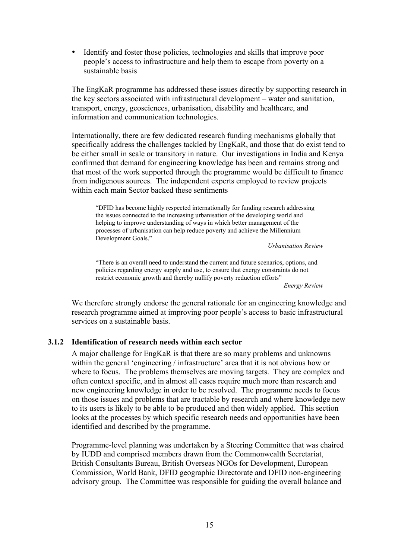• Identify and foster those policies, technologies and skills that improve poor people's access to infrastructure and help them to escape from poverty on a sustainable basis

The EngKaR programme has addressed these issues directly by supporting research in the key sectors associated with infrastructural development – water and sanitation, transport, energy, geosciences, urbanisation, disability and healthcare, and information and communication technologies.

Internationally, there are few dedicated research funding mechanisms globally that specifically address the challenges tackled by EngKaR, and those that do exist tend to be either small in scale or transitory in nature. Our investigations in India and Kenya confirmed that demand for engineering knowledge has been and remains strong and that most of the work supported through the programme would be difficult to finance from indigenous sources. The independent experts employed to review projects within each main Sector backed these sentiments

"DFID has become highly respected internationally for funding research addressing the issues connected to the increasing urbanisation of the developing world and helping to improve understanding of ways in which better management of the processes of urbanisation can help reduce poverty and achieve the Millennium Development Goals."

*Urbanisation Review*

"There is an overall need to understand the current and future scenarios, options, and policies regarding energy supply and use, to ensure that energy constraints do not restrict economic growth and thereby nullify poverty reduction efforts"

*Energy Review*

We therefore strongly endorse the general rationale for an engineering knowledge and research programme aimed at improving poor people's access to basic infrastructural services on a sustainable basis.

## **3.1.2 Identification of research needs within each sector**

A major challenge for EngKaR is that there are so many problems and unknowns within the general 'engineering / infrastructure' area that it is not obvious how or where to focus. The problems themselves are moving targets. They are complex and often context specific, and in almost all cases require much more than research and new engineering knowledge in order to be resolved. The programme needs to focus on those issues and problems that are tractable by research and where knowledge new to its users is likely to be able to be produced and then widely applied. This section looks at the processes by which specific research needs and opportunities have been identified and described by the programme.

Programme-level planning was undertaken by a Steering Committee that was chaired by IUDD and comprised members drawn from the Commonwealth Secretariat, British Consultants Bureau, British Overseas NGOs for Development, European Commission, World Bank, DFID geographic Directorate and DFID non-engineering advisory group. The Committee was responsible for guiding the overall balance and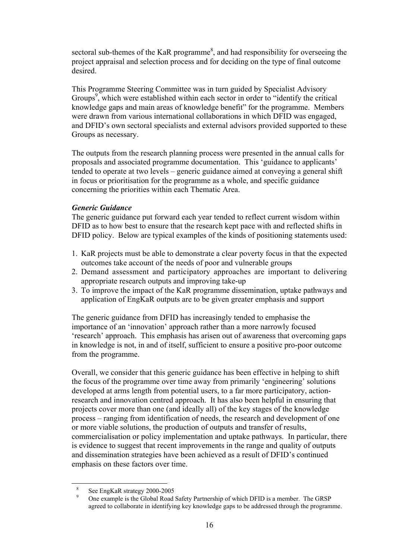sectoral sub-themes of the KaR programme<sup>8</sup>, and had responsibility for overseeing the project appraisal and selection process and for deciding on the type of final outcome desired.

This Programme Steering Committee was in turn guided by Specialist Advisory Groups<sup>9</sup>, which were established within each sector in order to "identify the critical knowledge gaps and main areas of knowledge benefit" for the programme. Members were drawn from various international collaborations in which DFID was engaged, and DFID's own sectoral specialists and external advisors provided supported to these Groups as necessary.

The outputs from the research planning process were presented in the annual calls for proposals and associated programme documentation. This 'guidance to applicants' tended to operate at two levels – generic guidance aimed at conveying a general shift in focus or prioritisation for the programme as a whole, and specific guidance concerning the priorities within each Thematic Area.

#### *Generic Guidance*

The generic guidance put forward each year tended to reflect current wisdom within DFID as to how best to ensure that the research kept pace with and reflected shifts in DFID policy. Below are typical examples of the kinds of positioning statements used:

- 1. KaR projects must be able to demonstrate a clear poverty focus in that the expected outcomes take account of the needs of poor and vulnerable groups
- 2. Demand assessment and participatory approaches are important to delivering appropriate research outputs and improving take-up
- 3. To improve the impact of the KaR programme dissemination, uptake pathways and application of EngKaR outputs are to be given greater emphasis and support

The generic guidance from DFID has increasingly tended to emphasise the importance of an 'innovation' approach rather than a more narrowly focused 'research' approach. This emphasis has arisen out of awareness that overcoming gaps in knowledge is not, in and of itself, sufficient to ensure a positive pro-poor outcome from the programme.

Overall, we consider that this generic guidance has been effective in helping to shift the focus of the programme over time away from primarily 'engineering' solutions developed at arms length from potential users, to a far more participatory, actionresearch and innovation centred approach. It has also been helpful in ensuring that projects cover more than one (and ideally all) of the key stages of the knowledge process – ranging from identification of needs, the research and development of one or more viable solutions, the production of outputs and transfer of results, commercialisation or policy implementation and uptake pathways. In particular, there is evidence to suggest that recent improvements in the range and quality of outputs and dissemination strategies have been achieved as a result of DFID's continued emphasis on these factors over time.

See EngKaR strategy 2000-2005<br>One example is the Global Road Safety Partnership of which DFID is a member. The GRSP agreed to collaborate in identifying key knowledge gaps to be addressed through the programme.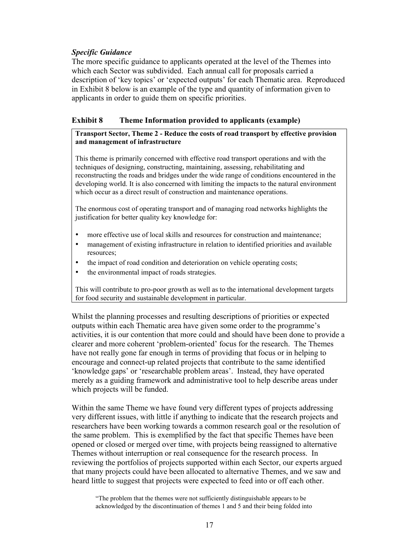## *Specific Guidance*

The more specific guidance to applicants operated at the level of the Themes into which each Sector was subdivided. Each annual call for proposals carried a description of 'key topics' or 'expected outputs' for each Thematic area. Reproduced in Exhibit 8 below is an example of the type and quantity of information given to applicants in order to guide them on specific priorities.

### **Exhibit 8 Theme Information provided to applicants (example)**

#### **Transport Sector, Theme 2 - Reduce the costs of road transport by effective provision and management of infrastructure**

This theme is primarily concerned with effective road transport operations and with the techniques of designing, constructing, maintaining, assessing, rehabilitating and reconstructing the roads and bridges under the wide range of conditions encountered in the developing world. It is also concerned with limiting the impacts to the natural environment which occur as a direct result of construction and maintenance operations.

The enormous cost of operating transport and of managing road networks highlights the justification for better quality key knowledge for:

- more effective use of local skills and resources for construction and maintenance;
- management of existing infrastructure in relation to identified priorities and available resources;
- the impact of road condition and deterioration on vehicle operating costs;
- the environmental impact of roads strategies.

This will contribute to pro-poor growth as well as to the international development targets for food security and sustainable development in particular.

Whilst the planning processes and resulting descriptions of priorities or expected outputs within each Thematic area have given some order to the programme's activities, it is our contention that more could and should have been done to provide a clearer and more coherent 'problem-oriented' focus for the research. The Themes have not really gone far enough in terms of providing that focus or in helping to encourage and connect-up related projects that contribute to the same identified 'knowledge gaps' or 'researchable problem areas'. Instead, they have operated merely as a guiding framework and administrative tool to help describe areas under which projects will be funded.

Within the same Theme we have found very different types of projects addressing very different issues, with little if anything to indicate that the research projects and researchers have been working towards a common research goal or the resolution of the same problem. This is exemplified by the fact that specific Themes have been opened or closed or merged over time, with projects being reassigned to alternative Themes without interruption or real consequence for the research process. In reviewing the portfolios of projects supported within each Sector, our experts argued that many projects could have been allocated to alternative Themes, and we saw and heard little to suggest that projects were expected to feed into or off each other.

"The problem that the themes were not sufficiently distinguishable appears to be acknowledged by the discontinuation of themes 1 and 5 and their being folded into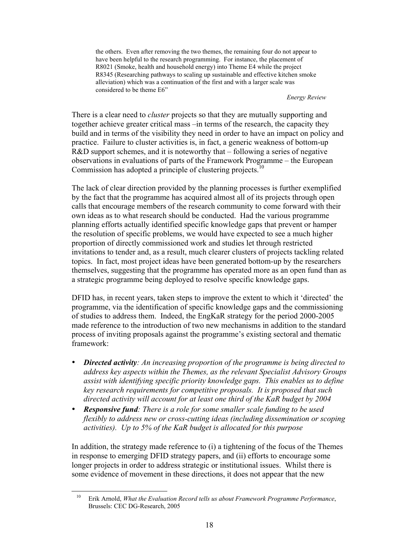the others. Even after removing the two themes, the remaining four do not appear to have been helpful to the research programming. For instance, the placement of R8021 (Smoke, health and household energy) into Theme E4 while the project R8345 (Researching pathways to scaling up sustainable and effective kitchen smoke alleviation) which was a continuation of the first and with a larger scale was considered to be theme E6"

*Energy Review*

There is a clear need to *cluster* projects so that they are mutually supporting and together achieve greater critical mass –in terms of the research, the capacity they build and in terms of the visibility they need in order to have an impact on policy and practice. Failure to cluster activities is, in fact, a generic weakness of bottom-up R&D support schemes, and it is noteworthy that – following a series of negative observations in evaluations of parts of the Framework Programme – the European Commission has adopted a principle of clustering projects.<sup>10</sup>

The lack of clear direction provided by the planning processes is further exemplified by the fact that the programme has acquired almost all of its projects through open calls that encourage members of the research community to come forward with their own ideas as to what research should be conducted. Had the various programme planning efforts actually identified specific knowledge gaps that prevent or hamper the resolution of specific problems, we would have expected to see a much higher proportion of directly commissioned work and studies let through restricted invitations to tender and, as a result, much clearer clusters of projects tackling related topics. In fact, most project ideas have been generated bottom-up by the researchers themselves, suggesting that the programme has operated more as an open fund than as a strategic programme being deployed to resolve specific knowledge gaps.

DFID has, in recent years, taken steps to improve the extent to which it 'directed' the programme, via the identification of specific knowledge gaps and the commissioning of studies to address them. Indeed, the EngKaR strategy for the period 2000-2005 made reference to the introduction of two new mechanisms in addition to the standard process of inviting proposals against the programme's existing sectoral and thematic framework:

- *Directed activity: An increasing proportion of the programme is being directed to address key aspects within the Themes, as the relevant Specialist Advisory Groups assist with identifying specific priority knowledge gaps. This enables us to define key research requirements for competitive proposals. It is proposed that such directed activity will account for at least one third of the KaR budget by 2004*
- *Responsive fund: There is a role for some smaller scale funding to be used flexibly to address new or cross-cutting ideas (including dissemination or scoping activities). Up to 5% of the KaR budget is allocated for this purpose*

In addition, the strategy made reference to (i) a tightening of the focus of the Themes in response to emerging DFID strategy papers, and (ii) efforts to encourage some longer projects in order to address strategic or institutional issues. Whilst there is some evidence of movement in these directions, it does not appear that the new

 <sup>10</sup> Erik Arnold, *What the Evaluation Record tells us about Framework Programme Performance*, Brussels: CEC DG-Research, 2005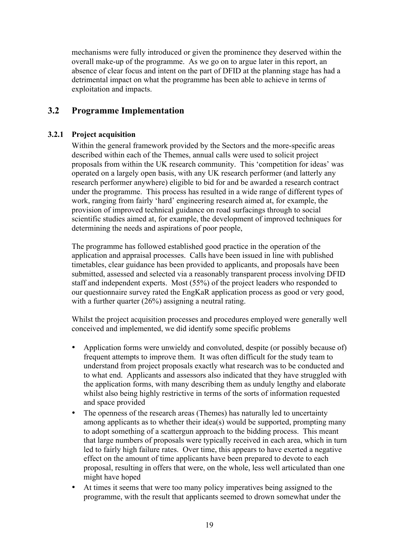mechanisms were fully introduced or given the prominence they deserved within the overall make-up of the programme. As we go on to argue later in this report, an absence of clear focus and intent on the part of DFID at the planning stage has had a detrimental impact on what the programme has been able to achieve in terms of exploitation and impacts.

## **3.2 Programme Implementation**

## **3.2.1 Project acquisition**

Within the general framework provided by the Sectors and the more-specific areas described within each of the Themes, annual calls were used to solicit project proposals from within the UK research community. This 'competition for ideas' was operated on a largely open basis, with any UK research performer (and latterly any research performer anywhere) eligible to bid for and be awarded a research contract under the programme. This process has resulted in a wide range of different types of work, ranging from fairly 'hard' engineering research aimed at, for example, the provision of improved technical guidance on road surfacings through to social scientific studies aimed at, for example, the development of improved techniques for determining the needs and aspirations of poor people,

The programme has followed established good practice in the operation of the application and appraisal processes. Calls have been issued in line with published timetables, clear guidance has been provided to applicants, and proposals have been submitted, assessed and selected via a reasonably transparent process involving DFID staff and independent experts. Most (55%) of the project leaders who responded to our questionnaire survey rated the EngKaR application process as good or very good, with a further quarter  $(26%)$  assigning a neutral rating.

Whilst the project acquisition processes and procedures employed were generally well conceived and implemented, we did identify some specific problems

- Application forms were unwieldy and convoluted, despite (or possibly because of) frequent attempts to improve them. It was often difficult for the study team to understand from project proposals exactly what research was to be conducted and to what end. Applicants and assessors also indicated that they have struggled with the application forms, with many describing them as unduly lengthy and elaborate whilst also being highly restrictive in terms of the sorts of information requested and space provided
- The openness of the research areas (Themes) has naturally led to uncertainty among applicants as to whether their idea(s) would be supported, prompting many to adopt something of a scattergun approach to the bidding process. This meant that large numbers of proposals were typically received in each area, which in turn led to fairly high failure rates. Over time, this appears to have exerted a negative effect on the amount of time applicants have been prepared to devote to each proposal, resulting in offers that were, on the whole, less well articulated than one might have hoped
- At times it seems that were too many policy imperatives being assigned to the programme, with the result that applicants seemed to drown somewhat under the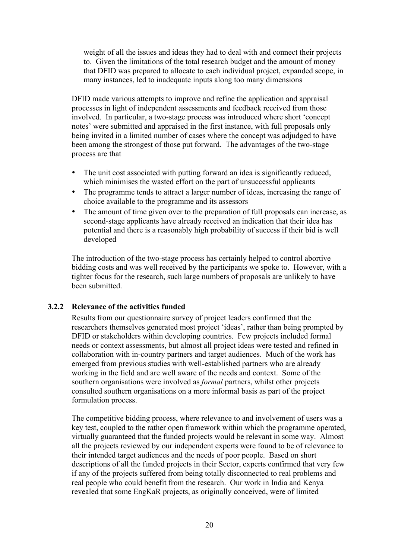weight of all the issues and ideas they had to deal with and connect their projects to. Given the limitations of the total research budget and the amount of money that DFID was prepared to allocate to each individual project, expanded scope, in many instances, led to inadequate inputs along too many dimensions

DFID made various attempts to improve and refine the application and appraisal processes in light of independent assessments and feedback received from those involved. In particular, a two-stage process was introduced where short 'concept notes' were submitted and appraised in the first instance, with full proposals only being invited in a limited number of cases where the concept was adjudged to have been among the strongest of those put forward. The advantages of the two-stage process are that

- The unit cost associated with putting forward an idea is significantly reduced, which minimises the wasted effort on the part of unsuccessful applicants
- The programme tends to attract a larger number of ideas, increasing the range of choice available to the programme and its assessors
- The amount of time given over to the preparation of full proposals can increase, as second-stage applicants have already received an indication that their idea has potential and there is a reasonably high probability of success if their bid is well developed

The introduction of the two-stage process has certainly helped to control abortive bidding costs and was well received by the participants we spoke to. However, with a tighter focus for the research, such large numbers of proposals are unlikely to have been submitted.

## **3.2.2 Relevance of the activities funded**

Results from our questionnaire survey of project leaders confirmed that the researchers themselves generated most project 'ideas', rather than being prompted by DFID or stakeholders within developing countries. Few projects included formal needs or context assessments, but almost all project ideas were tested and refined in collaboration with in-country partners and target audiences. Much of the work has emerged from previous studies with well-established partners who are already working in the field and are well aware of the needs and context. Some of the southern organisations were involved as *formal* partners, whilst other projects consulted southern organisations on a more informal basis as part of the project formulation process.

The competitive bidding process, where relevance to and involvement of users was a key test, coupled to the rather open framework within which the programme operated, virtually guaranteed that the funded projects would be relevant in some way. Almost all the projects reviewed by our independent experts were found to be of relevance to their intended target audiences and the needs of poor people. Based on short descriptions of all the funded projects in their Sector, experts confirmed that very few if any of the projects suffered from being totally disconnected to real problems and real people who could benefit from the research. Our work in India and Kenya revealed that some EngKaR projects, as originally conceived, were of limited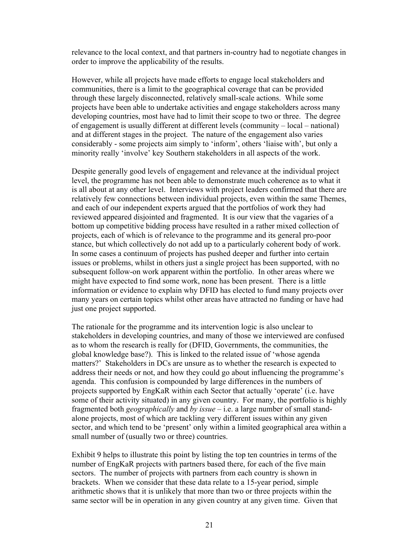relevance to the local context, and that partners in-country had to negotiate changes in order to improve the applicability of the results.

However, while all projects have made efforts to engage local stakeholders and communities, there is a limit to the geographical coverage that can be provided through these largely disconnected, relatively small-scale actions. While some projects have been able to undertake activities and engage stakeholders across many developing countries, most have had to limit their scope to two or three. The degree of engagement is usually different at different levels (community – local – national) and at different stages in the project. The nature of the engagement also varies considerably - some projects aim simply to 'inform', others 'liaise with', but only a minority really 'involve' key Southern stakeholders in all aspects of the work.

Despite generally good levels of engagement and relevance at the individual project level, the programme has not been able to demonstrate much coherence as to what it is all about at any other level. Interviews with project leaders confirmed that there are relatively few connections between individual projects, even within the same Themes, and each of our independent experts argued that the portfolios of work they had reviewed appeared disjointed and fragmented. It is our view that the vagaries of a bottom up competitive bidding process have resulted in a rather mixed collection of projects, each of which is of relevance to the programme and its general pro-poor stance, but which collectively do not add up to a particularly coherent body of work. In some cases a continuum of projects has pushed deeper and further into certain issues or problems, whilst in others just a single project has been supported, with no subsequent follow-on work apparent within the portfolio. In other areas where we might have expected to find some work, none has been present. There is a little information or evidence to explain why DFID has elected to fund many projects over many years on certain topics whilst other areas have attracted no funding or have had just one project supported.

The rationale for the programme and its intervention logic is also unclear to stakeholders in developing countries, and many of those we interviewed are confused as to whom the research is really for (DFID, Governments, the communities, the global knowledge base?). This is linked to the related issue of 'whose agenda matters?' Stakeholders in DCs are unsure as to whether the research is expected to address their needs or not, and how they could go about influencing the programme's agenda. This confusion is compounded by large differences in the numbers of projects supported by EngKaR within each Sector that actually 'operate' (i.e. have some of their activity situated) in any given country. For many, the portfolio is highly fragmented both *geographically* and *by issue* – i.e. a large number of small standalone projects, most of which are tackling very different issues within any given sector, and which tend to be 'present' only within a limited geographical area within a small number of (usually two or three) countries.

Exhibit 9 helps to illustrate this point by listing the top ten countries in terms of the number of EngKaR projects with partners based there, for each of the five main sectors. The number of projects with partners from each country is shown in brackets. When we consider that these data relate to a 15-year period, simple arithmetic shows that it is unlikely that more than two or three projects within the same sector will be in operation in any given country at any given time. Given that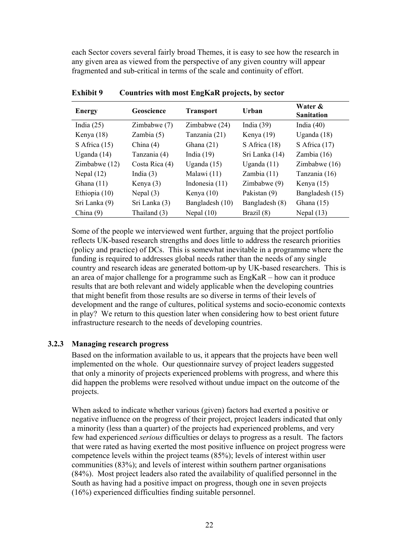each Sector covers several fairly broad Themes, it is easy to see how the research in any given area as viewed from the perspective of any given country will appear fragmented and sub-critical in terms of the scale and continuity of effort.

| <b>Energy</b>   | Geoscience     | <b>Transport</b> | Urban           | Water &<br><b>Sanitation</b> |
|-----------------|----------------|------------------|-----------------|------------------------------|
| India $(25)$    | Zimbabwe (7)   | Zimbabwe (24)    | India $(39)$    | India $(40)$                 |
| Kenya $(18)$    | Zambia $(5)$   | Tanzania (21)    | Kenya $(19)$    | Uganda $(18)$                |
| S Africa $(15)$ | China $(4)$    | Ghana $(21)$     | S Africa $(18)$ | S Africa $(17)$              |
| Uganda $(14)$   | Tanzania (4)   | India $(19)$     | Sri Lanka (14)  | Zambia $(16)$                |
| Zimbabwe $(12)$ | Costa Rica (4) | Uganda $(15)$    | Uganda $(11)$   | Zimbabwe $(16)$              |
| Nepal $(12)$    | India $(3)$    | Malawi (11)      | Zambia $(11)$   | Tanzania (16)                |
| Ghana $(11)$    | Kenya (3)      | Indonesia $(11)$ | Zimbabwe $(9)$  | Kenya $(15)$                 |
| Ethiopia (10)   | Nepal $(3)$    | Kenya $(10)$     | Pakistan (9)    | Bangladesh (15)              |
| Sri Lanka (9)   | Sri Lanka (3)  | Bangladesh (10)  | Bangladesh (8)  | Ghana $(15)$                 |
| China $(9)$     | Thailand (3)   | Nepal $(10)$     | Brazil (8)      | Nepal $(13)$                 |

**Exhibit 9 Countries with most EngKaR projects, by sector**

Some of the people we interviewed went further, arguing that the project portfolio reflects UK-based research strengths and does little to address the research priorities (policy and practice) of DCs. This is somewhat inevitable in a programme where the funding is required to addresses global needs rather than the needs of any single country and research ideas are generated bottom-up by UK-based researchers. This is an area of major challenge for a programme such as EngKaR – how can it produce results that are both relevant and widely applicable when the developing countries that might benefit from those results are so diverse in terms of their levels of development and the range of cultures, political systems and socio-economic contexts in play? We return to this question later when considering how to best orient future infrastructure research to the needs of developing countries.

#### **3.2.3 Managing research progress**

Based on the information available to us, it appears that the projects have been well implemented on the whole. Our questionnaire survey of project leaders suggested that only a minority of projects experienced problems with progress, and where this did happen the problems were resolved without undue impact on the outcome of the projects.

When asked to indicate whether various (given) factors had exerted a positive or negative influence on the progress of their project, project leaders indicated that only a minority (less than a quarter) of the projects had experienced problems, and very few had experienced *serious* difficulties or delays to progress as a result. The factors that were rated as having exerted the most positive influence on project progress were competence levels within the project teams (85%); levels of interest within user communities (83%); and levels of interest within southern partner organisations (84%). Most project leaders also rated the availability of qualified personnel in the South as having had a positive impact on progress, though one in seven projects (16%) experienced difficulties finding suitable personnel.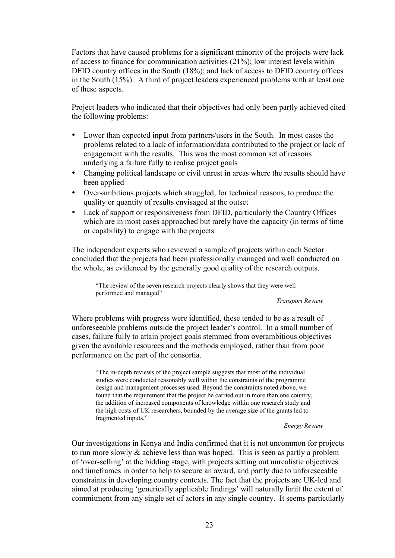Factors that have caused problems for a significant minority of the projects were lack of access to finance for communication activities (21%); low interest levels within DFID country offices in the South (18%); and lack of access to DFID country offices in the South (15%). A third of project leaders experienced problems with at least one of these aspects.

Project leaders who indicated that their objectives had only been partly achieved cited the following problems:

- Lower than expected input from partners/users in the South. In most cases the problems related to a lack of information/data contributed to the project or lack of engagement with the results. This was the most common set of reasons underlying a failure fully to realise project goals
- Changing political landscape or civil unrest in areas where the results should have been applied
- Over-ambitious projects which struggled, for technical reasons, to produce the quality or quantity of results envisaged at the outset
- Lack of support or responsiveness from DFID, particularly the Country Offices which are in most cases approached but rarely have the capacity (in terms of time or capability) to engage with the projects

The independent experts who reviewed a sample of projects within each Sector concluded that the projects had been professionally managed and well conducted on the whole, as evidenced by the generally good quality of the research outputs.

"The review of the seven research projects clearly shows that they were well performed and managed"

#### *Transport Review*

Where problems with progress were identified, these tended to be as a result of unforeseeable problems outside the project leader's control. In a small number of cases, failure fully to attain project goals stemmed from overambitious objectives given the available resources and the methods employed, rather than from poor performance on the part of the consortia.

"The in-depth reviews of the project sample suggests that most of the individual studies were conducted reasonably well within the constraints of the programme design and management processes used. Beyond the constraints noted above, we found that the requirement that the project be carried out in more than one country, the addition of increased components of knowledge within one research study and the high costs of UK researchers, bounded by the average size of the grants led to fragmented inputs."

*Energy Review*

Our investigations in Kenya and India confirmed that it is not uncommon for projects to run more slowly & achieve less than was hoped. This is seen as partly a problem of 'over-selling' at the bidding stage, with projects setting out unrealistic objectives and timeframes in order to help to secure an award, and partly due to unforeseeable constraints in developing country contexts. The fact that the projects are UK-led and aimed at producing 'generically applicable findings' will naturally limit the extent of commitment from any single set of actors in any single country. It seems particularly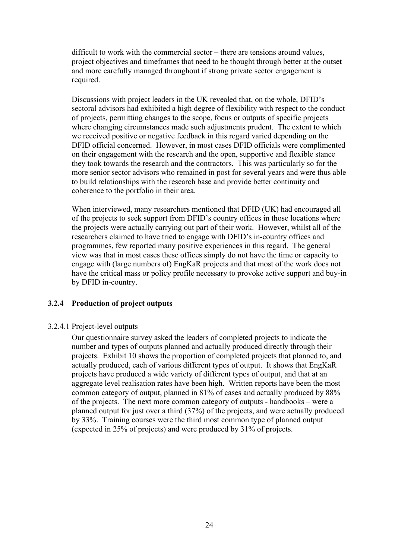difficult to work with the commercial sector – there are tensions around values, project objectives and timeframes that need to be thought through better at the outset and more carefully managed throughout if strong private sector engagement is required.

Discussions with project leaders in the UK revealed that, on the whole, DFID's sectoral advisors had exhibited a high degree of flexibility with respect to the conduct of projects, permitting changes to the scope, focus or outputs of specific projects where changing circumstances made such adjustments prudent. The extent to which we received positive or negative feedback in this regard varied depending on the DFID official concerned. However, in most cases DFID officials were complimented on their engagement with the research and the open, supportive and flexible stance they took towards the research and the contractors. This was particularly so for the more senior sector advisors who remained in post for several years and were thus able to build relationships with the research base and provide better continuity and coherence to the portfolio in their area.

When interviewed, many researchers mentioned that DFID (UK) had encouraged all of the projects to seek support from DFID's country offices in those locations where the projects were actually carrying out part of their work. However, whilst all of the researchers claimed to have tried to engage with DFID's in-country offices and programmes, few reported many positive experiences in this regard. The general view was that in most cases these offices simply do not have the time or capacity to engage with (large numbers of) EngKaR projects and that most of the work does not have the critical mass or policy profile necessary to provoke active support and buy-in by DFID in-country.

## **3.2.4 Production of project outputs**

#### 3.2.4.1 Project-level outputs

Our questionnaire survey asked the leaders of completed projects to indicate the number and types of outputs planned and actually produced directly through their projects. Exhibit 10 shows the proportion of completed projects that planned to, and actually produced, each of various different types of output. It shows that EngKaR projects have produced a wide variety of different types of output, and that at an aggregate level realisation rates have been high. Written reports have been the most common category of output, planned in 81% of cases and actually produced by 88% of the projects. The next more common category of outputs - handbooks – were a planned output for just over a third (37%) of the projects, and were actually produced by 33%. Training courses were the third most common type of planned output (expected in 25% of projects) and were produced by 31% of projects.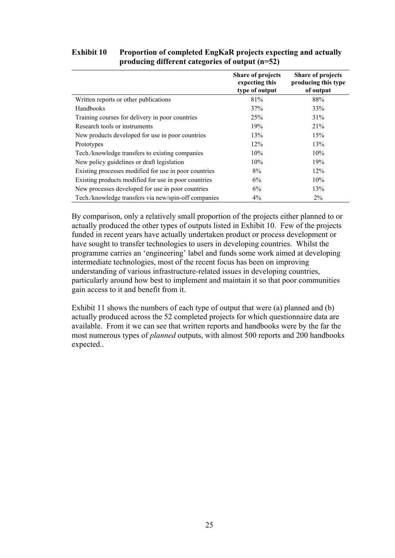### **Exhibit 10 Proportion of completed EngKaR projects expecting and actually producing different categories of output (n=52)**

|                                                       | <b>Share of projects</b><br>expecting this<br>type of output | <b>Share of projects</b><br>producing this type<br>of output |
|-------------------------------------------------------|--------------------------------------------------------------|--------------------------------------------------------------|
| Written reports or other publications                 | 81%                                                          | 88%                                                          |
| Handbooks                                             | 37%                                                          | 33%                                                          |
| Training courses for delivery in poor countries       | 25%                                                          | 31%                                                          |
| Research tools or instruments                         | 19%                                                          | 21%                                                          |
| New products developed for use in poor countries      | 13%                                                          | 15%                                                          |
| Prototypes                                            | 12%                                                          | 13%                                                          |
| Tech./knowledge transfers to existing companies       | $10\%$                                                       | 10%                                                          |
| New policy guidelines or draft legislation            | 10%                                                          | 19%                                                          |
| Existing processes modified for use in poor countries | 8%                                                           | 12%                                                          |
| Existing products modified for use in poor countries  | 6%                                                           | 10%                                                          |
| New processes developed for use in poor countries     | $6\%$                                                        | 13%                                                          |
| Tech./knowledge transfers via new/spin-off companies  | $4\%$                                                        | $2\%$                                                        |

By comparison, only a relatively small proportion of the projects either planned to or actually produced the other types of outputs listed in Exhibit 10. Few of the projects funded in recent years have actually undertaken product or process development or have sought to transfer technologies to users in developing countries. Whilst the programme carries an 'engineering' label and funds some work aimed at developing intermediate technologies, most of the recent focus has been on improving understanding of various infrastructure-related issues in developing countries, particularly around how best to implement and maintain it so that poor communities gain access to it and benefit from it.

Exhibit 11 shows the numbers of each type of output that were (a) planned and (b) actually produced across the 52 completed projects for which questionnaire data are available. From it we can see that written reports and handbooks were by the far the most numerous types of *planned* outputs, with almost 500 reports and 200 handbooks expected..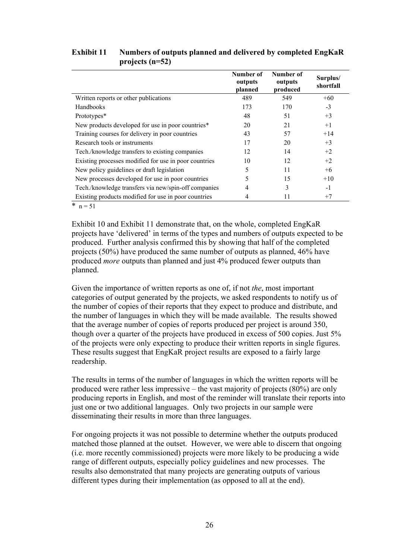|                                                             | Number of<br>outputs<br>planned | Number of<br>outputs<br>produced | Surplus/<br>shortfall |
|-------------------------------------------------------------|---------------------------------|----------------------------------|-----------------------|
| Written reports or other publications                       | 489                             | 549                              | $+60$                 |
| Handbooks                                                   | 173                             | 170                              | $-3$                  |
| Prototypes*                                                 | 48                              | 51                               | $+3$                  |
| New products developed for use in poor countries*           | 20                              | 21                               | $+1$                  |
| Training courses for delivery in poor countries             | 43                              | 57                               | $+14$                 |
| Research tools or instruments                               | 17                              | 20                               | $+3$                  |
| Tech./knowledge transfers to existing companies             | 12                              | 14                               | $+2$                  |
| Existing processes modified for use in poor countries       | 10                              | 12                               | $+2$                  |
| New policy guidelines or draft legislation                  | 5                               | 11                               | $+6$                  |
| New processes developed for use in poor countries           |                                 | 15                               | $+10$                 |
| Tech./knowledge transfers via new/spin-off companies        | 4                               | 3                                | $-1$                  |
| Existing products modified for use in poor countries<br>ماء | 4                               | 11                               | $+7$                  |

### **Exhibit 11 Numbers of outputs planned and delivered by completed EngKaR projects (n=52)**

\*  $n = 51$ 

Exhibit 10 and Exhibit 11 demonstrate that, on the whole, completed EngKaR projects have 'delivered' in terms of the types and numbers of outputs expected to be produced. Further analysis confirmed this by showing that half of the completed projects (50%) have produced the same number of outputs as planned, 46% have produced *more* outputs than planned and just 4% produced fewer outputs than planned.

Given the importance of written reports as one of, if not *the*, most important categories of output generated by the projects, we asked respondents to notify us of the number of copies of their reports that they expect to produce and distribute, and the number of languages in which they will be made available. The results showed that the average number of copies of reports produced per project is around 350, though over a quarter of the projects have produced in excess of 500 copies. Just 5% of the projects were only expecting to produce their written reports in single figures. These results suggest that EngKaR project results are exposed to a fairly large readership.

The results in terms of the number of languages in which the written reports will be produced were rather less impressive – the vast majority of projects (80%) are only producing reports in English, and most of the reminder will translate their reports into just one or two additional languages. Only two projects in our sample were disseminating their results in more than three languages.

For ongoing projects it was not possible to determine whether the outputs produced matched those planned at the outset. However, we were able to discern that ongoing (i.e. more recently commissioned) projects were more likely to be producing a wide range of different outputs, especially policy guidelines and new processes. The results also demonstrated that many projects are generating outputs of various different types during their implementation (as opposed to all at the end).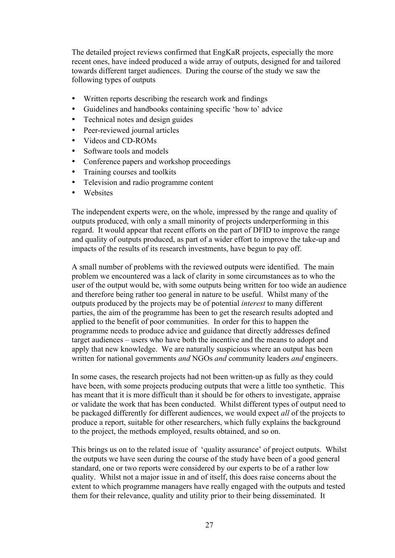The detailed project reviews confirmed that EngKaR projects, especially the more recent ones, have indeed produced a wide array of outputs, designed for and tailored towards different target audiences. During the course of the study we saw the following types of outputs

- Written reports describing the research work and findings
- Guidelines and handbooks containing specific 'how to' advice
- Technical notes and design guides
- Peer-reviewed journal articles
- Videos and CD-ROMs
- Software tools and models
- Conference papers and workshop proceedings
- Training courses and toolkits
- Television and radio programme content
- Websites

The independent experts were, on the whole, impressed by the range and quality of outputs produced, with only a small minority of projects underperforming in this regard. It would appear that recent efforts on the part of DFID to improve the range and quality of outputs produced, as part of a wider effort to improve the take-up and impacts of the results of its research investments, have begun to pay off.

A small number of problems with the reviewed outputs were identified. The main problem we encountered was a lack of clarity in some circumstances as to who the user of the output would be, with some outputs being written for too wide an audience and therefore being rather too general in nature to be useful. Whilst many of the outputs produced by the projects may be of potential *interest* to many different parties, the aim of the programme has been to get the research results adopted and applied to the benefit of poor communities. In order for this to happen the programme needs to produce advice and guidance that directly addresses defined target audiences – users who have both the incentive and the means to adopt and apply that new knowledge. We are naturally suspicious where an output has been written for national governments *and* NGOs *and* community leaders *and* engineers.

In some cases, the research projects had not been written-up as fully as they could have been, with some projects producing outputs that were a little too synthetic. This has meant that it is more difficult than it should be for others to investigate, appraise or validate the work that has been conducted. Whilst different types of output need to be packaged differently for different audiences, we would expect *all* of the projects to produce a report, suitable for other researchers, which fully explains the background to the project, the methods employed, results obtained, and so on.

This brings us on to the related issue of 'quality assurance' of project outputs. Whilst the outputs we have seen during the course of the study have been of a good general standard, one or two reports were considered by our experts to be of a rather low quality. Whilst not a major issue in and of itself, this does raise concerns about the extent to which programme managers have really engaged with the outputs and tested them for their relevance, quality and utility prior to their being disseminated. It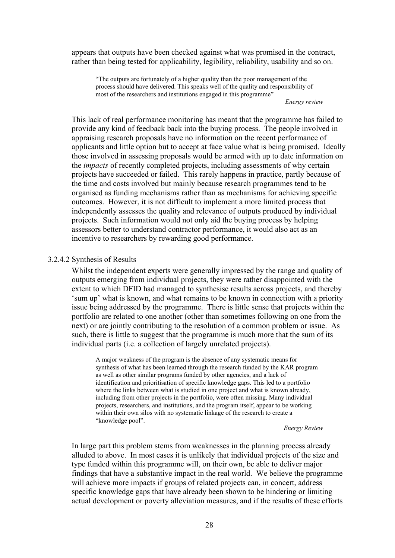appears that outputs have been checked against what was promised in the contract, rather than being tested for applicability, legibility, reliability, usability and so on.

"The outputs are fortunately of a higher quality than the poor management of the process should have delivered. This speaks well of the quality and responsibility of most of the researchers and institutions engaged in this programme"

*Energy review*

This lack of real performance monitoring has meant that the programme has failed to provide any kind of feedback back into the buying process. The people involved in appraising research proposals have no information on the recent performance of applicants and little option but to accept at face value what is being promised. Ideally those involved in assessing proposals would be armed with up to date information on the *impacts* of recently completed projects, including assessments of why certain projects have succeeded or failed. This rarely happens in practice, partly because of the time and costs involved but mainly because research programmes tend to be organised as funding mechanisms rather than as mechanisms for achieving specific outcomes. However, it is not difficult to implement a more limited process that independently assesses the quality and relevance of outputs produced by individual projects. Such information would not only aid the buying process by helping assessors better to understand contractor performance, it would also act as an incentive to researchers by rewarding good performance.

#### 3.2.4.2 Synthesis of Results

Whilst the independent experts were generally impressed by the range and quality of outputs emerging from individual projects, they were rather disappointed with the extent to which DFID had managed to synthesise results across projects, and thereby 'sum up' what is known, and what remains to be known in connection with a priority issue being addressed by the programme. There is little sense that projects within the portfolio are related to one another (other than sometimes following on one from the next) or are jointly contributing to the resolution of a common problem or issue. As such, there is little to suggest that the programme is much more that the sum of its individual parts (i.e. a collection of largely unrelated projects).

A major weakness of the program is the absence of any systematic means for synthesis of what has been learned through the research funded by the KAR program as well as other similar programs funded by other agencies, and a lack of identification and prioritisation of specific knowledge gaps. This led to a portfolio where the links between what is studied in one project and what is known already, including from other projects in the portfolio, were often missing. Many individual projects, researchers, and institutions, and the program itself, appear to be working within their own silos with no systematic linkage of the research to create a "knowledge pool".

*Energy Review*

In large part this problem stems from weaknesses in the planning process already alluded to above. In most cases it is unlikely that individual projects of the size and type funded within this programme will, on their own, be able to deliver major findings that have a substantive impact in the real world. We believe the programme will achieve more impacts if groups of related projects can, in concert, address specific knowledge gaps that have already been shown to be hindering or limiting actual development or poverty alleviation measures, and if the results of these efforts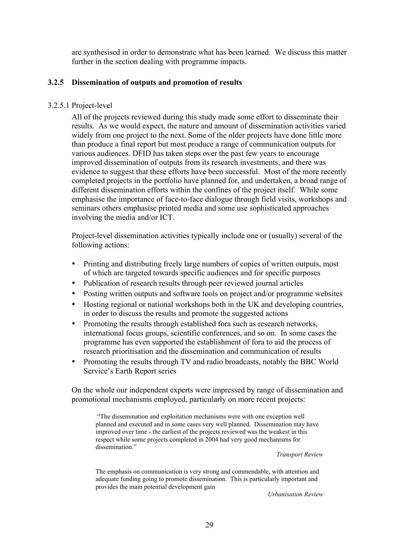are synthesised in order to demonstrate what has been learned. We discuss this matter further in the section dealing with programme impacts.

### **3.2.5 Dissemination of outputs and promotion of results**

#### 3.2.5.1 Project-level

All of the projects reviewed during this study made some effort to disseminate their results. As we would expect, the nature and amount of dissemination activities varied widely from one project to the next. Some of the older projects have done little more than produce a final report but most produce a range of communication outputs for various audiences. DFID has taken steps over the past few years to encourage improved dissemination of outputs from its research investments, and there was evidence to suggest that these efforts have been successful. Most of the more recently completed projects in the portfolio have planned for, and undertaken, a broad range of different dissemination efforts within the confines of the project itself. While some emphasise the importance of face-to-face dialogue through field visits, workshops and seminars others emphasise printed media and some use sophisticated approaches involving the media and/or ICT.

Project-level dissemination activities typically include one or (usually) several of the following actions:

- Printing and distributing freely large numbers of copies of written outputs, most of which are targeted towards specific audiences and for specific purposes
- Publication of research results through peer reviewed journal articles
- Posting written outputs and software tools on project and/or programme websites
- Hosting regional or national workshops both in the UK and developing countries, in order to discuss the results and promote the suggested actions
- Promoting the results through established fora such as research networks, international focus groups, scientific conferences, and so on. In some cases the programme has even supported the establishment of fora to aid the process of research prioritisation and the dissemination and communication of results
- Promoting the results through TV and radio broadcasts, notably the BBC World Service's Earth Report series

On the whole our independent experts were impressed by range of dissemination and promotional mechanisms employed, particularly on more recent projects:

 "The dissemination and exploitation mechanisms were with one exception well planned and executed and in some cases very well planned. Dissemination may have improved over time - the earliest of the projects reviewed was the weakest in this respect while some projects completed in 2004 had very good mechanisms for dissemination."

*Transport Review*

The emphasis on communication is very strong and commendable, with attention and adequate funding going to promote dissemination. This is particularly important and provides the main potential development gain

*Urbanisation Review*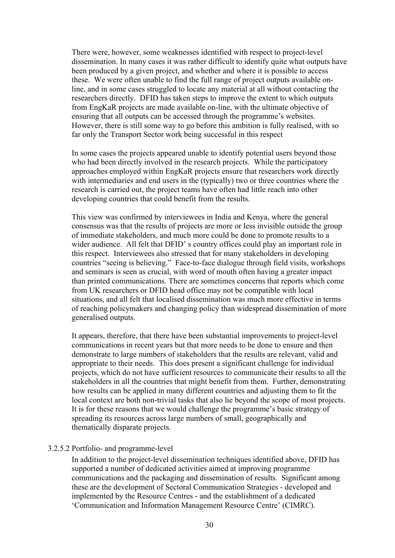There were, however, some weaknesses identified with respect to project-level dissemination. In many cases it was rather difficult to identify quite what outputs have been produced by a given project, and whether and where it is possible to access these. We were often unable to find the full range of project outputs available online, and in some cases struggled to locate any material at all without contacting the researchers directly. DFID has taken steps to improve the extent to which outputs from EngKaR projects are made available on-line, with the ultimate objective of ensuring that all outputs can be accessed through the programme's websites. However, there is still some way to go before this ambition is fully realised, with so far only the Transport Sector work being successful in this respect

In some cases the projects appeared unable to identify potential users beyond those who had been directly involved in the research projects. While the participatory approaches employed within EngKaR projects ensure that researchers work directly with intermediaries and end users in the (typically) two or three countries where the research is carried out, the project teams have often had little reach into other developing countries that could benefit from the results.

This view was confirmed by interviewees in India and Kenya, where the general consensus was that the results of projects are more or less invisible outside the group of immediate stakeholders, and much more could be done to promote results to a wider audience. All felt that DFID' s country offices could play an important role in this respect. Interviewees also stressed that for many stakeholders in developing countries "seeing is believing." Face-to-face dialogue through field visits, workshops and seminars is seen as crucial, with word of mouth often having a greater impact than printed communications. There are sometimes concerns that reports which come from UK researchers or DFID head office may not be compatible with local situations, and all felt that localised dissemination was much more effective in terms of reaching policymakers and changing policy than widespread dissemination of more generalised outputs.

It appears, therefore, that there have been substantial improvements to project-level communications in recent years but that more needs to be done to ensure and then demonstrate to large numbers of stakeholders that the results are relevant, valid and appropriate to their needs. This does present a significant challenge for individual projects, which do not have sufficient resources to communicate their results to all the stakeholders in all the countries that might benefit from them. Further, demonstrating how results can be applied in many different countries and adjusting them to fit the local context are both non-trivial tasks that also lie beyond the scope of most projects. It is for these reasons that we would challenge the programme's basic strategy of spreading its resources across large numbers of small, geographically and thematically disparate projects.

#### 3.2.5.2 Portfolio- and programme-level

In addition to the project-level dissemination techniques identified above, DFID has supported a number of dedicated activities aimed at improving programme communications and the packaging and dissemination of results. Significant among these are the development of Sectoral Communication Strategies - developed and implemented by the Resource Centres - and the establishment of a dedicated 'Communication and Information Management Resource Centre' (CIMRC).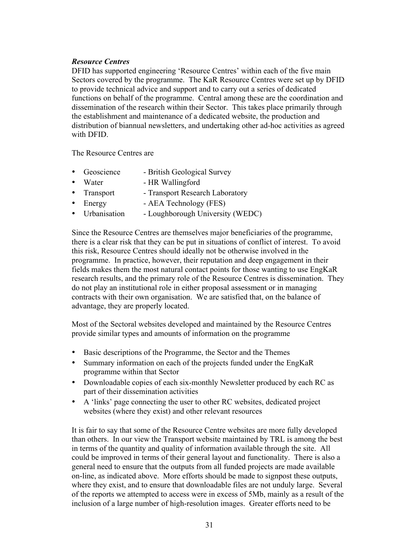### *Resource Centres*

DFID has supported engineering 'Resource Centres' within each of the five main Sectors covered by the programme. The KaR Resource Centres were set up by DFID to provide technical advice and support and to carry out a series of dedicated functions on behalf of the programme. Central among these are the coordination and dissemination of the research within their Sector. This takes place primarily through the establishment and maintenance of a dedicated website, the production and distribution of biannual newsletters, and undertaking other ad-hoc activities as agreed with DFID.

The Resource Centres are

- Geoscience British Geological Survey
- Water HR Wallingford
- Transport Transport Research Laboratory
- Energy AEA Technology (FES)
- Urbanisation Loughborough University (WEDC)

Since the Resource Centres are themselves major beneficiaries of the programme, there is a clear risk that they can be put in situations of conflict of interest. To avoid this risk, Resource Centres should ideally not be otherwise involved in the programme. In practice, however, their reputation and deep engagement in their fields makes them the most natural contact points for those wanting to use EngKaR research results, and the primary role of the Resource Centres is dissemination. They do not play an institutional role in either proposal assessment or in managing contracts with their own organisation. We are satisfied that, on the balance of advantage, they are properly located.

Most of the Sectoral websites developed and maintained by the Resource Centres provide similar types and amounts of information on the programme

- Basic descriptions of the Programme, the Sector and the Themes
- Summary information on each of the projects funded under the EngKaR programme within that Sector
- Downloadable copies of each six-monthly Newsletter produced by each RC as part of their dissemination activities
- A 'links' page connecting the user to other RC websites, dedicated project websites (where they exist) and other relevant resources

It is fair to say that some of the Resource Centre websites are more fully developed than others. In our view the Transport website maintained by TRL is among the best in terms of the quantity and quality of information available through the site. All could be improved in terms of their general layout and functionality. There is also a general need to ensure that the outputs from all funded projects are made available on-line, as indicated above. More efforts should be made to signpost these outputs, where they exist, and to ensure that downloadable files are not unduly large. Several of the reports we attempted to access were in excess of 5Mb, mainly as a result of the inclusion of a large number of high-resolution images. Greater efforts need to be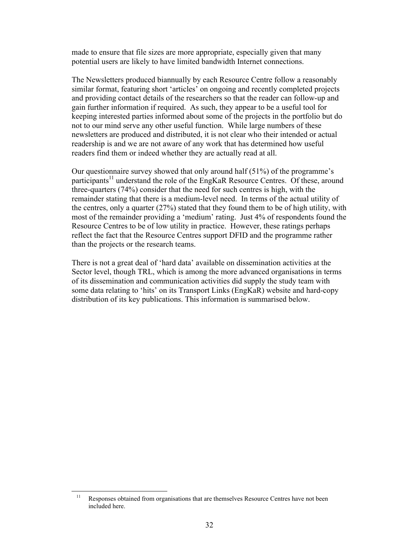made to ensure that file sizes are more appropriate, especially given that many potential users are likely to have limited bandwidth Internet connections.

The Newsletters produced biannually by each Resource Centre follow a reasonably similar format, featuring short 'articles' on ongoing and recently completed projects and providing contact details of the researchers so that the reader can follow-up and gain further information if required. As such, they appear to be a useful tool for keeping interested parties informed about some of the projects in the portfolio but do not to our mind serve any other useful function. While large numbers of these newsletters are produced and distributed, it is not clear who their intended or actual readership is and we are not aware of any work that has determined how useful readers find them or indeed whether they are actually read at all.

Our questionnaire survey showed that only around half (51%) of the programme's participants<sup>11</sup> understand the role of the EngKaR Resource Centres. Of these, around three-quarters (74%) consider that the need for such centres is high, with the remainder stating that there is a medium-level need. In terms of the actual utility of the centres, only a quarter  $(27%)$  stated that they found them to be of high utility, with most of the remainder providing a 'medium' rating. Just 4% of respondents found the Resource Centres to be of low utility in practice. However, these ratings perhaps reflect the fact that the Resource Centres support DFID and the programme rather than the projects or the research teams.

There is not a great deal of 'hard data' available on dissemination activities at the Sector level, though TRL, which is among the more advanced organisations in terms of its dissemination and communication activities did supply the study team with some data relating to 'hits' on its Transport Links (EngKaR) website and hard-copy distribution of its key publications. This information is summarised below.

<sup>&</sup>lt;sup>11</sup> Responses obtained from organisations that are themselves Resource Centres have not been included here.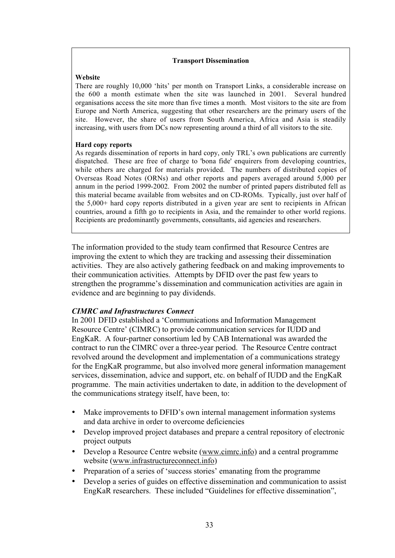#### **Transport Dissemination**

#### **Website**

There are roughly 10,000 'hits' per month on Transport Links, a considerable increase on the 600 a month estimate when the site was launched in 2001. Several hundred organisations access the site more than five times a month. Most visitors to the site are from Europe and North America, suggesting that other researchers are the primary users of the site. However, the share of users from South America, Africa and Asia is steadily increasing, with users from DCs now representing around a third of all visitors to the site.

#### **Hard copy reports**

As regards dissemination of reports in hard copy, only TRL's own publications are currently dispatched. These are free of charge to 'bona fide' enquirers from developing countries, while others are charged for materials provided. The numbers of distributed copies of Overseas Road Notes (ORNs) and other reports and papers averaged around 5,000 per annum in the period 1999-2002. From 2002 the number of printed papers distributed fell as this material became available from websites and on CD-ROMs. Typically, just over half of the 5,000+ hard copy reports distributed in a given year are sent to recipients in African countries, around a fifth go to recipients in Asia, and the remainder to other world regions. Recipients are predominantly governments, consultants, aid agencies and researchers.

The information provided to the study team confirmed that Resource Centres are improving the extent to which they are tracking and assessing their dissemination activities. They are also actively gathering feedback on and making improvements to their communication activities. Attempts by DFID over the past few years to strengthen the programme's dissemination and communication activities are again in evidence and are beginning to pay dividends.

#### *CIMRC and Infrastructures Connect*

In 2001 DFID established a 'Communications and Information Management Resource Centre' (CIMRC) to provide communication services for IUDD and EngKaR. A four-partner consortium led by CAB International was awarded the contract to run the CIMRC over a three-year period. The Resource Centre contract revolved around the development and implementation of a communications strategy for the EngKaR programme, but also involved more general information management services, dissemination, advice and support, etc. on behalf of IUDD and the EngKaR programme. The main activities undertaken to date, in addition to the development of the communications strategy itself, have been, to:

- Make improvements to DFID's own internal management information systems and data archive in order to overcome deficiencies
- Develop improved project databases and prepare a central repository of electronic project outputs
- Develop a Resource Centre website (www.cimrc.info) and a central programme website (www.infrastructureconnect.info)
- Preparation of a series of 'success stories' emanating from the programme
- Develop a series of guides on effective dissemination and communication to assist EngKaR researchers. These included "Guidelines for effective dissemination",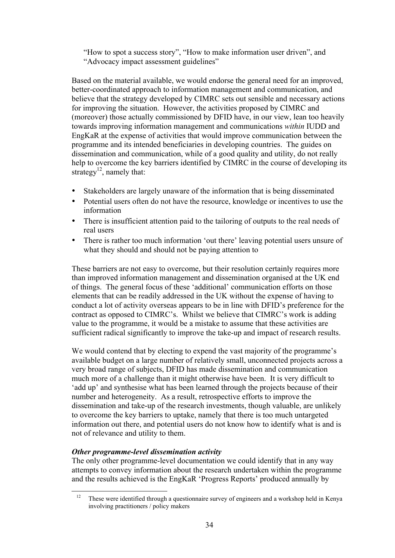"How to spot a success story", "How to make information user driven", and "Advocacy impact assessment guidelines"

Based on the material available, we would endorse the general need for an improved, better-coordinated approach to information management and communication, and believe that the strategy developed by CIMRC sets out sensible and necessary actions for improving the situation. However, the activities proposed by CIMRC and (moreover) those actually commissioned by DFID have, in our view, lean too heavily towards improving information management and communications *within* IUDD and EngKaR at the expense of activities that would improve communication between the programme and its intended beneficiaries in developing countries. The guides on dissemination and communication, while of a good quality and utility, do not really help to overcome the key barriers identified by CIMRC in the course of developing its strategy<sup>12</sup>, namely that:

- Stakeholders are largely unaware of the information that is being disseminated
- Potential users often do not have the resource, knowledge or incentives to use the information
- There is insufficient attention paid to the tailoring of outputs to the real needs of real users
- There is rather too much information 'out there' leaving potential users unsure of what they should and should not be paying attention to

These barriers are not easy to overcome, but their resolution certainly requires more than improved information management and dissemination organised at the UK end of things. The general focus of these 'additional' communication efforts on those elements that can be readily addressed in the UK without the expense of having to conduct a lot of activity overseas appears to be in line with DFID's preference for the contract as opposed to CIMRC's. Whilst we believe that CIMRC's work is adding value to the programme, it would be a mistake to assume that these activities are sufficient radical significantly to improve the take-up and impact of research results.

We would contend that by electing to expend the vast majority of the programme's available budget on a large number of relatively small, unconnected projects across a very broad range of subjects, DFID has made dissemination and communication much more of a challenge than it might otherwise have been. It is very difficult to 'add up' and synthesise what has been learned through the projects because of their number and heterogeneity. As a result, retrospective efforts to improve the dissemination and take-up of the research investments, though valuable, are unlikely to overcome the key barriers to uptake, namely that there is too much untargeted information out there, and potential users do not know how to identify what is and is not of relevance and utility to them.

# *Other programme-level dissemination activity*

The only other programme-level documentation we could identify that in any way attempts to convey information about the research undertaken within the programme and the results achieved is the EngKaR 'Progress Reports' produced annually by

<sup>&</sup>lt;sup>12</sup> These were identified through a questionnaire survey of engineers and a workshop held in Kenya involving practitioners / policy makers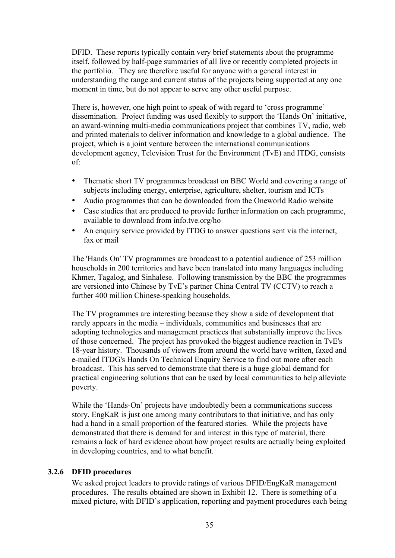DFID. These reports typically contain very brief statements about the programme itself, followed by half-page summaries of all live or recently completed projects in the portfolio. They are therefore useful for anyone with a general interest in understanding the range and current status of the projects being supported at any one moment in time, but do not appear to serve any other useful purpose.

There is, however, one high point to speak of with regard to 'cross programme' dissemination. Project funding was used flexibly to support the 'Hands On' initiative, an award-winning multi-media communications project that combines TV, radio, web and printed materials to deliver information and knowledge to a global audience. The project, which is a joint venture between the international communications development agency, Television Trust for the Environment (TvE) and ITDG, consists of:

- Thematic short TV programmes broadcast on BBC World and covering a range of subjects including energy, enterprise, agriculture, shelter, tourism and ICTs
- Audio programmes that can be downloaded from the Oneworld Radio website
- Case studies that are produced to provide further information on each programme, available to download from info.tve.org/ho
- An enquiry service provided by ITDG to answer questions sent via the internet, fax or mail

The 'Hands On' TV programmes are broadcast to a potential audience of 253 million households in 200 territories and have been translated into many languages including Khmer, Tagalog, and Sinhalese. Following transmission by the BBC the programmes are versioned into Chinese by TvE's partner China Central TV (CCTV) to reach a further 400 million Chinese-speaking households.

The TV programmes are interesting because they show a side of development that rarely appears in the media – individuals, communities and businesses that are adopting technologies and management practices that substantially improve the lives of those concerned. The project has provoked the biggest audience reaction in TvE's 18-year history. Thousands of viewers from around the world have written, faxed and e-mailed ITDG's Hands On Technical Enquiry Service to find out more after each broadcast. This has served to demonstrate that there is a huge global demand for practical engineering solutions that can be used by local communities to help alleviate poverty.

While the 'Hands-On' projects have undoubtedly been a communications success story, EngKaR is just one among many contributors to that initiative, and has only had a hand in a small proportion of the featured stories. While the projects have demonstrated that there is demand for and interest in this type of material, there remains a lack of hard evidence about how project results are actually being exploited in developing countries, and to what benefit.

# **3.2.6 DFID procedures**

We asked project leaders to provide ratings of various DFID/EngKaR management procedures. The results obtained are shown in Exhibit 12. There is something of a mixed picture, with DFID's application, reporting and payment procedures each being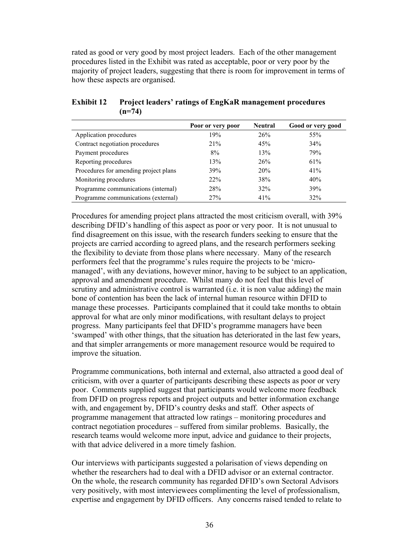rated as good or very good by most project leaders. Each of the other management procedures listed in the Exhibit was rated as acceptable, poor or very poor by the majority of project leaders, suggesting that there is room for improvement in terms of how these aspects are organised.

|                                       | Poor or very poor | <b>Neutral</b> | Good or very good |
|---------------------------------------|-------------------|----------------|-------------------|
| Application procedures                | 19%               | 26%            | 55%               |
| Contract negotiation procedures       | 21%               | 45%            | 34%               |
| Payment procedures                    | 8%                | 13%            | 79%               |
| Reporting procedures                  | 13%               | 26%            | 61%               |
| Procedures for amending project plans | 39%               | 20%            | 41%               |
| Monitoring procedures                 | 22%               | 38%            | 40%               |
| Programme communications (internal)   | 28%               | 32%            | 39%               |
| Programme communications (external)   | 27%               | 41%            | 32%               |

#### **Exhibit 12 Project leaders' ratings of EngKaR management procedures (n=74)**

Procedures for amending project plans attracted the most criticism overall, with 39% describing DFID's handling of this aspect as poor or very poor. It is not unusual to find disagreement on this issue, with the research funders seeking to ensure that the projects are carried according to agreed plans, and the research performers seeking the flexibility to deviate from those plans where necessary. Many of the research performers feel that the programme's rules require the projects to be 'micromanaged', with any deviations, however minor, having to be subject to an application, approval and amendment procedure. Whilst many do not feel that this level of scrutiny and administrative control is warranted (i.e. it is non value adding) the main bone of contention has been the lack of internal human resource within DFID to manage these processes. Participants complained that it could take months to obtain approval for what are only minor modifications, with resultant delays to project progress. Many participants feel that DFID's programme managers have been 'swamped' with other things, that the situation has deteriorated in the last few years, and that simpler arrangements or more management resource would be required to improve the situation.

Programme communications, both internal and external, also attracted a good deal of criticism, with over a quarter of participants describing these aspects as poor or very poor. Comments supplied suggest that participants would welcome more feedback from DFID on progress reports and project outputs and better information exchange with, and engagement by, DFID's country desks and staff. Other aspects of programme management that attracted low ratings – monitoring procedures and contract negotiation procedures – suffered from similar problems. Basically, the research teams would welcome more input, advice and guidance to their projects, with that advice delivered in a more timely fashion.

Our interviews with participants suggested a polarisation of views depending on whether the researchers had to deal with a DFID advisor or an external contractor. On the whole, the research community has regarded DFID's own Sectoral Advisors very positively, with most interviewees complimenting the level of professionalism, expertise and engagement by DFID officers. Any concerns raised tended to relate to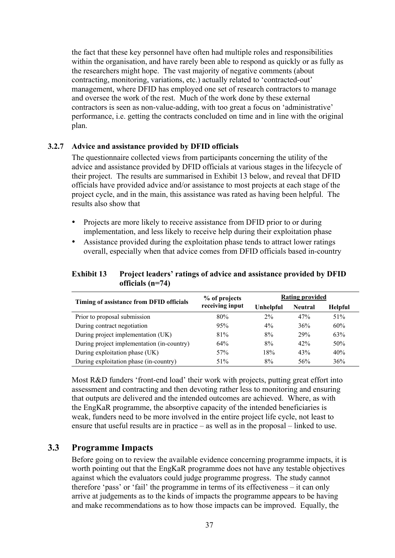the fact that these key personnel have often had multiple roles and responsibilities within the organisation, and have rarely been able to respond as quickly or as fully as the researchers might hope. The vast majority of negative comments (about contracting, monitoring, variations, etc.) actually related to 'contracted-out' management, where DFID has employed one set of research contractors to manage and oversee the work of the rest. Much of the work done by these external contractors is seen as non-value-adding, with too great a focus on 'administrative' performance, i.e. getting the contracts concluded on time and in line with the original plan.

### **3.2.7 Advice and assistance provided by DFID officials**

The questionnaire collected views from participants concerning the utility of the advice and assistance provided by DFID officials at various stages in the lifecycle of their project. The results are summarised in Exhibit 13 below, and reveal that DFID officials have provided advice and/or assistance to most projects at each stage of the project cycle, and in the main, this assistance was rated as having been helpful. The results also show that

- Projects are more likely to receive assistance from DFID prior to or during implementation, and less likely to receive help during their exploitation phase
- Assistance provided during the exploitation phase tends to attract lower ratings overall, especially when that advice comes from DFID officials based in-country

### **Exhibit 13 Project leaders' ratings of advice and assistance provided by DFID officials (n=74)**

| Timing of assistance from DFID officials   | % of projects<br>receiving input | <b>Rating provided</b> |                |                |
|--------------------------------------------|----------------------------------|------------------------|----------------|----------------|
|                                            |                                  | Unhelpful              | <b>Neutral</b> | <b>Helpful</b> |
| Prior to proposal submission               | 80%                              | $2\%$                  | 47%            | 51%            |
| During contract negotiation                | 95%                              | $4\%$                  | 36%            | 60%            |
| During project implementation (UK)         | 81%                              | 8%                     | 29%            | 63%            |
| During project implementation (in-country) | 64%                              | 8%                     | 42%            | 50%            |
| During exploitation phase (UK)             | 57%                              | 18%                    | 43%            | 40%            |
| During exploitation phase (in-country)     | 51%                              | 8%                     | 56%            | 36%            |

Most R&D funders 'front-end load' their work with projects, putting great effort into assessment and contracting and then devoting rather less to monitoring and ensuring that outputs are delivered and the intended outcomes are achieved. Where, as with the EngKaR programme, the absorptive capacity of the intended beneficiaries is weak, funders need to be more involved in the entire project life cycle, not least to ensure that useful results are in practice – as well as in the proposal – linked to use.

# **3.3 Programme Impacts**

Before going on to review the available evidence concerning programme impacts, it is worth pointing out that the EngKaR programme does not have any testable objectives against which the evaluators could judge programme progress. The study cannot therefore 'pass' or 'fail' the programme in terms of its effectiveness – it can only arrive at judgements as to the kinds of impacts the programme appears to be having and make recommendations as to how those impacts can be improved. Equally, the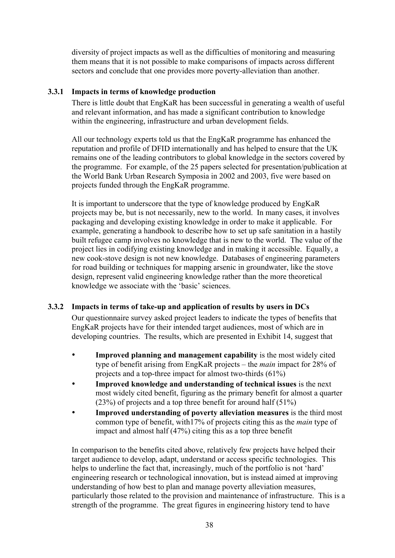diversity of project impacts as well as the difficulties of monitoring and measuring them means that it is not possible to make comparisons of impacts across different sectors and conclude that one provides more poverty-alleviation than another.

## **3.3.1 Impacts in terms of knowledge production**

There is little doubt that EngKaR has been successful in generating a wealth of useful and relevant information, and has made a significant contribution to knowledge within the engineering, infrastructure and urban development fields.

All our technology experts told us that the EngKaR programme has enhanced the reputation and profile of DFID internationally and has helped to ensure that the UK remains one of the leading contributors to global knowledge in the sectors covered by the programme. For example, of the 25 papers selected for presentation/publication at the World Bank Urban Research Symposia in 2002 and 2003, five were based on projects funded through the EngKaR programme.

It is important to underscore that the type of knowledge produced by EngKaR projects may be, but is not necessarily, new to the world. In many cases, it involves packaging and developing existing knowledge in order to make it applicable. For example, generating a handbook to describe how to set up safe sanitation in a hastily built refugee camp involves no knowledge that is new to the world. The value of the project lies in codifying existing knowledge and in making it accessible. Equally, a new cook-stove design is not new knowledge. Databases of engineering parameters for road building or techniques for mapping arsenic in groundwater, like the stove design, represent valid engineering knowledge rather than the more theoretical knowledge we associate with the 'basic' sciences.

# **3.3.2 Impacts in terms of take-up and application of results by users in DCs**

Our questionnaire survey asked project leaders to indicate the types of benefits that EngKaR projects have for their intended target audiences, most of which are in developing countries. The results, which are presented in Exhibit 14, suggest that

- **Improved planning and management capability** is the most widely cited type of benefit arising from EngKaR projects – the *main* impact for 28% of projects and a top-three impact for almost two-thirds (61%)
- **Improved knowledge and understanding of technical issues** is the next most widely cited benefit, figuring as the primary benefit for almost a quarter (23%) of projects and a top three benefit for around half (51%)
- **Improved understanding of poverty alleviation measures** is the third most common type of benefit, with17% of projects citing this as the *main* type of impact and almost half (47%) citing this as a top three benefit

In comparison to the benefits cited above, relatively few projects have helped their target audience to develop, adapt, understand or access specific technologies. This helps to underline the fact that, increasingly, much of the portfolio is not 'hard' engineering research or technological innovation, but is instead aimed at improving understanding of how best to plan and manage poverty alleviation measures, particularly those related to the provision and maintenance of infrastructure. This is a strength of the programme. The great figures in engineering history tend to have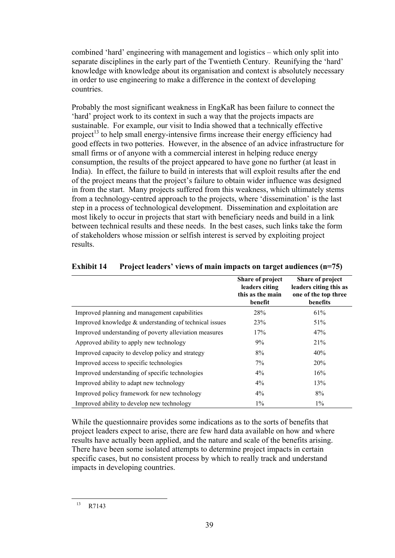combined 'hard' engineering with management and logistics – which only split into separate disciplines in the early part of the Twentieth Century. Reunifying the 'hard' knowledge with knowledge about its organisation and context is absolutely necessary in order to use engineering to make a difference in the context of developing countries.

Probably the most significant weakness in EngKaR has been failure to connect the 'hard' project work to its context in such a way that the projects impacts are sustainable. For example, our visit to India showed that a technically effective project<sup>13</sup> to help small energy-intensive firms increase their energy efficiency had good effects in two potteries. However, in the absence of an advice infrastructure for small firms or of anyone with a commercial interest in helping reduce energy consumption, the results of the project appeared to have gone no further (at least in India). In effect, the failure to build in interests that will exploit results after the end of the project means that the project's failure to obtain wider influence was designed in from the start. Many projects suffered from this weakness, which ultimately stems from a technology-centred approach to the projects, where 'dissemination' is the last step in a process of technological development. Dissemination and exploitation are most likely to occur in projects that start with beneficiary needs and build in a link between technical results and these needs. In the best cases, such links take the form of stakeholders whose mission or selfish interest is served by exploiting project results.

|                                                        | Share of project<br>leaders citing<br>this as the main<br>benefit | Share of project<br>leaders citing this as<br>one of the top three<br>benefits |
|--------------------------------------------------------|-------------------------------------------------------------------|--------------------------------------------------------------------------------|
| Improved planning and management capabilities          | 28%                                                               | 61%                                                                            |
| Improved knowledge & understanding of technical issues | 23%                                                               | 51%                                                                            |
| Improved understanding of poverty alleviation measures | 17%                                                               | 47%                                                                            |
| Approved ability to apply new technology               | 9%                                                                | 21%                                                                            |
| Improved capacity to develop policy and strategy       | 8%                                                                | 40%                                                                            |
| Improved access to specific technologies               | $7\%$                                                             | 20%                                                                            |
| Improved understanding of specific technologies        | $4\%$                                                             | 16%                                                                            |
| Improved ability to adapt new technology               | $4\%$                                                             | 13%                                                                            |
| Improved policy framework for new technology           | $4\%$                                                             | 8%                                                                             |
| Improved ability to develop new technology             | $1\%$                                                             | $1\%$                                                                          |

### **Exhibit 14 Project leaders' views of main impacts on target audiences (n=75)**

While the questionnaire provides some indications as to the sorts of benefits that project leaders expect to arise, there are few hard data available on how and where results have actually been applied, and the nature and scale of the benefits arising. There have been some isolated attempts to determine project impacts in certain specific cases, but no consistent process by which to really track and understand impacts in developing countries.

 <sup>13</sup> R7143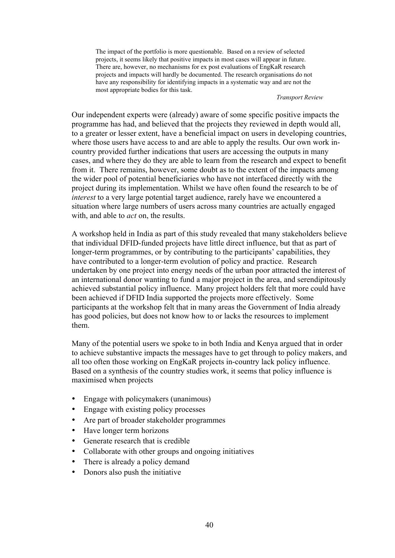The impact of the portfolio is more questionable. Based on a review of selected projects, it seems likely that positive impacts in most cases will appear in future. There are, however, no mechanisms for ex post evaluations of EngKaR research projects and impacts will hardly be documented. The research organisations do not have any responsibility for identifying impacts in a systematic way and are not the most appropriate bodies for this task.

#### *Transport Review*

Our independent experts were (already) aware of some specific positive impacts the programme has had, and believed that the projects they reviewed in depth would all, to a greater or lesser extent, have a beneficial impact on users in developing countries, where those users have access to and are able to apply the results. Our own work incountry provided further indications that users are accessing the outputs in many cases, and where they do they are able to learn from the research and expect to benefit from it. There remains, however, some doubt as to the extent of the impacts among the wider pool of potential beneficiaries who have not interfaced directly with the project during its implementation. Whilst we have often found the research to be of *interest* to a very large potential target audience, rarely have we encountered a situation where large numbers of users across many countries are actually engaged with, and able to *act* on, the results.

A workshop held in India as part of this study revealed that many stakeholders believe that individual DFID-funded projects have little direct influence, but that as part of longer-term programmes, or by contributing to the participants' capabilities, they have contributed to a longer-term evolution of policy and practice. Research undertaken by one project into energy needs of the urban poor attracted the interest of an international donor wanting to fund a major project in the area, and serendipitously achieved substantial policy influence. Many project holders felt that more could have been achieved if DFID India supported the projects more effectively. Some participants at the workshop felt that in many areas the Government of India already has good policies, but does not know how to or lacks the resources to implement them.

Many of the potential users we spoke to in both India and Kenya argued that in order to achieve substantive impacts the messages have to get through to policy makers, and all too often those working on EngKaR projects in-country lack policy influence. Based on a synthesis of the country studies work, it seems that policy influence is maximised when projects

- Engage with policymakers (unanimous)
- Engage with existing policy processes
- Are part of broader stakeholder programmes
- Have longer term horizons
- Generate research that is credible
- Collaborate with other groups and ongoing initiatives
- There is already a policy demand
- Donors also push the initiative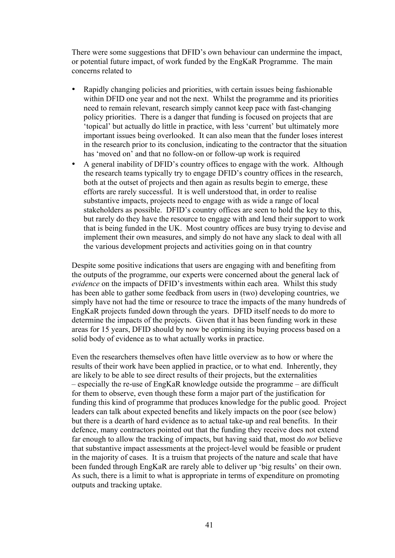There were some suggestions that DFID's own behaviour can undermine the impact, or potential future impact, of work funded by the EngKaR Programme. The main concerns related to

- Rapidly changing policies and priorities, with certain issues being fashionable within DFID one year and not the next. Whilst the programme and its priorities need to remain relevant, research simply cannot keep pace with fast-changing policy priorities. There is a danger that funding is focused on projects that are 'topical' but actually do little in practice, with less 'current' but ultimately more important issues being overlooked. It can also mean that the funder loses interest in the research prior to its conclusion, indicating to the contractor that the situation has 'moved on' and that no follow-on or follow-up work is required
- A general inability of DFID's country offices to engage with the work. Although the research teams typically try to engage DFID's country offices in the research, both at the outset of projects and then again as results begin to emerge, these efforts are rarely successful. It is well understood that, in order to realise substantive impacts, projects need to engage with as wide a range of local stakeholders as possible. DFID's country offices are seen to hold the key to this, but rarely do they have the resource to engage with and lend their support to work that is being funded in the UK. Most country offices are busy trying to devise and implement their own measures, and simply do not have any slack to deal with all the various development projects and activities going on in that country

Despite some positive indications that users are engaging with and benefiting from the outputs of the programme, our experts were concerned about the general lack of *evidence* on the impacts of DFID's investments within each area. Whilst this study has been able to gather some feedback from users in (two) developing countries, we simply have not had the time or resource to trace the impacts of the many hundreds of EngKaR projects funded down through the years. DFID itself needs to do more to determine the impacts of the projects. Given that it has been funding work in these areas for 15 years, DFID should by now be optimising its buying process based on a solid body of evidence as to what actually works in practice.

Even the researchers themselves often have little overview as to how or where the results of their work have been applied in practice, or to what end. Inherently, they are likely to be able to see direct results of their projects, but the externalities – especially the re-use of EngKaR knowledge outside the programme – are difficult for them to observe, even though these form a major part of the justification for funding this kind of programme that produces knowledge for the public good. Project leaders can talk about expected benefits and likely impacts on the poor (see below) but there is a dearth of hard evidence as to actual take-up and real benefits. In their defence, many contractors pointed out that the funding they receive does not extend far enough to allow the tracking of impacts, but having said that, most do *not* believe that substantive impact assessments at the project-level would be feasible or prudent in the majority of cases. It is a truism that projects of the nature and scale that have been funded through EngKaR are rarely able to deliver up 'big results' on their own. As such, there is a limit to what is appropriate in terms of expenditure on promoting outputs and tracking uptake.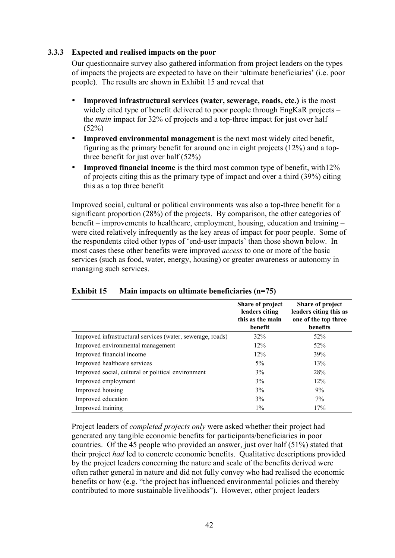#### **3.3.3 Expected and realised impacts on the poor**

Our questionnaire survey also gathered information from project leaders on the types of impacts the projects are expected to have on their 'ultimate beneficiaries' (i.e. poor people). The results are shown in Exhibit 15 and reveal that

- **Improved infrastructural services (water, sewerage, roads, etc.)** is the most widely cited type of benefit delivered to poor people through EngKaR projects – the *main* impact for 32% of projects and a top-three impact for just over half  $(52%)$
- **Improved environmental management** is the next most widely cited benefit, figuring as the primary benefit for around one in eight projects (12%) and a topthree benefit for just over half (52%)
- **Improved financial income** is the third most common type of benefit, with12% of projects citing this as the primary type of impact and over a third (39%) citing this as a top three benefit

Improved social, cultural or political environments was also a top-three benefit for a significant proportion (28%) of the projects. By comparison, the other categories of benefit – improvements to healthcare, employment, housing, education and training – were cited relatively infrequently as the key areas of impact for poor people. Some of the respondents cited other types of 'end-user impacts' than those shown below. In most cases these other benefits were improved *access* to one or more of the basic services (such as food, water, energy, housing) or greater awareness or autonomy in managing such services.

|                                                            | Share of project<br>leaders citing<br>this as the main<br>benefit | Share of project<br>leaders citing this as<br>one of the top three<br>benefits |
|------------------------------------------------------------|-------------------------------------------------------------------|--------------------------------------------------------------------------------|
| Improved infrastructural services (water, sewerage, roads) | $32\%$                                                            | 52%                                                                            |
| Improved environmental management                          | 12%                                                               | 52%                                                                            |
| Improved financial income                                  | 12%                                                               | 39%                                                                            |
| Improved healthcare services                               | 5%                                                                | 13%                                                                            |
| Improved social, cultural or political environment         | 3%                                                                | <b>28%</b>                                                                     |
| Improved employment                                        | 3%                                                                | 12%                                                                            |
| Improved housing                                           | 3%                                                                | 9%                                                                             |
| Improved education                                         | 3%                                                                | $7\%$                                                                          |
| Improved training                                          | $1\%$                                                             | 17%                                                                            |

#### **Exhibit 15 Main impacts on ultimate beneficiaries (n=75)**

Project leaders of *completed projects only* were asked whether their project had generated any tangible economic benefits for participants/beneficiaries in poor countries. Of the 45 people who provided an answer, just over half (51%) stated that their project *had* led to concrete economic benefits. Qualitative descriptions provided by the project leaders concerning the nature and scale of the benefits derived were often rather general in nature and did not fully convey who had realised the economic benefits or how (e.g. "the project has influenced environmental policies and thereby contributed to more sustainable livelihoods"). However, other project leaders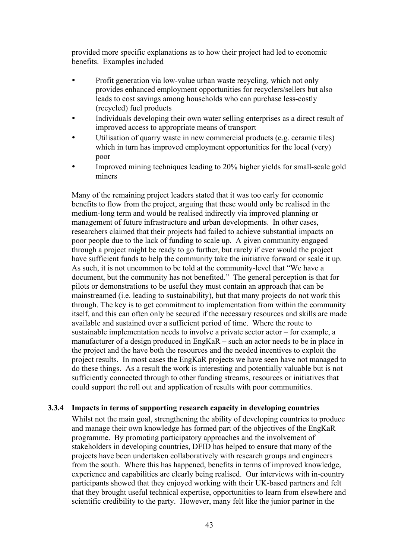provided more specific explanations as to how their project had led to economic benefits. Examples included

- Profit generation via low-value urban waste recycling, which not only provides enhanced employment opportunities for recyclers/sellers but also leads to cost savings among households who can purchase less-costly (recycled) fuel products
- Individuals developing their own water selling enterprises as a direct result of improved access to appropriate means of transport
- Utilisation of quarry waste in new commercial products (e.g. ceramic tiles) which in turn has improved employment opportunities for the local (very) poor
- Improved mining techniques leading to 20% higher yields for small-scale gold miners

Many of the remaining project leaders stated that it was too early for economic benefits to flow from the project, arguing that these would only be realised in the medium-long term and would be realised indirectly via improved planning or management of future infrastructure and urban developments. In other cases, researchers claimed that their projects had failed to achieve substantial impacts on poor people due to the lack of funding to scale up. A given community engaged through a project might be ready to go further, but rarely if ever would the project have sufficient funds to help the community take the initiative forward or scale it up. As such, it is not uncommon to be told at the community-level that "We have a document, but the community has not benefited." The general perception is that for pilots or demonstrations to be useful they must contain an approach that can be mainstreamed (i.e. leading to sustainability), but that many projects do not work this through. The key is to get commitment to implementation from within the community itself, and this can often only be secured if the necessary resources and skills are made available and sustained over a sufficient period of time. Where the route to sustainable implementation needs to involve a private sector actor – for example, a manufacturer of a design produced in EngKaR – such an actor needs to be in place in the project and the have both the resources and the needed incentives to exploit the project results. In most cases the EngKaR projects we have seen have not managed to do these things. As a result the work is interesting and potentially valuable but is not sufficiently connected through to other funding streams, resources or initiatives that could support the roll out and application of results with poor communities.

#### **3.3.4 Impacts in terms of supporting research capacity in developing countries**

Whilst not the main goal, strengthening the ability of developing countries to produce and manage their own knowledge has formed part of the objectives of the EngKaR programme. By promoting participatory approaches and the involvement of stakeholders in developing countries, DFID has helped to ensure that many of the projects have been undertaken collaboratively with research groups and engineers from the south. Where this has happened, benefits in terms of improved knowledge, experience and capabilities are clearly being realised. Our interviews with in-country participants showed that they enjoyed working with their UK-based partners and felt that they brought useful technical expertise, opportunities to learn from elsewhere and scientific credibility to the party. However, many felt like the junior partner in the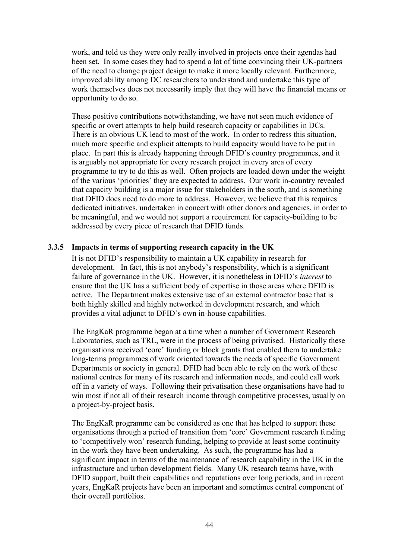work, and told us they were only really involved in projects once their agendas had been set. In some cases they had to spend a lot of time convincing their UK-partners of the need to change project design to make it more locally relevant. Furthermore, improved ability among DC researchers to understand and undertake this type of work themselves does not necessarily imply that they will have the financial means or opportunity to do so.

These positive contributions notwithstanding, we have not seen much evidence of specific or overt attempts to help build research capacity or capabilities in DCs. There is an obvious UK lead to most of the work. In order to redress this situation, much more specific and explicit attempts to build capacity would have to be put in place. In part this is already happening through DFID's country programmes, and it is arguably not appropriate for every research project in every area of every programme to try to do this as well. Often projects are loaded down under the weight of the various 'priorities' they are expected to address. Our work in-country revealed that capacity building is a major issue for stakeholders in the south, and is something that DFID does need to do more to address. However, we believe that this requires dedicated initiatives, undertaken in concert with other donors and agencies, in order to be meaningful, and we would not support a requirement for capacity-building to be addressed by every piece of research that DFID funds.

### **3.3.5 Impacts in terms of supporting research capacity in the UK**

It is not DFID's responsibility to maintain a UK capability in research for development. In fact, this is not anybody's responsibility, which is a significant failure of governance in the UK. However, it is nonetheless in DFID's *interest* to ensure that the UK has a sufficient body of expertise in those areas where DFID is active. The Department makes extensive use of an external contractor base that is both highly skilled and highly networked in development research, and which provides a vital adjunct to DFID's own in-house capabilities.

The EngKaR programme began at a time when a number of Government Research Laboratories, such as TRL, were in the process of being privatised. Historically these organisations received 'core' funding or block grants that enabled them to undertake long-terms programmes of work oriented towards the needs of specific Government Departments or society in general. DFID had been able to rely on the work of these national centres for many of its research and information needs, and could call work off in a variety of ways. Following their privatisation these organisations have had to win most if not all of their research income through competitive processes, usually on a project-by-project basis.

The EngKaR programme can be considered as one that has helped to support these organisations through a period of transition from 'core' Government research funding to 'competitively won' research funding, helping to provide at least some continuity in the work they have been undertaking. As such, the programme has had a significant impact in terms of the maintenance of research capability in the UK in the infrastructure and urban development fields. Many UK research teams have, with DFID support, built their capabilities and reputations over long periods, and in recent years, EngKaR projects have been an important and sometimes central component of their overall portfolios.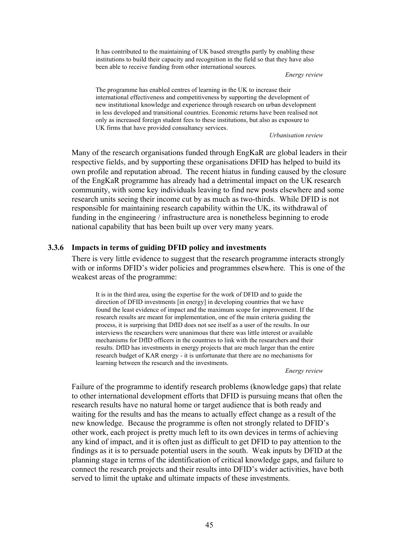It has contributed to the maintaining of UK based strengths partly by enabling these institutions to build their capacity and recognition in the field so that they have also been able to receive funding from other international sources.

*Energy review*

The programme has enabled centres of learning in the UK to increase their international effectiveness and competitiveness by supporting the development of new institutional knowledge and experience through research on urban development in less developed and transitional countries. Economic returns have been realised not only as increased foreign student fees to these institutions, but also as exposure to UK firms that have provided consultancy services.

*Urbanisation review*

Many of the research organisations funded through EngKaR are global leaders in their respective fields, and by supporting these organisations DFID has helped to build its own profile and reputation abroad. The recent hiatus in funding caused by the closure of the EngKaR programme has already had a detrimental impact on the UK research community, with some key individuals leaving to find new posts elsewhere and some research units seeing their income cut by as much as two-thirds. While DFID is not responsible for maintaining research capability within the UK, its withdrawal of funding in the engineering / infrastructure area is nonetheless beginning to erode national capability that has been built up over very many years.

### **3.3.6 Impacts in terms of guiding DFID policy and investments**

There is very little evidence to suggest that the research programme interacts strongly with or informs DFID's wider policies and programmes elsewhere. This is one of the weakest areas of the programme:

It is in the third area, using the expertise for the work of DFID and to guide the direction of DFID investments [in energy] in developing countries that we have found the least evidence of impact and the maximum scope for improvement. If the research results are meant for implementation, one of the main criteria guiding the process, it is surprising that DfID does not see itself as a user of the results. In our interviews the researchers were unanimous that there was little interest or available mechanisms for DfID officers in the countries to link with the researchers and their results. DfID has investments in energy projects that are much larger than the entire research budget of KAR energy - it is unfortunate that there are no mechanisms for learning between the research and the investments.

*Energy review*

Failure of the programme to identify research problems (knowledge gaps) that relate to other international development efforts that DFID is pursuing means that often the research results have no natural home or target audience that is both ready and waiting for the results and has the means to actually effect change as a result of the new knowledge. Because the programme is often not strongly related to DFID's other work, each project is pretty much left to its own devices in terms of achieving any kind of impact, and it is often just as difficult to get DFID to pay attention to the findings as it is to persuade potential users in the south. Weak inputs by DFID at the planning stage in terms of the identification of critical knowledge gaps, and failure to connect the research projects and their results into DFID's wider activities, have both served to limit the uptake and ultimate impacts of these investments.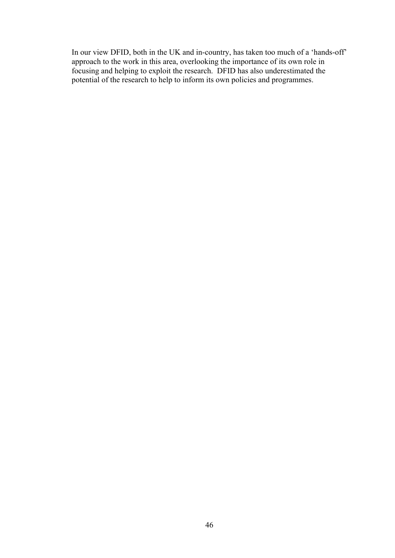In our view DFID, both in the UK and in-country, has taken too much of a 'hands-off' approach to the work in this area, overlooking the importance of its own role in focusing and helping to exploit the research. DFID has also underestimated the potential of the research to help to inform its own policies and programmes.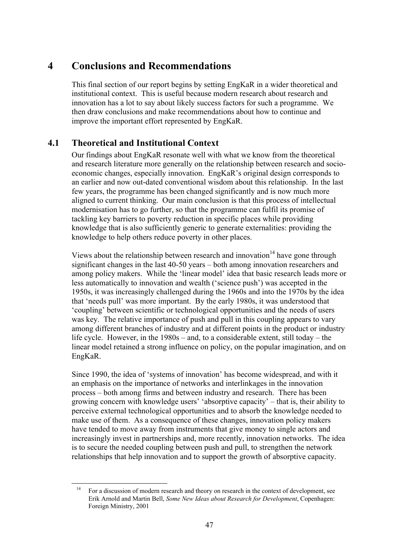# **4 Conclusions and Recommendations**

This final section of our report begins by setting EngKaR in a wider theoretical and institutional context. This is useful because modern research about research and innovation has a lot to say about likely success factors for such a programme. We then draw conclusions and make recommendations about how to continue and improve the important effort represented by EngKaR.

# **4.1 Theoretical and Institutional Context**

Our findings about EngKaR resonate well with what we know from the theoretical and research literature more generally on the relationship between research and socioeconomic changes, especially innovation. EngKaR's original design corresponds to an earlier and now out-dated conventional wisdom about this relationship. In the last few years, the programme has been changed significantly and is now much more aligned to current thinking. Our main conclusion is that this process of intellectual modernisation has to go further, so that the programme can fulfil its promise of tackling key barriers to poverty reduction in specific places while providing knowledge that is also sufficiently generic to generate externalities: providing the knowledge to help others reduce poverty in other places.

Views about the relationship between research and innovation $14$  have gone through significant changes in the last 40-50 years – both among innovation researchers and among policy makers. While the 'linear model' idea that basic research leads more or less automatically to innovation and wealth ('science push') was accepted in the 1950s, it was increasingly challenged during the 1960s and into the 1970s by the idea that 'needs pull' was more important. By the early 1980s, it was understood that 'coupling' between scientific or technological opportunities and the needs of users was key. The relative importance of push and pull in this coupling appears to vary among different branches of industry and at different points in the product or industry life cycle. However, in the 1980s – and, to a considerable extent, still today – the linear model retained a strong influence on policy, on the popular imagination, and on EngKaR.

Since 1990, the idea of 'systems of innovation' has become widespread, and with it an emphasis on the importance of networks and interlinkages in the innovation process – both among firms and between industry and research. There has been growing concern with knowledge users' 'absorptive capacity' – that is, their ability to perceive external technological opportunities and to absorb the knowledge needed to make use of them. As a consequence of these changes, innovation policy makers have tended to move away from instruments that give money to single actors and increasingly invest in partnerships and, more recently, innovation networks. The idea is to secure the needed coupling between push and pull, to strengthen the network relationships that help innovation and to support the growth of absorptive capacity.

 <sup>14</sup> For a discussion of modern research and theory on research in the context of development, see Erik Arnold and Martin Bell, *Some New Ideas about Research for Development*, Copenhagen: Foreign Ministry, 2001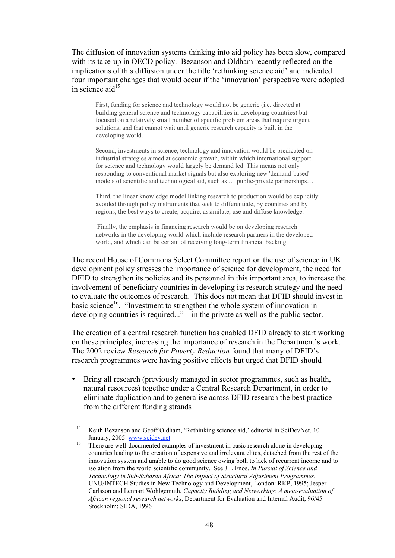The diffusion of innovation systems thinking into aid policy has been slow, compared with its take-up in OECD policy. Bezanson and Oldham recently reflected on the implications of this diffusion under the title 'rethinking science aid' and indicated four important changes that would occur if the 'innovation' perspective were adopted in science aid $^{15}$ 

First, funding for science and technology would not be generic (i.e. directed at building general science and technology capabilities in developing countries) but focused on a relatively small number of specific problem areas that require urgent solutions, and that cannot wait until generic research capacity is built in the developing world.

Second, investments in science, technology and innovation would be predicated on industrial strategies aimed at economic growth, within which international support for science and technology would largely be demand led. This means not only responding to conventional market signals but also exploring new 'demand-based' models of scientific and technological aid, such as … public-private partnerships…

Third, the linear knowledge model linking research to production would be explicitly avoided through policy instruments that seek to differentiate, by countries and by regions, the best ways to create, acquire, assimilate, use and diffuse knowledge.

 Finally, the emphasis in financing research would be on developing research networks in the developing world which include research partners in the developed world, and which can be certain of receiving long-term financial backing.

The recent House of Commons Select Committee report on the use of science in UK development policy stresses the importance of science for development, the need for DFID to strengthen its policies and its personnel in this important area, to increase the involvement of beneficiary countries in developing its research strategy and the need to evaluate the outcomes of research. This does not mean that DFID should invest in basic science<sup>16</sup>. "Investment to strengthen the whole system of innovation in developing countries is required..." – in the private as well as the public sector.

The creation of a central research function has enabled DFID already to start working on these principles, increasing the importance of research in the Department's work. The 2002 review *Research for Poverty Reduction* found that many of DFID's research programmes were having positive effects but urged that DFID should

• Bring all research (previously managed in sector programmes, such as health, natural resources) together under a Central Research Department, in order to eliminate duplication and to generalise across DFID research the best practice from the different funding strands

Keith Bezanson and Geoff Oldham, 'Rethinking science aid,' editorial in SciDevNet, 10

January, 2005 www.scidev.net<br>
<sup>16</sup> There are well-documented examples of investment in basic research alone in developing countries leading to the creation of expensive and irrelevant elites, detached from the rest of the innovation system and unable to do good science owing both to lack of recurrent income and to isolation from the world scientific community. See J L Enos, *In Pursuit of Science and Technology in Sub-Saharan Africa: The Impact of Structural Adjustment Programmes*, UNU/INTECH Studies in New Technology and Development, London: RKP, 1995; Jesper Carlsson and Lennart Wohlgemuth, *Capacity Building and Networking: A meta-evaluation of African regional research networks*, Department for Evaluation and Internal Audit, 96/45 Stockholm: SIDA, 1996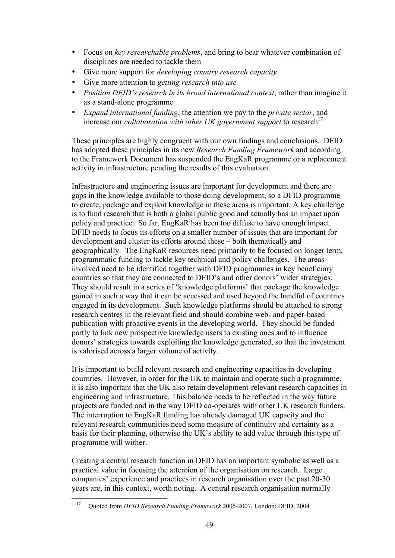- Focus on *key researchable problems*, and bring to bear whatever combination of disciplines are needed to tackle them
- Give more support for *developing country research capacity*
- Give more attention to *getting research into use*
- *Position DFID's research in its broad international context*, rather than imagine it as a stand-alone programme
- *Expand international funding*, the attention we pay to the *private sector*, and increase our *collaboration with other UK government support* to research<sup>17</sup>

These principles are highly congruent with our own findings and conclusions. DFID has adopted these principles in its new *Research Funding Framework* and according to the Framework Document has suspended the EngKaR programme or a replacement activity in infrastructure pending the results of this evaluation.

Infrastructure and engineering issues are important for development and there are gaps in the knowledge available to those doing development, so a DFID programme to create, package and exploit knowledge in these areas is important. A key challenge is to fund research that is both a global public good and actually has an impact upon policy and practice. So far, EngKaR has been too diffuse to have enough impact. DFID needs to focus its efforts on a smaller number of issues that are important for development and cluster its efforts around these – both thematically and geographically. The EngKaR resources need primarily to be focused on longer term, programmatic funding to tackle key technical and policy challenges. The areas involved need to be identified together with DFID programmes in key beneficiary countries so that they are connected to DFID's and other donors' wider strategies. They should result in a series of 'knowledge platforms' that package the knowledge gained in such a way that it can be accessed and used beyond the handful of countries engaged in its development. Such knowledge platforms should be attached to strong research centres in the relevant field and should combine web- and paper-based publication with proactive events in the developing world. They should be funded partly to link new prospective knowledge users to existing ones and to influence donors' strategies towards exploiting the knowledge generated, so that the investment is valorised across a larger volume of activity.

It is important to build relevant research and engineering capacities in developing countries. However, in order for the UK to maintain and operate such a programme, it is also important that the UK also retain development-relevant research capacities in engineering and infrastructure. This balance needs to be reflected in the way future projects are funded and in the way DFID co-operates with other UK research funders. The interruption to EngKaR funding has already damaged UK capacity and the relevant research communities need some measure of continuity and certainty as a basis for their planning, otherwise the UK's ability to add value through this type of programme will wither.

Creating a central research function in DFID has an important symbolic as well as a practical value in focusing the attention of the organisation on research. Large companies' experience and practices in research organisation over the past 20-30 years are, in this context, worth noting. A central research organisation normally

 <sup>17</sup> Quoted from *DFID Research Funding Framework* 2005-2007, London: DFID, 2004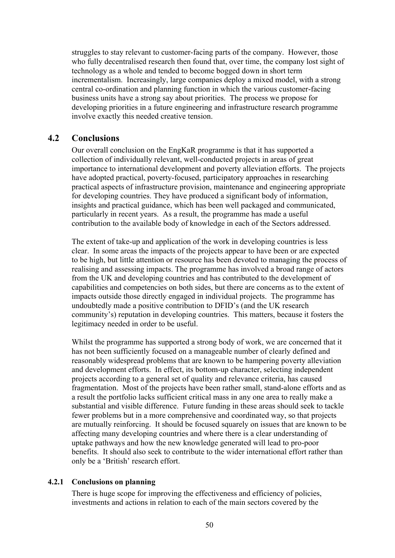struggles to stay relevant to customer-facing parts of the company. However, those who fully decentralised research then found that, over time, the company lost sight of technology as a whole and tended to become bogged down in short term incrementalism. Increasingly, large companies deploy a mixed model, with a strong central co-ordination and planning function in which the various customer-facing business units have a strong say about priorities. The process we propose for developing priorities in a future engineering and infrastructure research programme involve exactly this needed creative tension.

# **4.2 Conclusions**

Our overall conclusion on the EngKaR programme is that it has supported a collection of individually relevant, well-conducted projects in areas of great importance to international development and poverty alleviation efforts. The projects have adopted practical, poverty-focused, participatory approaches in researching practical aspects of infrastructure provision, maintenance and engineering appropriate for developing countries. They have produced a significant body of information, insights and practical guidance, which has been well packaged and communicated, particularly in recent years. As a result, the programme has made a useful contribution to the available body of knowledge in each of the Sectors addressed.

The extent of take-up and application of the work in developing countries is less clear. In some areas the impacts of the projects appear to have been or are expected to be high, but little attention or resource has been devoted to managing the process of realising and assessing impacts. The programme has involved a broad range of actors from the UK and developing countries and has contributed to the development of capabilities and competencies on both sides, but there are concerns as to the extent of impacts outside those directly engaged in individual projects. The programme has undoubtedly made a positive contribution to DFID's (and the UK research community's) reputation in developing countries. This matters, because it fosters the legitimacy needed in order to be useful.

Whilst the programme has supported a strong body of work, we are concerned that it has not been sufficiently focused on a manageable number of clearly defined and reasonably widespread problems that are known to be hampering poverty alleviation and development efforts. In effect, its bottom-up character, selecting independent projects according to a general set of quality and relevance criteria, has caused fragmentation. Most of the projects have been rather small, stand-alone efforts and as a result the portfolio lacks sufficient critical mass in any one area to really make a substantial and visible difference. Future funding in these areas should seek to tackle fewer problems but in a more comprehensive and coordinated way, so that projects are mutually reinforcing. It should be focused squarely on issues that are known to be affecting many developing countries and where there is a clear understanding of uptake pathways and how the new knowledge generated will lead to pro-poor benefits. It should also seek to contribute to the wider international effort rather than only be a 'British' research effort.

# **4.2.1 Conclusions on planning**

There is huge scope for improving the effectiveness and efficiency of policies, investments and actions in relation to each of the main sectors covered by the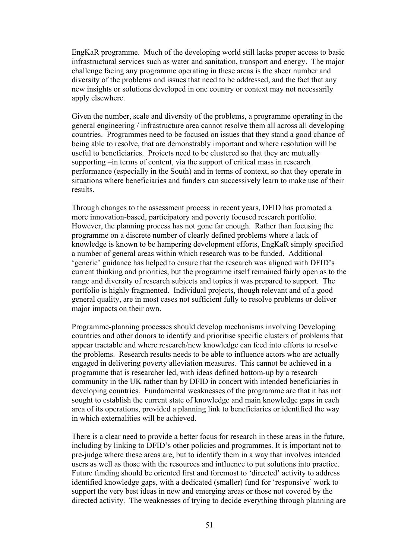EngKaR programme. Much of the developing world still lacks proper access to basic infrastructural services such as water and sanitation, transport and energy. The major challenge facing any programme operating in these areas is the sheer number and diversity of the problems and issues that need to be addressed, and the fact that any new insights or solutions developed in one country or context may not necessarily apply elsewhere.

Given the number, scale and diversity of the problems, a programme operating in the general engineering / infrastructure area cannot resolve them all across all developing countries. Programmes need to be focused on issues that they stand a good chance of being able to resolve, that are demonstrably important and where resolution will be useful to beneficiaries. Projects need to be clustered so that they are mutually supporting –in terms of content, via the support of critical mass in research performance (especially in the South) and in terms of context, so that they operate in situations where beneficiaries and funders can successively learn to make use of their results.

Through changes to the assessment process in recent years, DFID has promoted a more innovation-based, participatory and poverty focused research portfolio. However, the planning process has not gone far enough. Rather than focusing the programme on a discrete number of clearly defined problems where a lack of knowledge is known to be hampering development efforts, EngKaR simply specified a number of general areas within which research was to be funded. Additional 'generic' guidance has helped to ensure that the research was aligned with DFID's current thinking and priorities, but the programme itself remained fairly open as to the range and diversity of research subjects and topics it was prepared to support. The portfolio is highly fragmented. Individual projects, though relevant and of a good general quality, are in most cases not sufficient fully to resolve problems or deliver major impacts on their own.

Programme-planning processes should develop mechanisms involving Developing countries and other donors to identify and prioritise specific clusters of problems that appear tractable and where research/new knowledge can feed into efforts to resolve the problems. Research results needs to be able to influence actors who are actually engaged in delivering poverty alleviation measures. This cannot be achieved in a programme that is researcher led, with ideas defined bottom-up by a research community in the UK rather than by DFID in concert with intended beneficiaries in developing countries. Fundamental weaknesses of the programme are that it has not sought to establish the current state of knowledge and main knowledge gaps in each area of its operations, provided a planning link to beneficiaries or identified the way in which externalities will be achieved.

There is a clear need to provide a better focus for research in these areas in the future, including by linking to DFID's other policies and programmes. It is important not to pre-judge where these areas are, but to identify them in a way that involves intended users as well as those with the resources and influence to put solutions into practice. Future funding should be oriented first and foremost to 'directed' activity to address identified knowledge gaps, with a dedicated (smaller) fund for 'responsive' work to support the very best ideas in new and emerging areas or those not covered by the directed activity. The weaknesses of trying to decide everything through planning are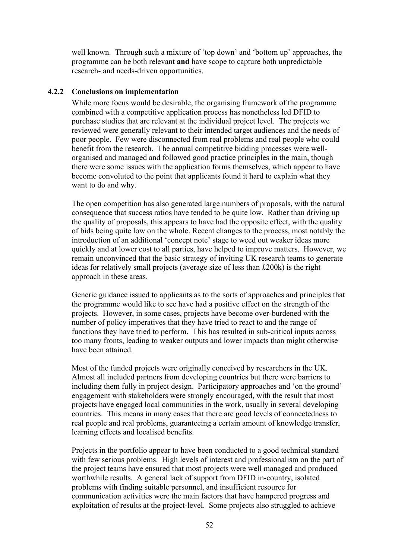well known. Through such a mixture of 'top down' and 'bottom up' approaches, the programme can be both relevant **and** have scope to capture both unpredictable research- and needs-driven opportunities.

### **4.2.2 Conclusions on implementation**

While more focus would be desirable, the organising framework of the programme combined with a competitive application process has nonetheless led DFID to purchase studies that are relevant at the individual project level. The projects we reviewed were generally relevant to their intended target audiences and the needs of poor people. Few were disconnected from real problems and real people who could benefit from the research. The annual competitive bidding processes were wellorganised and managed and followed good practice principles in the main, though there were some issues with the application forms themselves, which appear to have become convoluted to the point that applicants found it hard to explain what they want to do and why.

The open competition has also generated large numbers of proposals, with the natural consequence that success ratios have tended to be quite low. Rather than driving up the quality of proposals, this appears to have had the opposite effect, with the quality of bids being quite low on the whole. Recent changes to the process, most notably the introduction of an additional 'concept note' stage to weed out weaker ideas more quickly and at lower cost to all parties, have helped to improve matters. However, we remain unconvinced that the basic strategy of inviting UK research teams to generate ideas for relatively small projects (average size of less than £200k) is the right approach in these areas.

Generic guidance issued to applicants as to the sorts of approaches and principles that the programme would like to see have had a positive effect on the strength of the projects. However, in some cases, projects have become over-burdened with the number of policy imperatives that they have tried to react to and the range of functions they have tried to perform. This has resulted in sub-critical inputs across too many fronts, leading to weaker outputs and lower impacts than might otherwise have been attained.

Most of the funded projects were originally conceived by researchers in the UK. Almost all included partners from developing countries but there were barriers to including them fully in project design. Participatory approaches and 'on the ground' engagement with stakeholders were strongly encouraged, with the result that most projects have engaged local communities in the work, usually in several developing countries. This means in many cases that there are good levels of connectedness to real people and real problems, guaranteeing a certain amount of knowledge transfer, learning effects and localised benefits.

Projects in the portfolio appear to have been conducted to a good technical standard with few serious problems. High levels of interest and professionalism on the part of the project teams have ensured that most projects were well managed and produced worthwhile results. A general lack of support from DFID in-country, isolated problems with finding suitable personnel, and insufficient resource for communication activities were the main factors that have hampered progress and exploitation of results at the project-level. Some projects also struggled to achieve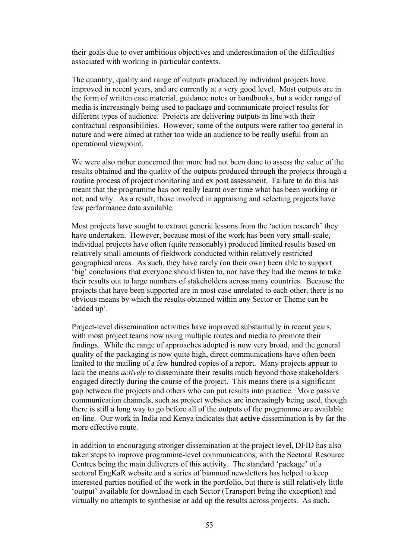their goals due to over ambitious objectives and underestimation of the difficulties associated with working in particular contexts.

The quantity, quality and range of outputs produced by individual projects have improved in recent years, and are currently at a very good level. Most outputs are in the form of written case material, guidance notes or handbooks, but a wider range of media is increasingly being used to package and communicate project results for different types of audience. Projects are delivering outputs in line with their contractual responsibilities. However, some of the outputs were rather too general in nature and were aimed at rather too wide an audience to be really useful from an operational viewpoint.

We were also rather concerned that more had not been done to assess the value of the results obtained and the quality of the outputs produced through the projects through a routine process of project monitoring and ex post assessment. Failure to do this has meant that the programme has not really learnt over time what has been working or not, and why. As a result, those involved in appraising and selecting projects have few performance data available.

Most projects have sought to extract generic lessons from the 'action research' they have undertaken. However, because most of the work has been very small-scale, individual projects have often (quite reasonably) produced limited results based on relatively small amounts of fieldwork conducted within relatively restricted geographical areas. As such, they have rarely (on their own) been able to support 'big' conclusions that everyone should listen to, nor have they had the means to take their results out to large numbers of stakeholders across many countries. Because the projects that have been supported are in most case unrelated to each other, there is no obvious means by which the results obtained within any Sector or Theme can be 'added up'.

Project-level dissemination activities have improved substantially in recent years, with most project teams now using multiple routes and media to promote their findings. While the range of approaches adopted is now very broad, and the general quality of the packaging is now quite high, direct communications have often been limited to the mailing of a few hundred copies of a report. Many projects appear to lack the means *actively* to disseminate their results much beyond those stakeholders engaged directly during the course of the project. This means there is a significant gap between the projects and others who can put results into practice. More passive communication channels, such as project websites are increasingly being used, though there is still a long way to go before all of the outputs of the programme are available on-line. Our work in India and Kenya indicates that **active** dissemination is by far the more effective route.

In addition to encouraging stronger dissemination at the project level, DFID has also taken steps to improve programme-level communications, with the Sectoral Resource Centres being the main deliverers of this activity. The standard 'package' of a sectoral EngKaR website and a series of biannual newsletters has helped to keep interested parties notified of the work in the portfolio, but there is still relatively little 'output' available for download in each Sector (Transport being the exception) and virtually no attempts to synthesise or add up the results across projects. As such,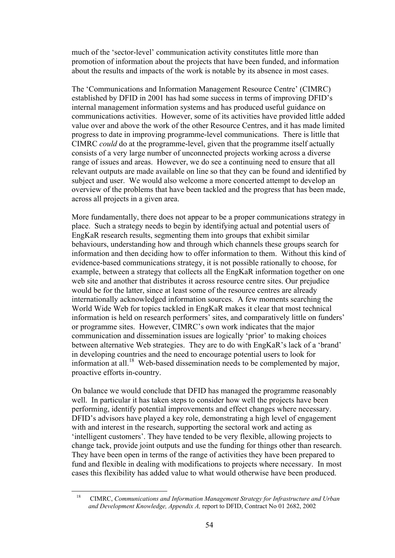much of the 'sector-level' communication activity constitutes little more than promotion of information about the projects that have been funded, and information about the results and impacts of the work is notable by its absence in most cases.

The 'Communications and Information Management Resource Centre' (CIMRC) established by DFID in 2001 has had some success in terms of improving DFID's internal management information systems and has produced useful guidance on communications activities. However, some of its activities have provided little added value over and above the work of the other Resource Centres, and it has made limited progress to date in improving programme-level communications. There is little that CIMRC *could* do at the programme-level, given that the programme itself actually consists of a very large number of unconnected projects working across a diverse range of issues and areas. However, we do see a continuing need to ensure that all relevant outputs are made available on line so that they can be found and identified by subject and user. We would also welcome a more concerted attempt to develop an overview of the problems that have been tackled and the progress that has been made, across all projects in a given area.

More fundamentally, there does not appear to be a proper communications strategy in place. Such a strategy needs to begin by identifying actual and potential users of EngKaR research results, segmenting them into groups that exhibit similar behaviours, understanding how and through which channels these groups search for information and then deciding how to offer information to them. Without this kind of evidence-based communications strategy, it is not possible rationally to choose, for example, between a strategy that collects all the EngKaR information together on one web site and another that distributes it across resource centre sites. Our prejudice would be for the latter, since at least some of the resource centres are already internationally acknowledged information sources. A few moments searching the World Wide Web for topics tackled in EngKaR makes it clear that most technical information is held on research performers' sites, and comparatively little on funders' or programme sites. However, CIMRC's own work indicates that the major communication and dissemination issues are logically 'prior' to making choices between alternative Web strategies. They are to do with EngKaR's lack of a 'brand' in developing countries and the need to encourage potential users to look for information at all.<sup>18</sup> Web-based dissemination needs to be complemented by major, proactive efforts in-country.

On balance we would conclude that DFID has managed the programme reasonably well. In particular it has taken steps to consider how well the projects have been performing, identify potential improvements and effect changes where necessary. DFID's advisors have played a key role, demonstrating a high level of engagement with and interest in the research, supporting the sectoral work and acting as 'intelligent customers'. They have tended to be very flexible, allowing projects to change tack, provide joint outputs and use the funding for things other than research. They have been open in terms of the range of activities they have been prepared to fund and flexible in dealing with modifications to projects where necessary. In most cases this flexibility has added value to what would otherwise have been produced.

 <sup>18</sup> CIMRC, *Communications and Information Management Strategy for Infrastructure and Urban and Development Knowledge, Appendix A,* report to DFID, Contract No 01 2682, 2002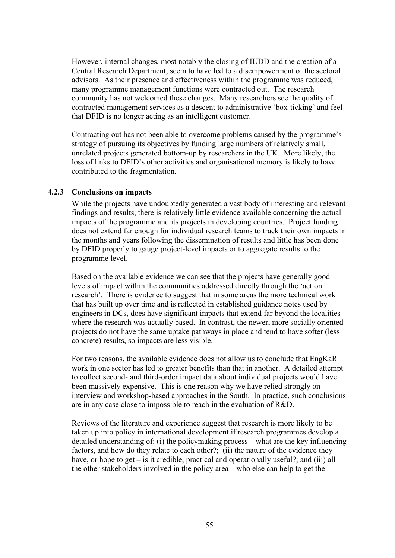However, internal changes, most notably the closing of IUDD and the creation of a Central Research Department, seem to have led to a disempowerment of the sectoral advisors. As their presence and effectiveness within the programme was reduced, many programme management functions were contracted out. The research community has not welcomed these changes. Many researchers see the quality of contracted management services as a descent to administrative 'box-ticking' and feel that DFID is no longer acting as an intelligent customer.

Contracting out has not been able to overcome problems caused by the programme's strategy of pursuing its objectives by funding large numbers of relatively small, unrelated projects generated bottom-up by researchers in the UK. More likely, the loss of links to DFID's other activities and organisational memory is likely to have contributed to the fragmentation.

#### **4.2.3 Conclusions on impacts**

While the projects have undoubtedly generated a vast body of interesting and relevant findings and results, there is relatively little evidence available concerning the actual impacts of the programme and its projects in developing countries. Project funding does not extend far enough for individual research teams to track their own impacts in the months and years following the dissemination of results and little has been done by DFID properly to gauge project-level impacts or to aggregate results to the programme level.

Based on the available evidence we can see that the projects have generally good levels of impact within the communities addressed directly through the 'action research'. There is evidence to suggest that in some areas the more technical work that has built up over time and is reflected in established guidance notes used by engineers in DCs, does have significant impacts that extend far beyond the localities where the research was actually based. In contrast, the newer, more socially oriented projects do not have the same uptake pathways in place and tend to have softer (less concrete) results, so impacts are less visible.

For two reasons, the available evidence does not allow us to conclude that EngKaR work in one sector has led to greater benefits than that in another. A detailed attempt to collect second- and third-order impact data about individual projects would have been massively expensive. This is one reason why we have relied strongly on interview and workshop-based approaches in the South. In practice, such conclusions are in any case close to impossible to reach in the evaluation of R&D.

Reviews of the literature and experience suggest that research is more likely to be taken up into policy in international development if research programmes develop a detailed understanding of: (i) the policymaking process – what are the key influencing factors, and how do they relate to each other?; (ii) the nature of the evidence they have, or hope to get – is it credible, practical and operationally useful?; and (iii) all the other stakeholders involved in the policy area – who else can help to get the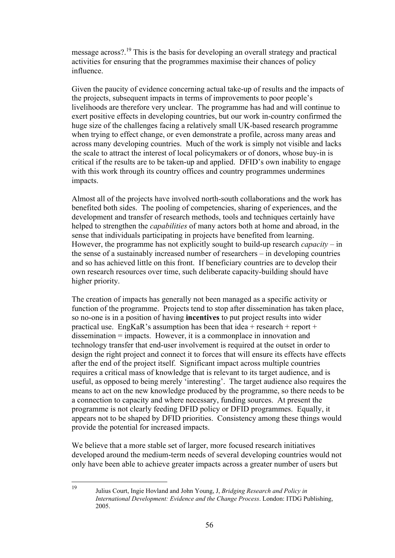message across?.<sup>19</sup> This is the basis for developing an overall strategy and practical activities for ensuring that the programmes maximise their chances of policy influence.

Given the paucity of evidence concerning actual take-up of results and the impacts of the projects, subsequent impacts in terms of improvements to poor people's livelihoods are therefore very unclear. The programme has had and will continue to exert positive effects in developing countries, but our work in-country confirmed the huge size of the challenges facing a relatively small UK-based research programme when trying to effect change, or even demonstrate a profile, across many areas and across many developing countries. Much of the work is simply not visible and lacks the scale to attract the interest of local policymakers or of donors, whose buy-in is critical if the results are to be taken-up and applied. DFID's own inability to engage with this work through its country offices and country programmes undermines impacts.

Almost all of the projects have involved north-south collaborations and the work has benefited both sides. The pooling of competencies, sharing of experiences, and the development and transfer of research methods, tools and techniques certainly have helped to strengthen the *capabilities* of many actors both at home and abroad, in the sense that individuals participating in projects have benefited from learning. However, the programme has not explicitly sought to build-up research *capacity* – in the sense of a sustainably increased number of researchers – in developing countries and so has achieved little on this front. If beneficiary countries are to develop their own research resources over time, such deliberate capacity-building should have higher priority.

The creation of impacts has generally not been managed as a specific activity or function of the programme. Projects tend to stop after dissemination has taken place, so no-one is in a position of having **incentives** to put project results into wider practical use. EngKaR's assumption has been that idea + research + report + dissemination = impacts. However, it is a commonplace in innovation and technology transfer that end-user involvement is required at the outset in order to design the right project and connect it to forces that will ensure its effects have effects after the end of the project itself. Significant impact across multiple countries requires a critical mass of knowledge that is relevant to its target audience, and is useful, as opposed to being merely 'interesting'. The target audience also requires the means to act on the new knowledge produced by the programme, so there needs to be a connection to capacity and where necessary, funding sources. At present the programme is not clearly feeding DFID policy or DFID programmes. Equally, it appears not to be shaped by DFID priorities. Consistency among these things would provide the potential for increased impacts.

We believe that a more stable set of larger, more focused research initiatives developed around the medium-term needs of several developing countries would not only have been able to achieve greater impacts across a greater number of users but

 <sup>19</sup> Julius Court, Ingie Hovland and John Young, J, *Bridging Research and Policy in International Development: Evidence and the Change Process*. London: ITDG Publishing, 2005.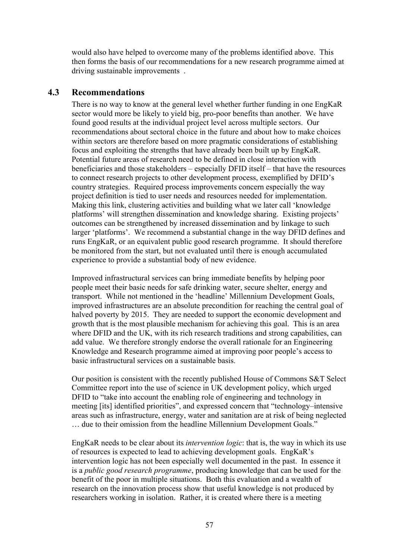would also have helped to overcome many of the problems identified above. This then forms the basis of our recommendations for a new research programme aimed at driving sustainable improvements .

# **4.3 Recommendations**

There is no way to know at the general level whether further funding in one EngKaR sector would more be likely to yield big, pro-poor benefits than another. We have found good results at the individual project level across multiple sectors. Our recommendations about sectoral choice in the future and about how to make choices within sectors are therefore based on more pragmatic considerations of establishing focus and exploiting the strengths that have already been built up by EngKaR. Potential future areas of research need to be defined in close interaction with beneficiaries and those stakeholders – especially DFID itself – that have the resources to connect research projects to other development process, exemplified by DFID's country strategies. Required process improvements concern especially the way project definition is tied to user needs and resources needed for implementation. Making this link, clustering activities and building what we later call 'knowledge platforms' will strengthen dissemination and knowledge sharing. Existing projects' outcomes can be strengthened by increased dissemination and by linkage to such larger 'platforms'. We recommend a substantial change in the way DFID defines and runs EngKaR, or an equivalent public good research programme. It should therefore be monitored from the start, but not evaluated until there is enough accumulated experience to provide a substantial body of new evidence.

Improved infrastructural services can bring immediate benefits by helping poor people meet their basic needs for safe drinking water, secure shelter, energy and transport. While not mentioned in the 'headline' Millennium Development Goals, improved infrastructures are an absolute precondition for reaching the central goal of halved poverty by 2015. They are needed to support the economic development and growth that is the most plausible mechanism for achieving this goal. This is an area where DFID and the UK, with its rich research traditions and strong capabilities, can add value. We therefore strongly endorse the overall rationale for an Engineering Knowledge and Research programme aimed at improving poor people's access to basic infrastructural services on a sustainable basis.

Our position is consistent with the recently published House of Commons S&T Select Committee report into the use of science in UK development policy, which urged DFID to "take into account the enabling role of engineering and technology in meeting [its] identified priorities", and expressed concern that "technology–intensive areas such as infrastructure, energy, water and sanitation are at risk of being neglected … due to their omission from the headline Millennium Development Goals."

EngKaR needs to be clear about its *intervention logic*: that is, the way in which its use of resources is expected to lead to achieving development goals. EngKaR's intervention logic has not been especially well documented in the past. In essence it is a *public good research programme*, producing knowledge that can be used for the benefit of the poor in multiple situations. Both this evaluation and a wealth of research on the innovation process show that useful knowledge is not produced by researchers working in isolation. Rather, it is created where there is a meeting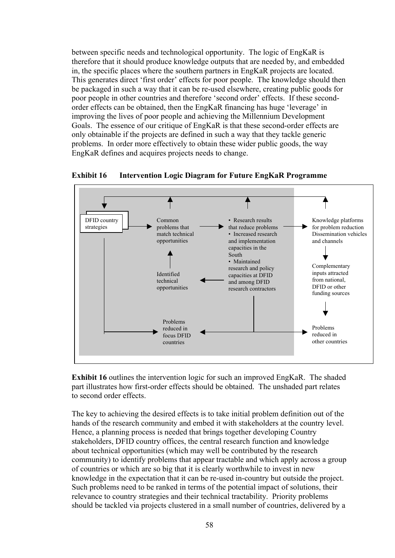between specific needs and technological opportunity. The logic of EngKaR is therefore that it should produce knowledge outputs that are needed by, and embedded in, the specific places where the southern partners in EngKaR projects are located. This generates direct 'first order' effects for poor people. The knowledge should then be packaged in such a way that it can be re-used elsewhere, creating public goods for poor people in other countries and therefore 'second order' effects. If these secondorder effects can be obtained, then the EngKaR financing has huge 'leverage' in improving the lives of poor people and achieving the Millennium Development Goals. The essence of our critique of EngKaR is that these second-order effects are only obtainable if the projects are defined in such a way that they tackle generic problems. In order more effectively to obtain these wider public goods, the way EngKaR defines and acquires projects needs to change.





**Exhibit 16** outlines the intervention logic for such an improved EngKaR. The shaded part illustrates how first-order effects should be obtained. The unshaded part relates to second order effects.

The key to achieving the desired effects is to take initial problem definition out of the hands of the research community and embed it with stakeholders at the country level. Hence, a planning process is needed that brings together developing Country stakeholders, DFID country offices, the central research function and knowledge about technical opportunities (which may well be contributed by the research community) to identify problems that appear tractable and which apply across a group of countries or which are so big that it is clearly worthwhile to invest in new knowledge in the expectation that it can be re-used in-country but outside the project. Such problems need to be ranked in terms of the potential impact of solutions, their relevance to country strategies and their technical tractability. Priority problems should be tackled via projects clustered in a small number of countries, delivered by a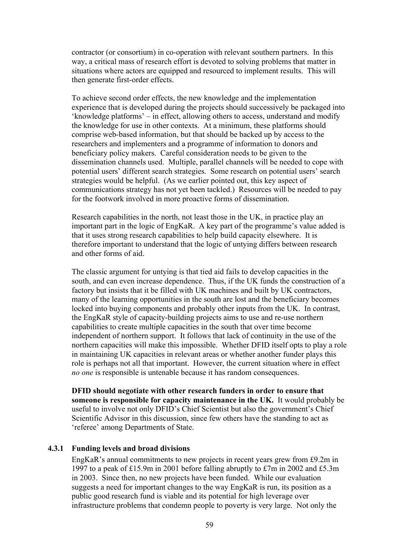contractor (or consortium) in co-operation with relevant southern partners. In this way, a critical mass of research effort is devoted to solving problems that matter in situations where actors are equipped and resourced to implement results. This will then generate first-order effects.

To achieve second order effects, the new knowledge and the implementation experience that is developed during the projects should successively be packaged into 'knowledge platforms' – in effect, allowing others to access, understand and modify the knowledge for use in other contexts. At a minimum, these platforms should comprise web-based information, but that should be backed up by access to the researchers and implementers and a programme of information to donors and beneficiary policy makers. Careful consideration needs to be given to the dissemination channels used. Multiple, parallel channels will be needed to cope with potential users' different search strategies. Some research on potential users' search strategies would be helpful. (As we earlier pointed out, this key aspect of communications strategy has not yet been tackled.) Resources will be needed to pay for the footwork involved in more proactive forms of dissemination.

Research capabilities in the north, not least those in the UK, in practice play an important part in the logic of EngKaR. A key part of the programme's value added is that it uses strong research capabilities to help build capacity elsewhere. It is therefore important to understand that the logic of untying differs between research and other forms of aid.

The classic argument for untying is that tied aid fails to develop capacities in the south, and can even increase dependence. Thus, if the UK funds the construction of a factory but insists that it be filled with UK machines and built by UK contractors, many of the learning opportunities in the south are lost and the beneficiary becomes locked into buying components and probably other inputs from the UK. In contrast, the EngKaR style of capacity-building projects aims to use and re-use northern capabilities to create multiple capacities in the south that over time become independent of northern support. It follows that lack of continuity in the use of the northern capacities will make this impossible. Whether DFID itself opts to play a role in maintaining UK capacities in relevant areas or whether another funder plays this role is perhaps not all that important. However, the current situation where in effect *no one* is responsible is untenable because it has random consequences.

**DFID should negotiate with other research funders in order to ensure that someone is responsible for capacity maintenance in the UK.** It would probably be useful to involve not only DFID's Chief Scientist but also the government's Chief Scientific Advisor in this discussion, since few others have the standing to act as 'referee' among Departments of State.

#### **4.3.1 Funding levels and broad divisions**

EngKaR's annual commitments to new projects in recent years grew from £9.2m in 1997 to a peak of £15.9m in 2001 before falling abruptly to £7m in 2002 and £5.3m in 2003. Since then, no new projects have been funded. While our evaluation suggests a need for important changes to the way EngKaR is run, its position as a public good research fund is viable and its potential for high leverage over infrastructure problems that condemn people to poverty is very large. Not only the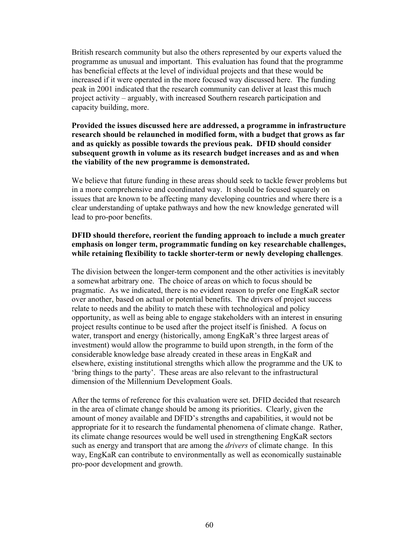British research community but also the others represented by our experts valued the programme as unusual and important. This evaluation has found that the programme has beneficial effects at the level of individual projects and that these would be increased if it were operated in the more focused way discussed here. The funding peak in 2001 indicated that the research community can deliver at least this much project activity – arguably, with increased Southern research participation and capacity building, more.

**Provided the issues discussed here are addressed, a programme in infrastructure research should be relaunched in modified form, with a budget that grows as far and as quickly as possible towards the previous peak. DFID should consider subsequent growth in volume as its research budget increases and as and when the viability of the new programme is demonstrated.**

We believe that future funding in these areas should seek to tackle fewer problems but in a more comprehensive and coordinated way. It should be focused squarely on issues that are known to be affecting many developing countries and where there is a clear understanding of uptake pathways and how the new knowledge generated will lead to pro-poor benefits.

## **DFID should therefore, reorient the funding approach to include a much greater emphasis on longer term, programmatic funding on key researchable challenges, while retaining flexibility to tackle shorter-term or newly developing challenges**.

The division between the longer-term component and the other activities is inevitably a somewhat arbitrary one. The choice of areas on which to focus should be pragmatic. As we indicated, there is no evident reason to prefer one EngKaR sector over another, based on actual or potential benefits. The drivers of project success relate to needs and the ability to match these with technological and policy opportunity, as well as being able to engage stakeholders with an interest in ensuring project results continue to be used after the project itself is finished. A focus on water, transport and energy (historically, among EngKaR's three largest areas of investment) would allow the programme to build upon strength, in the form of the considerable knowledge base already created in these areas in EngKaR and elsewhere, existing institutional strengths which allow the programme and the UK to 'bring things to the party'. These areas are also relevant to the infrastructural dimension of the Millennium Development Goals.

After the terms of reference for this evaluation were set. DFID decided that research in the area of climate change should be among its priorities. Clearly, given the amount of money available and DFID's strengths and capabilities, it would not be appropriate for it to research the fundamental phenomena of climate change. Rather, its climate change resources would be well used in strengthening EngKaR sectors such as energy and transport that are among the *drivers* of climate change. In this way, EngKaR can contribute to environmentally as well as economically sustainable pro-poor development and growth.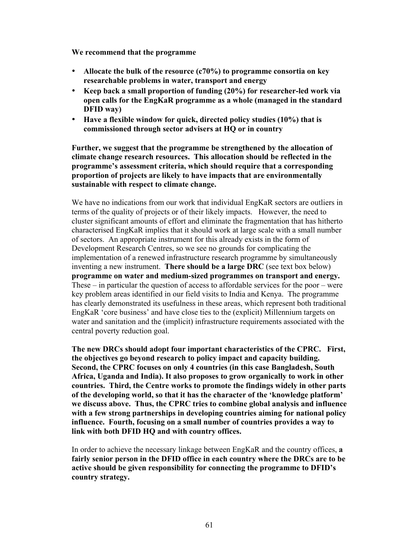**We recommend that the programme**

- **Allocate the bulk of the resource (c70%) to programme consortia on key researchable problems in water, transport and energy**
- **Keep back a small proportion of funding (20%) for researcher-led work via open calls for the EngKaR programme as a whole (managed in the standard DFID way)**
- **Have a flexible window for quick, directed policy studies (10%) that is commissioned through sector advisers at HQ or in country**

**Further, we suggest that the programme be strengthened by the allocation of climate change research resources. This allocation should be reflected in the programme's assessment criteria, which should require that a corresponding proportion of projects are likely to have impacts that are environmentally sustainable with respect to climate change.**

We have no indications from our work that individual EngKaR sectors are outliers in terms of the quality of projects or of their likely impacts. However, the need to cluster significant amounts of effort and eliminate the fragmentation that has hitherto characterised EngKaR implies that it should work at large scale with a small number of sectors. An appropriate instrument for this already exists in the form of Development Research Centres, so we see no grounds for complicating the implementation of a renewed infrastructure research programme by simultaneously inventing a new instrument. **There should be a large DRC** (see text box below) **programme on water and medium-sized programmes on transport and energy.** These – in particular the question of access to affordable services for the poor – were key problem areas identified in our field visits to India and Kenya. The programme has clearly demonstrated its usefulness in these areas, which represent both traditional EngKaR 'core business' and have close ties to the (explicit) Millennium targets on water and sanitation and the (implicit) infrastructure requirements associated with the central poverty reduction goal.

**The new DRCs should adopt four important characteristics of the CPRC. First, the objectives go beyond research to policy impact and capacity building. Second, the CPRC focuses on only 4 countries (in this case Bangladesh, South Africa, Uganda and India). It also proposes to grow organically to work in other countries. Third, the Centre works to promote the findings widely in other parts of the developing world, so that it has the character of the 'knowledge platform' we discuss above. Thus, the CPRC tries to combine global analysis and influence with a few strong partnerships in developing countries aiming for national policy influence. Fourth, focusing on a small number of countries provides a way to link with both DFID HQ and with country offices.**

In order to achieve the necessary linkage between EngKaR and the country offices, **a fairly senior person in the DFID office in each country where the DRCs are to be active should be given responsibility for connecting the programme to DFID's country strategy.**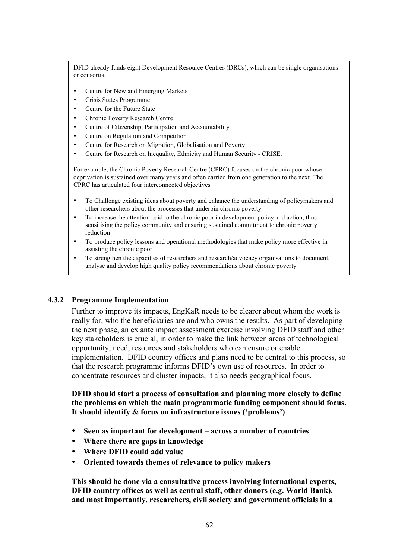DFID already funds eight Development Resource Centres (DRCs), which can be single organisations or consortia

- Centre for New and Emerging Markets
- Crisis States Programme
- Centre for the Future State
- Chronic Poverty Research Centre
- Centre of Citizenship, Participation and Accountability
- Centre on Regulation and Competition
- Centre for Research on Migration, Globalisation and Poverty
- Centre for Research on Inequality, Ethnicity and Human Security CRISE.

For example, the Chronic Poverty Research Centre (CPRC) focuses on the chronic poor whose deprivation is sustained over many years and often carried from one generation to the next. The CPRC has articulated four interconnected objectives

- To Challenge existing ideas about poverty and enhance the understanding of policymakers and other researchers about the processes that underpin chronic poverty
- To increase the attention paid to the chronic poor in development policy and action, thus sensitising the policy community and ensuring sustained commitment to chronic poverty reduction
- To produce policy lessons and operational methodologies that make policy more effective in assisting the chronic poor
- To strengthen the capacities of researchers and research/advocacy organisations to document, analyse and develop high quality policy recommendations about chronic poverty

#### **4.3.2 Programme Implementation**

Further to improve its impacts, EngKaR needs to be clearer about whom the work is really for, who the beneficiaries are and who owns the results. As part of developing the next phase, an ex ante impact assessment exercise involving DFID staff and other key stakeholders is crucial, in order to make the link between areas of technological opportunity, need, resources and stakeholders who can ensure or enable implementation. DFID country offices and plans need to be central to this process, so that the research programme informs DFID's own use of resources. In order to concentrate resources and cluster impacts, it also needs geographical focus.

#### **DFID should start a process of consultation and planning more closely to define the problems on which the main programmatic funding component should focus. It should identify & focus on infrastructure issues ('problems')**

- **Seen as important for development across a number of countries**
- **Where there are gaps in knowledge**
- **Where DFID could add value**
- **Oriented towards themes of relevance to policy makers**

**This should be done via a consultative process involving international experts, DFID country offices as well as central staff, other donors (e.g. World Bank), and most importantly, researchers, civil society and government officials in a**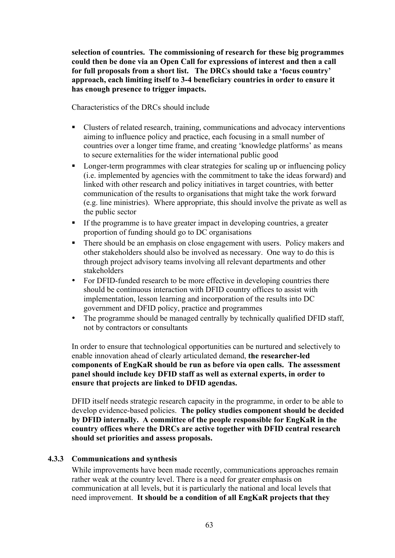**selection of countries. The commissioning of research for these big programmes could then be done via an Open Call for expressions of interest and then a call for full proposals from a short list. The DRCs should take a 'focus country' approach, each limiting itself to 3-4 beneficiary countries in order to ensure it has enough presence to trigger impacts.**

Characteristics of the DRCs should include

- Clusters of related research, training, communications and advocacy interventions aiming to influence policy and practice, each focusing in a small number of countries over a longer time frame, and creating 'knowledge platforms' as means to secure externalities for the wider international public good
- Longer-term programmes with clear strategies for scaling up or influencing policy (i.e. implemented by agencies with the commitment to take the ideas forward) and linked with other research and policy initiatives in target countries, with better communication of the results to organisations that might take the work forward (e.g. line ministries). Where appropriate, this should involve the private as well as the public sector
- If the programme is to have greater impact in developing countries, a greater proportion of funding should go to DC organisations
- There should be an emphasis on close engagement with users. Policy makers and other stakeholders should also be involved as necessary. One way to do this is through project advisory teams involving all relevant departments and other stakeholders
- For DFID-funded research to be more effective in developing countries there should be continuous interaction with DFID country offices to assist with implementation, lesson learning and incorporation of the results into DC government and DFID policy, practice and programmes
- The programme should be managed centrally by technically qualified DFID staff, not by contractors or consultants

In order to ensure that technological opportunities can be nurtured and selectively to enable innovation ahead of clearly articulated demand, **the researcher-led components of EngKaR should be run as before via open calls. The assessment panel should include key DFID staff as well as external experts, in order to ensure that projects are linked to DFID agendas.**

DFID itself needs strategic research capacity in the programme, in order to be able to develop evidence-based policies. **The policy studies component should be decided by DFID internally. A committee of the people responsible for EngKaR in the country offices where the DRCs are active together with DFID central research should set priorities and assess proposals.**

# **4.3.3 Communications and synthesis**

While improvements have been made recently, communications approaches remain rather weak at the country level. There is a need for greater emphasis on communication at all levels, but it is particularly the national and local levels that need improvement. **It should be a condition of all EngKaR projects that they**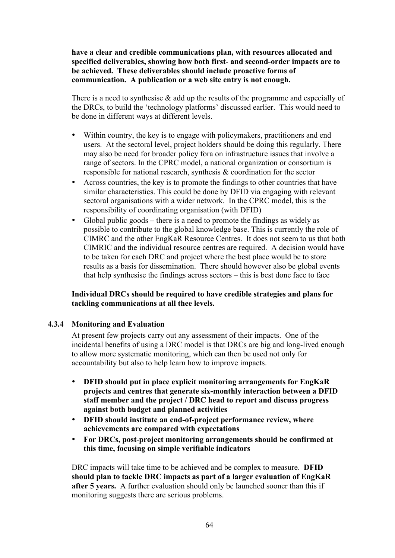**have a clear and credible communications plan, with resources allocated and specified deliverables, showing how both first- and second-order impacts are to be achieved. These deliverables should include proactive forms of communication. A publication or a web site entry is not enough.**

There is a need to synthesise & add up the results of the programme and especially of the DRCs, to build the 'technology platforms' discussed earlier. This would need to be done in different ways at different levels.

- Within country, the key is to engage with policymakers, practitioners and end users. At the sectoral level, project holders should be doing this regularly. There may also be need for broader policy fora on infrastructure issues that involve a range of sectors. In the CPRC model, a national organization or consortium is responsible for national research, synthesis & coordination for the sector
- Across countries, the key is to promote the findings to other countries that have similar characteristics. This could be done by DFID via engaging with relevant sectoral organisations with a wider network. In the CPRC model, this is the responsibility of coordinating organisation (with DFID)
- Global public goods there is a need to promote the findings as widely as possible to contribute to the global knowledge base. This is currently the role of CIMRC and the other EngKaR Resource Centres. It does not seem to us that both CIMRIC and the individual resource centres are required. A decision would have to be taken for each DRC and project where the best place would be to store results as a basis for dissemination. There should however also be global events that help synthesise the findings across sectors – this is best done face to face

**Individual DRCs should be required to have credible strategies and plans for tackling communications at all thee levels.**

#### **4.3.4 Monitoring and Evaluation**

At present few projects carry out any assessment of their impacts. One of the incidental benefits of using a DRC model is that DRCs are big and long-lived enough to allow more systematic monitoring, which can then be used not only for accountability but also to help learn how to improve impacts.

- **DFID should put in place explicit monitoring arrangements for EngKaR projects and centres that generate six-monthly interaction between a DFID staff member and the project / DRC head to report and discuss progress against both budget and planned activities**
- **DFID should institute an end-of-project performance review, where achievements are compared with expectations**
- **For DRCs, post-project monitoring arrangements should be confirmed at this time, focusing on simple verifiable indicators**

DRC impacts will take time to be achieved and be complex to measure. **DFID should plan to tackle DRC impacts as part of a larger evaluation of EngKaR after 5 years.** A further evaluation should only be launched sooner than this if monitoring suggests there are serious problems.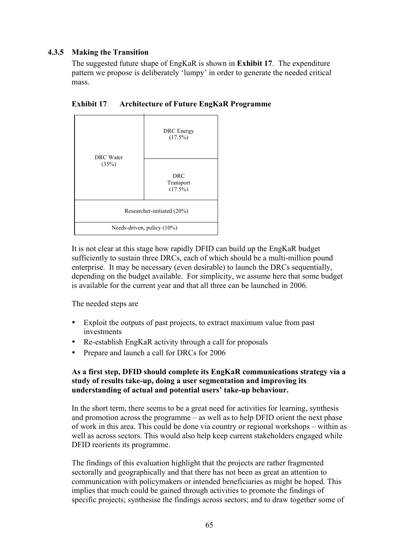# **4.3.5 Making the Transition**

The suggested future shape of EngKaR is shown in **Exhibit 17**. The expenditure pattern we propose is deliberately 'lumpy' in order to generate the needed critical mass.



**Exhibit 17 Architecture of Future EngKaR Programme**

It is not clear at this stage how rapidly DFID can build up the EngKaR budget sufficiently to sustain three DRCs, each of which should be a multi-million pound enterprise. It may be necessary (even desirable) to launch the DRCs sequentially, depending on the budget available. For simplicity, we assume here that some budget is available for the current year and that all three can be launched in 2006.

The needed steps are

- Exploit the outputs of past projects, to extract maximum value from past investments
- Re-establish EngKaR activity through a call for proposals
- Prepare and launch a call for DRCs for 2006

# **As a first step, DFID should complete its EngKaR communications strategy via a study of results take-up, doing a user segmentation and improving its understanding of actual and potential users' take-up behaviour.**

In the short term, there seems to be a great need for activities for learning, synthesis and promotion across the programme – as well as to help DFID orient the next phase of work in this area. This could be done via country or regional workshops – within as well as across sectors. This would also help keep current stakeholders engaged while DFID reorients its programme.

The findings of this evaluation highlight that the projects are rather fragmented sectorally and geographically and that there has not been as great an attention to communication with policymakers or intended beneficiaries as might be hoped. This implies that much could be gained through activities to promote the findings of specific projects; synthesise the findings across sectors; and to draw together some of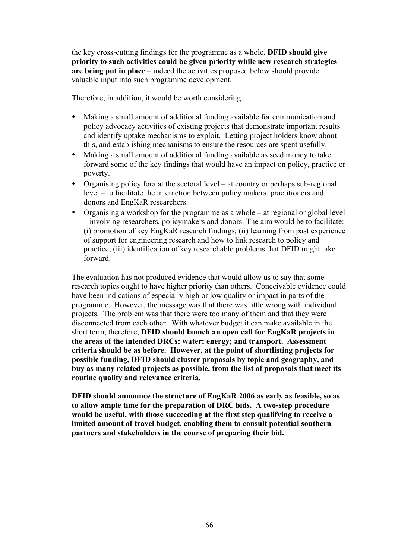the key cross-cutting findings for the programme as a whole. **DFID should give priority to such activities could be given priority while new research strategies are being put in place** – indeed the activities proposed below should provide valuable input into such programme development.

Therefore, in addition, it would be worth considering

- Making a small amount of additional funding available for communication and policy advocacy activities of existing projects that demonstrate important results and identify uptake mechanisms to exploit. Letting project holders know about this, and establishing mechanisms to ensure the resources are spent usefully.
- Making a small amount of additional funding available as seed money to take forward some of the key findings that would have an impact on policy, practice or poverty.
- Organising policy fora at the sectoral level at country or perhaps sub-regional level – to facilitate the interaction between policy makers, practitioners and donors and EngKaR researchers.
- Organising a workshop for the programme as a whole at regional or global level – involving researchers, policymakers and donors. The aim would be to facilitate: (i) promotion of key EngKaR research findings; (ii) learning from past experience of support for engineering research and how to link research to policy and practice; (iii) identification of key researchable problems that DFID might take forward.

The evaluation has not produced evidence that would allow us to say that some research topics ought to have higher priority than others. Conceivable evidence could have been indications of especially high or low quality or impact in parts of the programme. However, the message was that there was little wrong with individual projects. The problem was that there were too many of them and that they were disconnected from each other. With whatever budget it can make available in the short term, therefore, **DFID should launch an open call for EngKaR projects in the areas of the intended DRCs: water; energy; and transport. Assessment criteria should be as before. However, at the point of shortlisting projects for possible funding, DFID should cluster proposals by topic and geography, and buy as many related projects as possible, from the list of proposals that meet its routine quality and relevance criteria.**

**DFID should announce the structure of EngKaR 2006 as early as feasible, so as to allow ample time for the preparation of DRC bids. A two-step procedure would be useful, with those succeeding at the first step qualifying to receive a limited amount of travel budget, enabling them to consult potential southern partners and stakeholders in the course of preparing their bid.**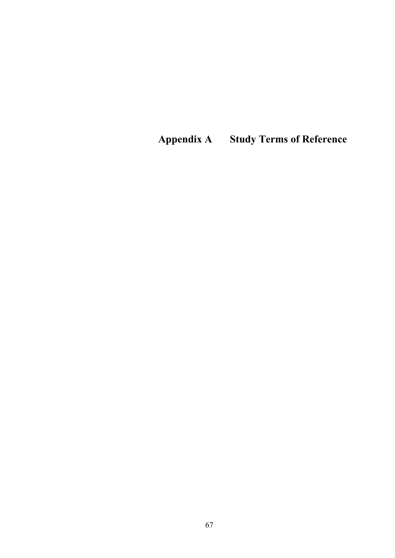**Appendix A Study Terms of Reference**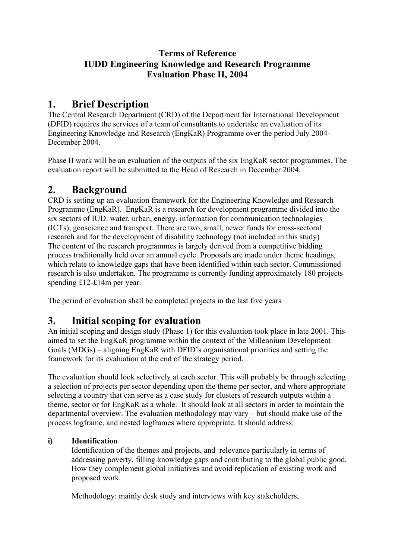### **Terms of Reference IUDD Engineering Knowledge and Research Programme Evaluation Phase II, 2004**

# **1. Brief Description**

The Central Research Department (CRD) of the Department for International Development (DFID) requires the services of a team of consultants to undertake an evaluation of its Engineering Knowledge and Research (EngKaR) Programme over the period July 2004- December 2004.

Phase II work will be an evaluation of the outputs of the six EngKaR sector programmes. The evaluation report will be submitted to the Head of Research in December 2004.

# **2. Background**

CRD is setting up an evaluation framework for the Engineering Knowledge and Research Programme (EngKaR). EngKaR is a research for development programme divided into the six sectors of IUD: water, urban, energy, information for communication technologies (ICTs), geoscience and transport. There are two, small, newer funds for cross-sectoral research and for the development of disability technology (not included in this study) The content of the research programmes is largely derived from a competitive bidding process traditionally held over an annual cycle. Proposals are made under theme headings, which relate to knowledge gaps that have been identified within each sector. Commissioned research is also undertaken. The programme is currently funding approximately 180 projects spending £12-£14m per year.

The period of evaluation shall be completed projects in the last five years

# **3. Initial scoping for evaluation**

An initial scoping and design study (Phase 1) for this evaluation took place in late 2001. This aimed to set the EngKaR programme within the context of the Millennium Development Goals (MDGs) – aligning EngKaR with DFID's organisational priorities and setting the framework for its evaluation at the end of the strategy period.

The evaluation should look selectively at each sector. This will probably be through selecting a selection of projects per sector depending upon the theme per sector, and where appropriate selecting a country that can serve as a case study for clusters of research outputs within a theme, sector or for EngKaR as a whole. It should look at all sectors in order to maintain the departmental overview. The evaluation methodology may vary – but should make use of the process logframe, and nested logframes where appropriate. It should address:

### **i) Identification**

Identification of the themes and projects, and relevance particularly in terms of addressing poverty, filling knowledge gaps and contributing to the global public good. How they complement global initiatives and avoid replication of existing work and proposed work.

Methodology: mainly desk study and interviews with key stakeholders,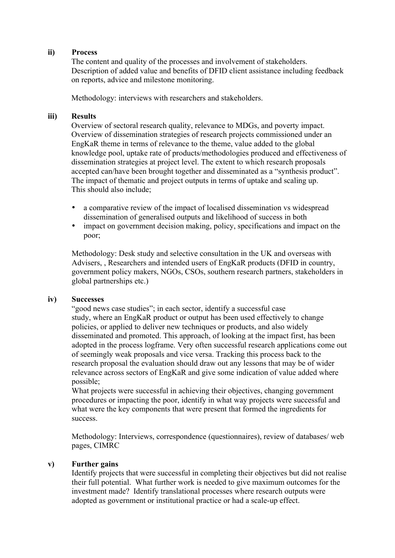#### **ii) Process**

The content and quality of the processes and involvement of stakeholders. Description of added value and benefits of DFID client assistance including feedback on reports, advice and milestone monitoring.

Methodology: interviews with researchers and stakeholders.

#### **iii) Results**

Overview of sectoral research quality, relevance to MDGs, and poverty impact. Overview of dissemination strategies of research projects commissioned under an EngKaR theme in terms of relevance to the theme, value added to the global knowledge pool, uptake rate of products/methodologies produced and effectiveness of dissemination strategies at project level. The extent to which research proposals accepted can/have been brought together and disseminated as a "synthesis product". The impact of thematic and project outputs in terms of uptake and scaling up. This should also include;

- a comparative review of the impact of localised dissemination vs widespread dissemination of generalised outputs and likelihood of success in both
- impact on government decision making, policy, specifications and impact on the poor;

Methodology: Desk study and selective consultation in the UK and overseas with Advisers, , Researchers and intended users of EngKaR products (DFID in country, government policy makers, NGOs, CSOs, southern research partners, stakeholders in global partnerships etc.)

#### **iv) Successes**

"good news case studies"; in each sector, identify a successful case study, where an EngKaR product or output has been used effectively to change policies, or applied to deliver new techniques or products, and also widely disseminated and promoted. This approach, of looking at the impact first, has been adopted in the process logframe. Very often successful research applications come out of seemingly weak proposals and vice versa. Tracking this process back to the research proposal the evaluation should draw out any lessons that may be of wider relevance across sectors of EngKaR and give some indication of value added where possible;

What projects were successful in achieving their objectives, changing government procedures or impacting the poor, identify in what way projects were successful and what were the key components that were present that formed the ingredients for success.

Methodology: Interviews, correspondence (questionnaires), review of databases/ web pages, CIMRC

#### **v) Further gains**

Identify projects that were successful in completing their objectives but did not realise their full potential. What further work is needed to give maximum outcomes for the investment made? Identify translational processes where research outputs were adopted as government or institutional practice or had a scale-up effect.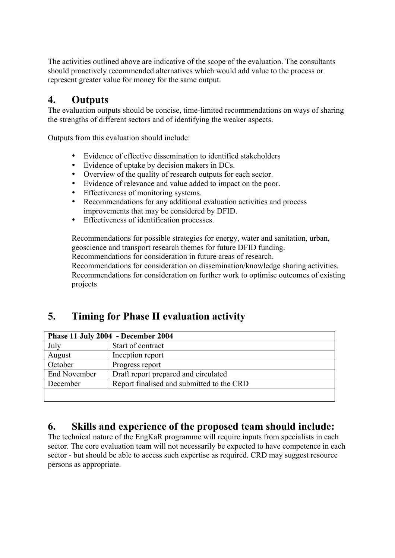The activities outlined above are indicative of the scope of the evaluation. The consultants should proactively recommended alternatives which would add value to the process or represent greater value for money for the same output.

## **4. Outputs**

The evaluation outputs should be concise, time-limited recommendations on ways of sharing the strengths of different sectors and of identifying the weaker aspects.

Outputs from this evaluation should include:

- Evidence of effective dissemination to identified stakeholders
- Evidence of uptake by decision makers in DCs.<br>• Overview of the quality of research outputs for  $\epsilon$
- Overview of the quality of research outputs for each sector.<br>• Evidence of relevance and value added to impact on the poo
- Evidence of relevance and value added to impact on the poor.<br>• Effectiveness of monitoring systems
- Effectiveness of monitoring systems.<br>• Recommendations for any additional
- Recommendations for any additional evaluation activities and process improvements that may be considered by DFID.
- Effectiveness of identification processes.

Recommendations for possible strategies for energy, water and sanitation, urban, geoscience and transport research themes for future DFID funding. Recommendations for consideration in future areas of research. Recommendations for consideration on dissemination/knowledge sharing activities. Recommendations for consideration on further work to optimise outcomes of existing projects

# **5. Timing for Phase II evaluation activity**

| Phase 11 July 2004 - December 2004 |                                           |  |
|------------------------------------|-------------------------------------------|--|
| July                               | Start of contract                         |  |
| August                             | Inception report                          |  |
| October                            | Progress report                           |  |
| <b>End November</b>                | Draft report prepared and circulated      |  |
| December                           | Report finalised and submitted to the CRD |  |
|                                    |                                           |  |

## **6. Skills and experience of the proposed team should include:**

The technical nature of the EngKaR programme will require inputs from specialists in each sector. The core evaluation team will not necessarily be expected to have competence in each sector - but should be able to access such expertise as required. CRD may suggest resource persons as appropriate.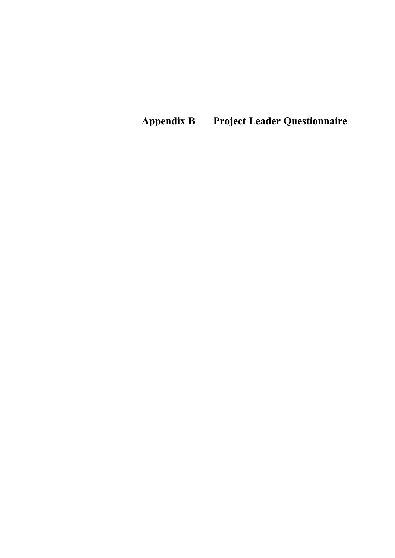**Appendix B Project Leader Questionnaire**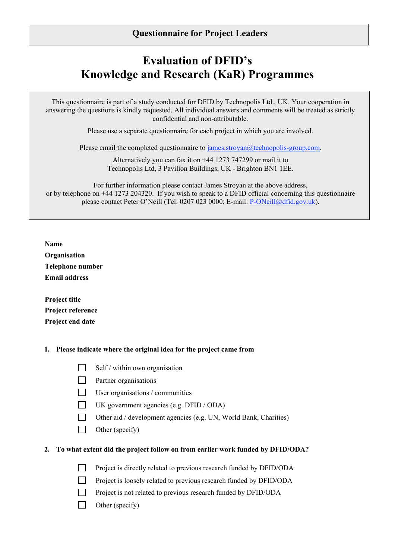# **Evaluation of DFID's Knowledge and Research (KaR) Programmes**

This questionnaire is part of a study conducted for DFID by Technopolis Ltd., UK. Your cooperation in answering the questions is kindly requested. All individual answers and comments will be treated as strictly confidential and non-attributable.

Please use a separate questionnaire for each project in which you are involved.

Please email the completed questionnaire to james.stroyan@technopolis-group.com.

Alternatively you can fax it on +44 1273 747299 or mail it to Technopolis Ltd, 3 Pavilion Buildings, UK - Brighton BN1 1EE.

For further information please contact James Stroyan at the above address, or by telephone on +44 1273 204320. If you wish to speak to a DFID official concerning this questionnaire please contact Peter O'Neill (Tel: 0207 023 0000; E-mail: P-ONeill@dfid.gov.uk).

**Name**

| Organisation            |
|-------------------------|
| <b>Telephone number</b> |
| <b>Email address</b>    |

**Project title Project reference Project end date**

П

#### **1. Please indicate where the original idea for the project came from**

Self / within own organisation

- П Partner organisations
- П User organisations / communities
- $\Box$ UK government agencies (e.g. DFID / ODA)

 $\Box$ Other aid / development agencies (e.g. UN, World Bank, Charities)

 $\Box$ Other (specify)

#### **2. To what extent did the project follow on from earlier work funded by DFID/ODA?**

П Project is directly related to previous research funded by DFID/ODA

Project is loosely related to previous research funded by DFID/ODA

Project is not related to previous research funded by DFID/ODA

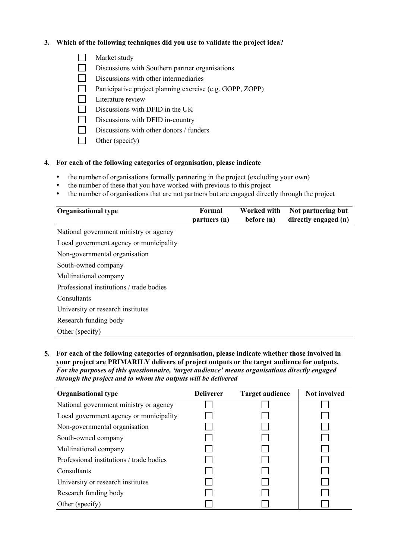#### **3. Which of the following techniques did you use to validate the project idea?**

 $\Box$ Market study

 $\Box$ Discussions with Southern partner organisations

- $\Box$ Discussions with other intermediaries
- $\Box$ Participative project planning exercise (e.g. GOPP, ZOPP)
- $\Box$ Literature review
- $\Box$ Discussions with DFID in the UK
- $\Box$ Discussions with DFID in-country
- $\Box$ Discussions with other donors / funders
- $\Box$ Other (specify)

#### **4. For each of the following categories of organisation, please indicate**

- the number of organisations formally partnering in the project (excluding your own)
- the number of these that you have worked with previous to this project<br>• the number of organisations that are not partners but are engaged direct
- the number of organisations that are not partners but are engaged directly through the project

| <b>Organisational type</b>               | Formal<br>partners (n) | <b>Worked with</b><br>before (n) | Not partnering but<br>directly engaged (n) |
|------------------------------------------|------------------------|----------------------------------|--------------------------------------------|
| National government ministry or agency   |                        |                                  |                                            |
| Local government agency or municipality  |                        |                                  |                                            |
| Non-governmental organisation            |                        |                                  |                                            |
| South-owned company                      |                        |                                  |                                            |
| Multinational company                    |                        |                                  |                                            |
| Professional institutions / trade bodies |                        |                                  |                                            |
| Consultants                              |                        |                                  |                                            |
| University or research institutes        |                        |                                  |                                            |
| Research funding body                    |                        |                                  |                                            |
| Other (specify)                          |                        |                                  |                                            |

**5. For each of the following categories of organisation, please indicate whether those involved in your project are PRIMARILY delivers of project outputs or the target audience for outputs.** *For the purposes of this questionnaire, 'target audience' means organisations directly engaged through the project and to whom the outputs will be delivered*

| <b>Organisational type</b>               | <b>Deliverer</b> | <b>Target audience</b> | <b>Not involved</b> |
|------------------------------------------|------------------|------------------------|---------------------|
| National government ministry or agency   |                  |                        |                     |
| Local government agency or municipality  |                  |                        |                     |
| Non-governmental organisation            |                  |                        |                     |
| South-owned company                      |                  |                        |                     |
| Multinational company                    |                  |                        |                     |
| Professional institutions / trade bodies |                  |                        |                     |
| Consultants                              |                  |                        |                     |
| University or research institutes        |                  |                        |                     |
| Research funding body                    |                  |                        |                     |
| Other (specify)                          |                  |                        |                     |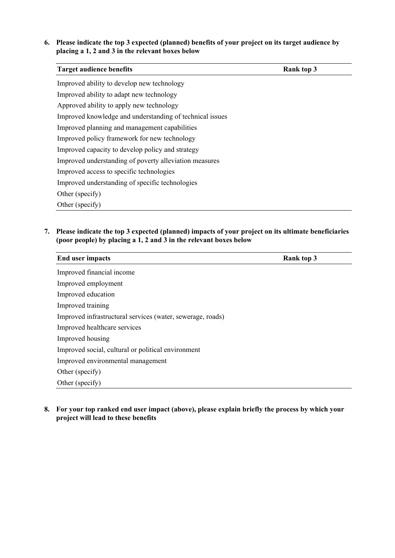#### **6. Please indicate the top 3 expected (planned) benefits of your project on its target audience by placing a 1, 2 and 3 in the relevant boxes below**

| <b>Target audience benefits</b>                          | Rank top 3 |
|----------------------------------------------------------|------------|
| Improved ability to develop new technology               |            |
| Improved ability to adapt new technology                 |            |
| Approved ability to apply new technology                 |            |
| Improved knowledge and understanding of technical issues |            |
| Improved planning and management capabilities            |            |
| Improved policy framework for new technology             |            |
| Improved capacity to develop policy and strategy         |            |
| Improved understanding of poverty alleviation measures   |            |
| Improved access to specific technologies                 |            |
| Improved understanding of specific technologies          |            |
| Other (specify)                                          |            |
| Other (specify)                                          |            |

**7. Please indicate the top 3 expected (planned) impacts of your project on its ultimate beneficiaries (poor people) by placing a 1, 2 and 3 in the relevant boxes below**

| <b>End user impacts</b><br>Rank top 3                      |  |
|------------------------------------------------------------|--|
| Improved financial income                                  |  |
| Improved employment                                        |  |
| Improved education                                         |  |
| Improved training                                          |  |
| Improved infrastructural services (water, sewerage, roads) |  |
| Improved healthcare services                               |  |
| Improved housing                                           |  |
| Improved social, cultural or political environment         |  |
| Improved environmental management                          |  |
| Other (specify)                                            |  |
| Other (specify)                                            |  |

**8. For your top ranked end user impact (above), please explain briefly the process by which your project will lead to these benefits**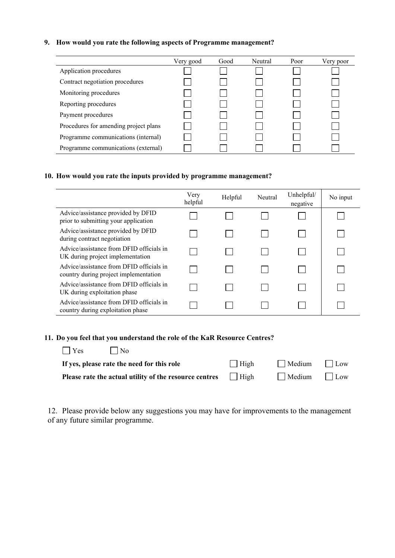#### **9. How would you rate the following aspects of Programme management?**

|                                       | Very good | Good | Neutral | Poor | Very poor |
|---------------------------------------|-----------|------|---------|------|-----------|
| Application procedures                |           |      |         |      |           |
| Contract negotiation procedures       |           |      |         |      |           |
| Monitoring procedures                 |           |      |         |      |           |
| Reporting procedures                  |           |      |         |      |           |
| Payment procedures                    |           |      |         |      |           |
| Procedures for amending project plans |           |      |         |      |           |
| Programme communications (internal)   |           |      |         |      |           |
| Programme communications (external)   |           |      |         |      |           |

#### **10. How would you rate the inputs provided by programme management?**

|                                                                                   | Very<br>helpful | Helpful | Neutral | Unhelpful/<br>negative | No input |
|-----------------------------------------------------------------------------------|-----------------|---------|---------|------------------------|----------|
| Advice/assistance provided by DFID<br>prior to submitting your application        |                 |         |         |                        |          |
| Advice/assistance provided by DFID<br>during contract negotiation                 |                 |         |         |                        |          |
| Advice/assistance from DFID officials in<br>UK during project implementation      |                 |         |         |                        |          |
| Advice/assistance from DFID officials in<br>country during project implementation |                 |         |         |                        |          |
| Advice/assistance from DFID officials in<br>UK during exploitation phase          |                 |         |         |                        |          |
| Advice/assistance from DFID officials in<br>country during exploitation phase     |                 |         |         |                        |          |

#### **11. Do you feel that you understand the role of the KaR Resource Centres?**

| Yes<br>N <sub>0</sub>                                                     |             |                          |  |
|---------------------------------------------------------------------------|-------------|--------------------------|--|
| If yes, please rate the need for this role                                | $\Box$ High | $\Box$ Medium $\Box$ Low |  |
| <b>Please rate the actual utility of the resource centres</b> $\Box$ High |             | $\Box$ Medium $\Box$ Low |  |

12. Please provide below any suggestions you may have for improvements to the management of any future similar programme.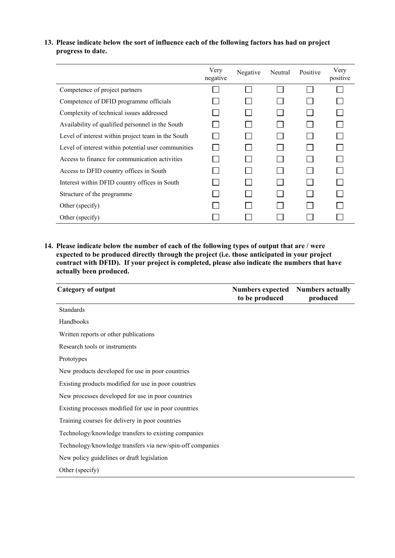#### **13. Please indicate below the sort of influence each of the following factors has had on project progress to date.**

|                                                     | Very<br>negative | Negative | Neutral | Positive | Very<br>positive |
|-----------------------------------------------------|------------------|----------|---------|----------|------------------|
| Competence of project partners                      |                  |          |         |          |                  |
| Competence of DFID programme officials              |                  |          |         |          |                  |
| Complexity of technical issues addressed            |                  |          |         |          |                  |
| Availability of qualified personnel in the South    |                  |          |         |          |                  |
| Level of interest within project team in the South  |                  |          |         |          |                  |
| Level of interest within potential user communities |                  |          |         |          |                  |
| Access to finance for communication activities      |                  |          |         |          |                  |
| Access to DFID country offices in South             |                  |          |         |          |                  |
| Interest within DFID country offices in South       |                  |          |         |          |                  |
| Structure of the programme                          |                  |          |         |          |                  |
| Other (specify)                                     |                  |          |         |          |                  |
| Other (specify)                                     |                  |          |         |          |                  |

**14. Please indicate below the number of each of the following types of output that are / were expected to be produced directly through the project (i.e. those anticipated in your project contract with DFID). If your project is completed, please also indicate the numbers that have actually been produced.**

| <b>Category of output</b>                                 | <b>Numbers expected</b> Numbers actually<br>to be produced | produced |
|-----------------------------------------------------------|------------------------------------------------------------|----------|
| <b>Standards</b>                                          |                                                            |          |
| Handbooks                                                 |                                                            |          |
| Written reports or other publications                     |                                                            |          |
| Research tools or instruments                             |                                                            |          |
| Prototypes                                                |                                                            |          |
| New products developed for use in poor countries          |                                                            |          |
| Existing products modified for use in poor countries      |                                                            |          |
| New processes developed for use in poor countries         |                                                            |          |
| Existing processes modified for use in poor countries     |                                                            |          |
| Training courses for delivery in poor countries           |                                                            |          |
| Technology/knowledge transfers to existing companies      |                                                            |          |
| Technology/knowledge transfers via new/spin-off companies |                                                            |          |
| New policy guidelines or draft legislation                |                                                            |          |
| Other (specify)                                           |                                                            |          |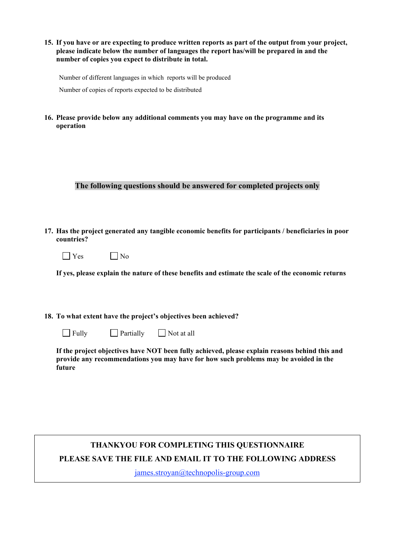**15. If you have or are expecting to produce written reports as part of the output from your project, please indicate below the number of languages the report has/will be prepared in and the number of copies you expect to distribute in total.**

Number of different languages in which reports will be produced

Number of copies of reports expected to be distributed

**16. Please provide below any additional comments you may have on the programme and its operation**

#### **The following questions should be answered for completed projects only**

**17. Has the project generated any tangible economic benefits for participants / beneficiaries in poor countries?**

| $'$ es | 1 No |
|--------|------|
|--------|------|

**If yes, please explain the nature of these benefits and estimate the scale of the economic returns**

#### **18. To what extent have the project's objectives been achieved?**

 $\Box$  Fully  $\Box$  Partially  $\Box$  Not at all

**If the project objectives have NOT been fully achieved, please explain reasons behind this and provide any recommendations you may have for how such problems may be avoided in the future**

### **THANKYOU FOR COMPLETING THIS QUESTIONNAIRE PLEASE SAVE THE FILE AND EMAIL IT TO THE FOLLOWING ADDRESS**

james.stroyan@technopolis-group.com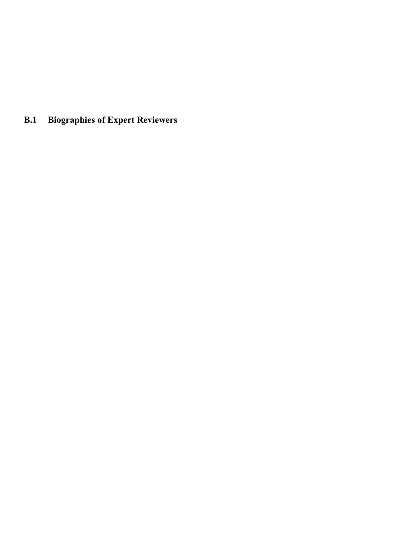# **B.1 Biographies of Expert Reviewers**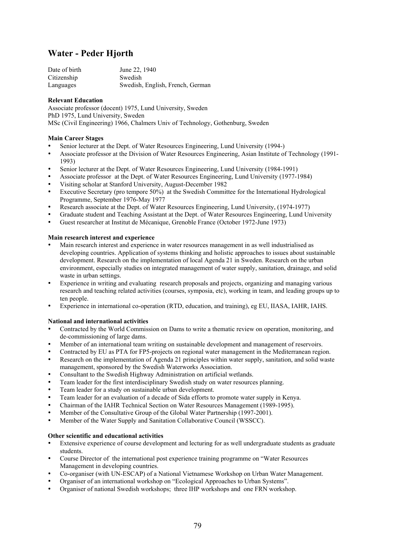### **Water - Peder Hjorth**

| Date of birth | June 22, 1940                    |
|---------------|----------------------------------|
| Citizenship   | Swedish                          |
| Languages     | Swedish, English, French, German |

#### **Relevant Education**

Associate professor (docent) 1975, Lund University, Sweden PhD 1975, Lund University, Sweden MSc (Civil Engineering) 1966, Chalmers Univ of Technology, Gothenburg, Sweden

#### **Main Career Stages**

- Senior lecturer at the Dept. of Water Resources Engineering, Lund University (1994-)
- Associate professor at the Division of Water Resources Engineering, Asian Institute of Technology (1991- 1993)
- Senior lecturer at the Dept. of Water Resources Engineering, Lund University (1984-1991)
- Associate professor at the Dept. of Water Resources Engineering, Lund University (1977-1984)
- Visiting scholar at Stanford University, August-December 1982
- Executive Secretary (pro tempore 50%) at the Swedish Committee for the International Hydrological Programme, September 1976-May 1977
- Research associate at the Dept. of Water Resources Engineering, Lund University, (1974-1977)
- Graduate student and Teaching Assistant at the Dept. of Water Resources Engineering, Lund University
- Guest researcher at Institut de Mécanique, Grenoble France (October 1972-June 1973)

#### **Main research interest and experience**

- Main research interest and experience in water resources management in as well industrialised as developing countries. Application of systems thinking and holistic approaches to issues about sustainable development. Research on the implementation of local Agenda 21 in Sweden. Research on the urban environment, especially studies on integrated management of water supply, sanitation, drainage, and solid waste in urban settings.
- Experience in writing and evaluating research proposals and projects, organizing and managing various research and teaching related activities (courses, symposia, etc), working in team, and leading groups up to ten people.
- Experience in international co-operation (RTD, education, and training), eg EU, IIASA, IAHR, IAHS.

#### **National and international activities**

- Contracted by the World Commission on Dams to write a thematic review on operation, monitoring, and de-commissioning of large dams.
- Member of an international team writing on sustainable development and management of reservoirs.
- Contracted by EU as PTA for FP5-projects on regional water management in the Mediterranean region.
- Research on the implementation of Agenda 21 principles within water supply, sanitation, and solid waste management, sponsored by the Swedish Waterworks Association.
- Consultant to the Swedish Highway Administration on artificial wetlands.
- Team leader for the first interdisciplinary Swedish study on water resources planning.
- Team leader for a study on sustainable urban development.
- Team leader for an evaluation of a decade of Sida efforts to promote water supply in Kenya.
- Chairman of the IAHR Technical Section on Water Resources Management (1989-1995).
- Member of the Consultative Group of the Global Water Partnership (1997-2001).
- Member of the Water Supply and Sanitation Collaborative Council (WSSCC).

#### **Other scientific and educational activities**

- Extensive experience of course development and lecturing for as well undergraduate students as graduate students.
- Course Director of the international post experience training programme on "Water Resources Management in developing countries.
- Co-organiser (with UN-ESCAP) of a National Vietnamese Workshop on Urban Water Management.
- Organiser of an international workshop on "Ecological Approaches to Urban Systems".
- Organiser of national Swedish workshops; three IHP workshops and one FRN workshop.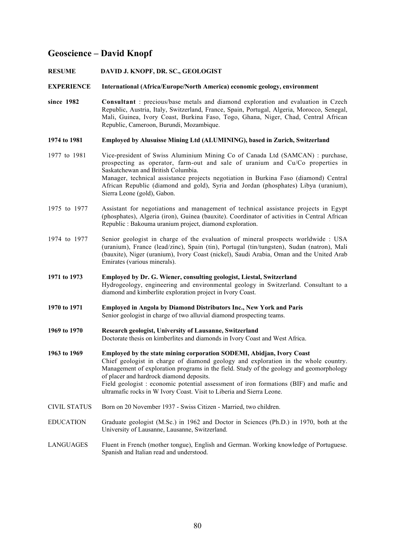### **Geoscience – David Knopf**

**RESUME DAVID J. KNOPF, DR. SC., GEOLOGIST**

**EXPERIENCE International (Africa/Europe/North America) economic geology, environment**

- **since 1982 Consultant** : precious/base metals and diamond exploration and evaluation in Czech Republic, Austria, Italy, Switzerland, France, Spain, Portugal, Algeria, Morocco, Senegal, Mali, Guinea, Ivory Coast, Burkina Faso, Togo, Ghana, Niger, Chad, Central African Republic, Cameroon, Burundi, Mozambique.
- **1974 to 1981 Employed by Alusuisse Mining Ltd (ALUMINING), based in Zurich, Switzerland**
- 1977 to 1981 Vice-president of Swiss Aluminium Mining Co of Canada Ltd (SAMCAN) : purchase, prospecting as operator, farm-out and sale of uranium and Cu/Co properties in Saskatchewan and British Columbia. Manager, technical assistance projects negotiation in Burkina Faso (diamond) Central African Republic (diamond and gold), Syria and Jordan (phosphates) Libya (uranium), Sierra Leone (gold), Gabon.
- 1975 to 1977 Assistant for negotiations and management of technical assistance projects in Egypt (phosphates), Algeria (iron), Guinea (bauxite). Coordinator of activities in Central African Republic : Bakouma uranium project, diamond exploration.
- 1974 to 1977 Senior geologist in charge of the evaluation of mineral prospects worldwide : USA (uranium), France (lead/zinc), Spain (tin), Portugal (tin/tungsten), Sudan (natron), Mali (bauxite), Niger (uranium), Ivory Coast (nickel), Saudi Arabia, Oman and the United Arab Emirates (various minerals).
- **1971 to 1973 Employed by Dr. G. Wiener, consulting geologist, Liestal, Switzerland** Hydrogeology, engineering and environmental geology in Switzerland. Consultant to a diamond and kimberlite exploration project in Ivory Coast.
- **1970 to 1971 Employed in Angola by Diamond Distributors Inc., New York and Paris** Senior geologist in charge of two alluvial diamond prospecting teams.
- **1969 to 1970 Research geologist, University of Lausanne, Switzerland** Doctorate thesis on kimberlites and diamonds in Ivory Coast and West Africa.
- **1963 to 1969 Employed by the state mining corporation SODEMI, Abidjan, Ivory Coast** Chief geologist in charge of diamond geology and exploration in the whole country. Management of exploration programs in the field. Study of the geology and geomorphology of placer and hardrock diamond deposits. Field geologist : economic potential assessment of iron formations (BIF) and mafic and ultramafic rocks in W Ivory Coast. Visit to Liberia and Sierra Leone.
- CIVIL STATUS Born on 20 November 1937 Swiss Citizen Married, two children.
- EDUCATION Graduate geologist (M.Sc.) in 1962 and Doctor in Sciences (Ph.D.) in 1970, both at the University of Lausanne, Lausanne, Switzerland.
- LANGUAGES Fluent in French (mother tongue), English and German. Working knowledge of Portuguese. Spanish and Italian read and understood.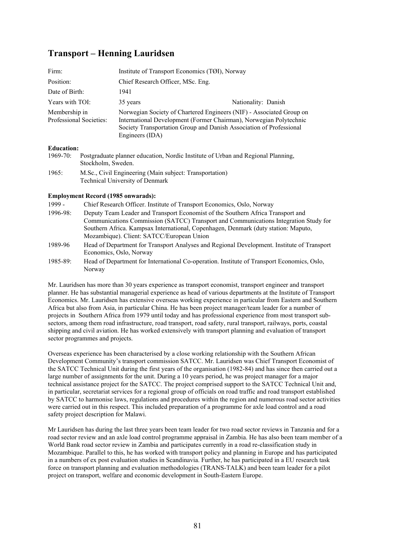### **Transport – Henning Lauridsen**

| Firm:                                    | Institute of Transport Economics (TØI), Norway                                                                                                                                                                                       |                     |
|------------------------------------------|--------------------------------------------------------------------------------------------------------------------------------------------------------------------------------------------------------------------------------------|---------------------|
| Position:                                | Chief Research Officer, MSc. Eng.                                                                                                                                                                                                    |                     |
| Date of Birth:                           | 1941                                                                                                                                                                                                                                 |                     |
| Years with TOI:                          | 35 years                                                                                                                                                                                                                             | Nationality: Danish |
| Membership in<br>Professional Societies: | Norwegian Society of Chartered Engineers (NIF) - Associated Group on<br>International Development (Former Chairman), Norwegian Polytechnic<br>Society Transportation Group and Danish Association of Professional<br>Engineers (IDA) |                     |
| Education:                               |                                                                                                                                                                                                                                      |                     |

#### **Education:**

1969-70: Postgraduate planner education, Nordic Institute of Urban and Regional Planning, Stockholm, Sweden. 1965: M.Sc., Civil Engineering (Main subject: Transportation)

#### **Employment Record (1985 onwarads):**

Technical University of Denmark

| $1999 -$      | Chief Research Officer. Institute of Transport Economics, Oslo, Norway                                                                                                                                                                                        |
|---------------|---------------------------------------------------------------------------------------------------------------------------------------------------------------------------------------------------------------------------------------------------------------|
| $1996 - 98$   | Deputy Team Leader and Transport Economist of the Southern Africa Transport and<br>Communications Commission (SATCC) Transport and Communications Integration Study for<br>Southern Africa. Kampsax International, Copenhagen, Denmark (duty station: Maputo, |
|               | Mozambique). Client: SATCC/European Union                                                                                                                                                                                                                     |
| 1989-96       | Head of Department for Transport Analyses and Regional Development. Institute of Transport<br>Economics, Oslo, Norway                                                                                                                                         |
| $1985 - 89$ : | Head of Department for International Co-operation. Institute of Transport Economics, Oslo,<br>Norway                                                                                                                                                          |

Mr. Lauridsen has more than 30 years experience as transport economist, transport engineer and transport planner. He has substantial managerial experience as head of various departments at the Institute of Transport Economics. Mr. Lauridsen has extensive overseas working experience in particular from Eastern and Southern Africa but also from Asia, in particular China. He has been project manager/team leader for a number of projects in Southern Africa from 1979 until today and has professional experience from most transport subsectors, among them road infrastructure, road transport, road safety, rural transport, railways, ports, coastal shipping and civil aviation. He has worked extensively with transport planning and evaluation of transport sector programmes and projects.

Overseas experience has been characterised by a close working relationship with the Southern African Development Community's transport commission SATCC. Mr. Lauridsen was Chief Transport Economist of the SATCC Technical Unit during the first years of the organisation (1982-84) and has since then carried out a large number of assignments for the unit. During a 10 years period, he was project manager for a major technical assistance project for the SATCC. The project comprised support to the SATCC Technical Unit and, in particular, secretariat services for a regional group of officials on road traffic and road transport established by SATCC to harmonise laws, regulations and procedures within the region and numerous road sector activities were carried out in this respect. This included preparation of a programme for axle load control and a road safety project description for Malawi.

Mr Lauridsen has during the last three years been team leader for two road sector reviews in Tanzania and for a road sector review and an axle load control programme appraisal in Zambia. He has also been team member of a World Bank road sector review in Zambia and participates currently in a road re-classification study in Mozambique. Parallel to this, he has worked with transport policy and planning in Europe and has participated in a numbers of ex post evaluation studies in Scandinavia. Further, he has participated in a EU research task force on transport planning and evaluation methodologies (TRANS-TALK) and been team leader for a pilot project on transport, welfare and economic development in South-Eastern Europe.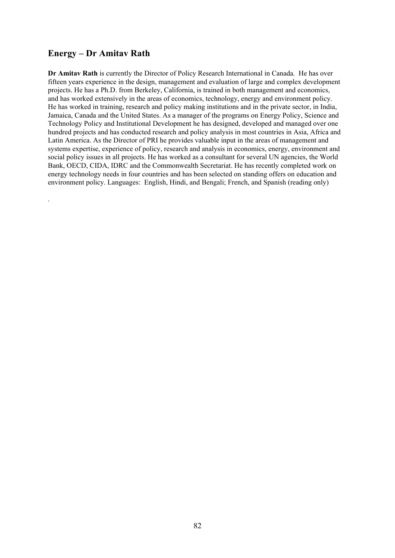### **Energy – Dr Amitav Rath**

.

**Dr Amitav Rath** is currently the Director of Policy Research International in Canada. He has over fifteen years experience in the design, management and evaluation of large and complex development projects. He has a Ph.D. from Berkeley, California, is trained in both management and economics, and has worked extensively in the areas of economics, technology, energy and environment policy. He has worked in training, research and policy making institutions and in the private sector, in India, Jamaica, Canada and the United States. As a manager of the programs on Energy Policy, Science and Technology Policy and Institutional Development he has designed, developed and managed over one hundred projects and has conducted research and policy analysis in most countries in Asia, Africa and Latin America. As the Director of PRI he provides valuable input in the areas of management and systems expertise, experience of policy, research and analysis in economics, energy, environment and social policy issues in all projects. He has worked as a consultant for several UN agencies, the World Bank, OECD, CIDA, IDRC and the Commonwealth Secretariat. He has recently completed work on energy technology needs in four countries and has been selected on standing offers on education and environment policy. Languages: English, Hindi, and Bengali; French, and Spanish (reading only)